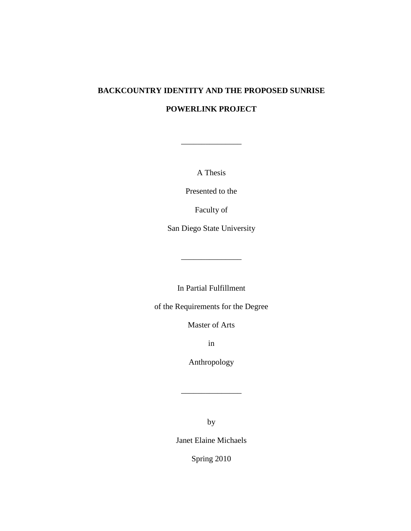# **BACKCOUNTRY IDENTITY AND THE PROPOSED SUNRISE POWERLINK PROJECT**

A Thesis

\_\_\_\_\_\_\_\_\_\_\_\_\_\_\_

Presented to the

Faculty of

San Diego State University

In Partial Fulfillment

\_\_\_\_\_\_\_\_\_\_\_\_\_\_\_

of the Requirements for the Degree

Master of Arts

in

Anthropology

\_\_\_\_\_\_\_\_\_\_\_\_\_\_\_

by

Janet Elaine Michaels

Spring 2010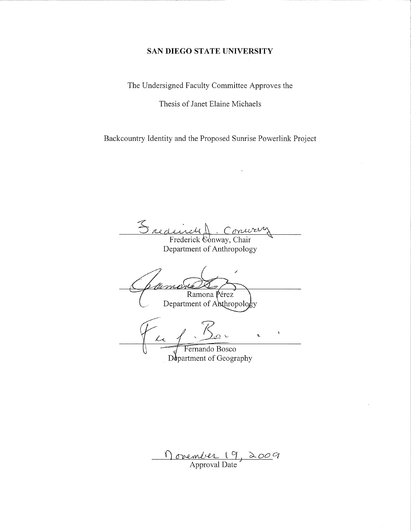#### SAN DIEGO STATE UNIVERSITY

The Undersigned Faculty Committee Approves the

Thesis of Janet Elaine Michaels

Backcountry Identity and the Proposed Sunrise Powerlink Project

 $\mathcal{Z}_{\mathit{nld}}$ urv Frederick Conway, Chair

Department of Anthropology

Ramona Pérez Department of Anthropology k.

Fernando Bosco Department of Geography

<u>Movember 19, 2009</u>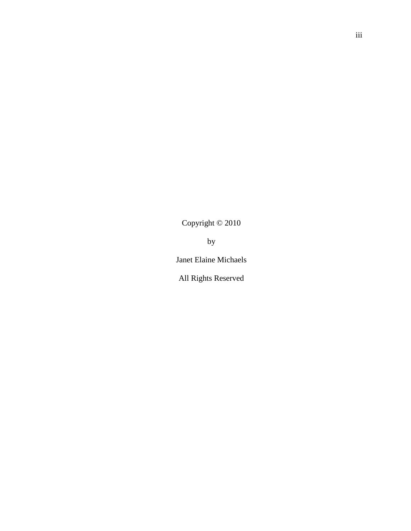Copyright © 2010

by

Janet Elaine Michaels

All Rights Reserved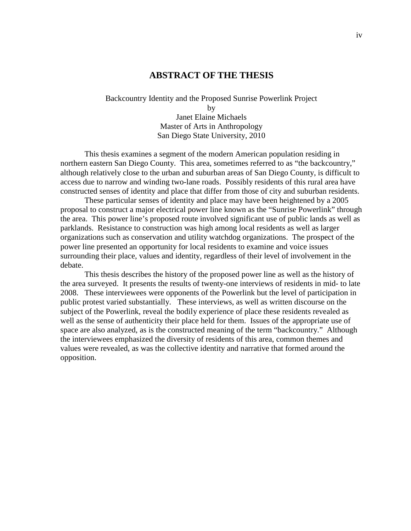## **ABSTRACT OF THE THESIS**

Backcountry Identity and the Proposed Sunrise Powerlink Project by Janet Elaine Michaels Master of Arts in Anthropology San Diego State University, 2010

This thesis examines a segment of the modern American population residing in northern eastern San Diego County. This area, sometimes referred to as "the backcountry," although relatively close to the urban and suburban areas of San Diego County, is difficult to access due to narrow and winding two-lane roads. Possibly residents of this rural area have constructed senses of identity and place that differ from those of city and suburban residents.

These particular senses of identity and place may have been heightened by a 2005 proposal to construct a major electrical power line known as the "Sunrise Powerlink" through the area. This power line's proposed route involved significant use of public lands as well as parklands. Resistance to construction was high among local residents as well as larger organizations such as conservation and utility watchdog organizations. The prospect of the power line presented an opportunity for local residents to examine and voice issues surrounding their place, values and identity, regardless of their level of involvement in the debate.

This thesis describes the history of the proposed power line as well as the history of the area surveyed. It presents the results of twenty-one interviews of residents in mid- to late 2008. These interviewees were opponents of the Powerlink but the level of participation in public protest varied substantially. These interviews, as well as written discourse on the subject of the Powerlink, reveal the bodily experience of place these residents revealed as well as the sense of authenticity their place held for them. Issues of the appropriate use of space are also analyzed, as is the constructed meaning of the term "backcountry." Although the interviewees emphasized the diversity of residents of this area, common themes and values were revealed, as was the collective identity and narrative that formed around the opposition.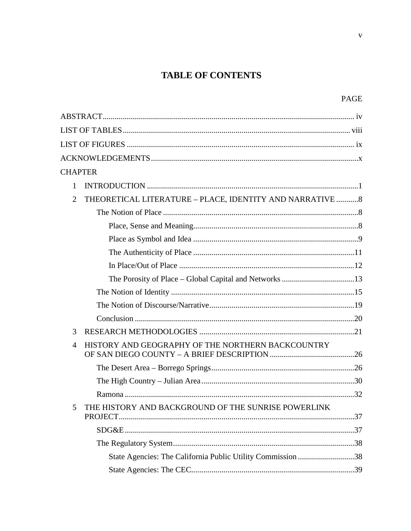## **TABLE OF CONTENTS**

| <b>CHAPTER</b> |                                                             |  |  |  |
|----------------|-------------------------------------------------------------|--|--|--|
| 1              |                                                             |  |  |  |
| $\overline{2}$ | THEORETICAL LITERATURE - PLACE, IDENTITY AND NARRATIVE  8   |  |  |  |
|                |                                                             |  |  |  |
|                |                                                             |  |  |  |
|                |                                                             |  |  |  |
|                |                                                             |  |  |  |
|                |                                                             |  |  |  |
|                |                                                             |  |  |  |
|                |                                                             |  |  |  |
|                |                                                             |  |  |  |
|                |                                                             |  |  |  |
| 3              |                                                             |  |  |  |
| $\overline{4}$ | HISTORY AND GEOGRAPHY OF THE NORTHERN BACKCOUNTRY           |  |  |  |
|                |                                                             |  |  |  |
|                |                                                             |  |  |  |
|                |                                                             |  |  |  |
| 5              | THE HISTORY AND BACKGROUND OF THE SUNRISE POWERLINK         |  |  |  |
|                |                                                             |  |  |  |
|                |                                                             |  |  |  |
|                | State Agencies: The California Public Utility Commission 38 |  |  |  |
|                |                                                             |  |  |  |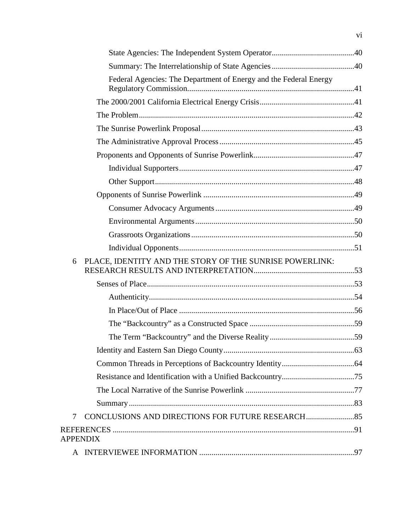|   | Federal Agencies: The Department of Energy and the Federal Energy |  |
|---|-------------------------------------------------------------------|--|
|   |                                                                   |  |
|   |                                                                   |  |
|   |                                                                   |  |
|   |                                                                   |  |
|   |                                                                   |  |
|   |                                                                   |  |
|   |                                                                   |  |
|   |                                                                   |  |
|   |                                                                   |  |
|   |                                                                   |  |
|   |                                                                   |  |
|   |                                                                   |  |
|   |                                                                   |  |
| 6 | PLACE, IDENTITY AND THE STORY OF THE SUNRISE POWERLINK:           |  |
|   |                                                                   |  |
|   |                                                                   |  |
|   |                                                                   |  |
|   |                                                                   |  |
|   |                                                                   |  |
|   |                                                                   |  |
|   |                                                                   |  |
|   |                                                                   |  |
|   |                                                                   |  |
|   |                                                                   |  |
| 7 |                                                                   |  |
|   |                                                                   |  |
|   | <b>APPENDIX</b>                                                   |  |
| A |                                                                   |  |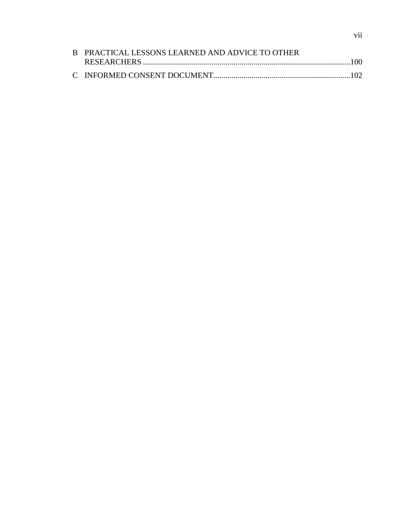| B PRACTICAL LESSONS LEARNED AND ADVICE TO OTHER |  |
|-------------------------------------------------|--|
|                                                 |  |
|                                                 |  |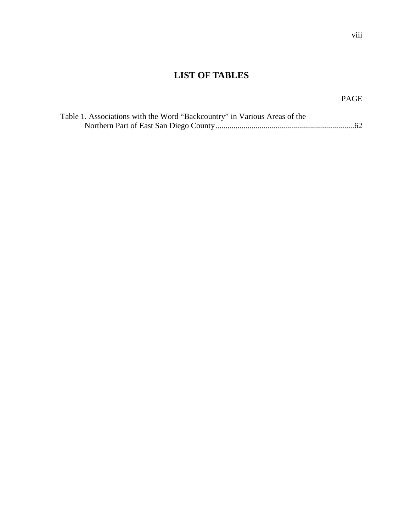## **LIST OF TABLES**

## PAGE

| Table 1. Associations with the Word "Backcountry" in Various Areas of the |  |
|---------------------------------------------------------------------------|--|
|                                                                           |  |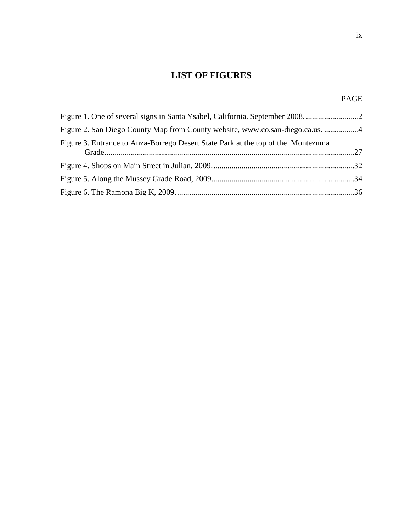## **LIST OF FIGURES**

## PAGE

| Figure 2. San Diego County Map from County website, www.co.san-diego.ca.us. 4    |  |
|----------------------------------------------------------------------------------|--|
| Figure 3. Entrance to Anza-Borrego Desert State Park at the top of the Montezuma |  |
|                                                                                  |  |
|                                                                                  |  |
|                                                                                  |  |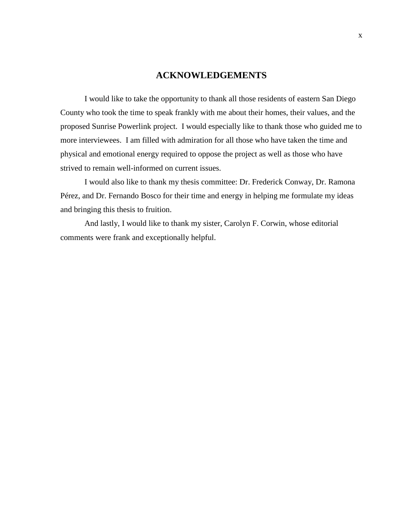## **ACKNOWLEDGEMENTS**

I would like to take the opportunity to thank all those residents of eastern San Diego County who took the time to speak frankly with me about their homes, their values, and the proposed Sunrise Powerlink project. I would especially like to thank those who guided me to more interviewees. I am filled with admiration for all those who have taken the time and physical and emotional energy required to oppose the project as well as those who have strived to remain well-informed on current issues.

I would also like to thank my thesis committee: Dr. Frederick Conway, Dr. Ramona Pérez, and Dr. Fernando Bosco for their time and energy in helping me formulate my ideas and bringing this thesis to fruition.

And lastly, I would like to thank my sister, Carolyn F. Corwin, whose editorial comments were frank and exceptionally helpful.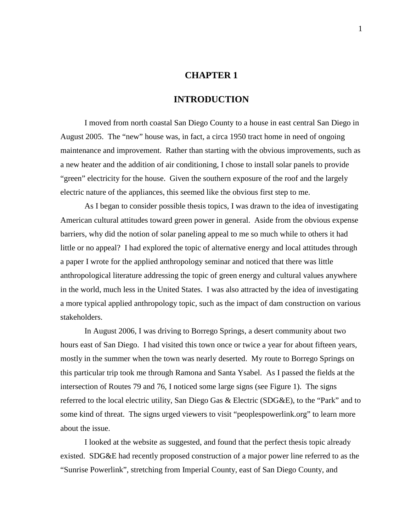## **CHAPTER 1**

## **INTRODUCTION**

I moved from north coastal San Diego County to a house in east central San Diego in August 2005. The "new" house was, in fact, a circa 1950 tract home in need of ongoing maintenance and improvement. Rather than starting with the obvious improvements, such as a new heater and the addition of air conditioning, I chose to install solar panels to provide "green" electricity for the house. Given the southern exposure of the roof and the largely electric nature of the appliances, this seemed like the obvious first step to me.

As I began to consider possible thesis topics, I was drawn to the idea of investigating American cultural attitudes toward green power in general. Aside from the obvious expense barriers, why did the notion of solar paneling appeal to me so much while to others it had little or no appeal? I had explored the topic of alternative energy and local attitudes through a paper I wrote for the applied anthropology seminar and noticed that there was little anthropological literature addressing the topic of green energy and cultural values anywhere in the world, much less in the United States. I was also attracted by the idea of investigating a more typical applied anthropology topic, such as the impact of dam construction on various stakeholders.

In August 2006, I was driving to Borrego Springs, a desert community about two hours east of San Diego. I had visited this town once or twice a year for about fifteen years, mostly in the summer when the town was nearly deserted. My route to Borrego Springs on this particular trip took me through Ramona and Santa Ysabel. As I passed the fields at the intersection of Routes 79 and 76, I noticed some large signs (see Figure 1). The signs referred to the local electric utility, San Diego Gas & Electric (SDG&E), to the "Park" and to some kind of threat. The signs urged viewers to visit "peoplespowerlink.org" to learn more about the issue.

I looked at the website as suggested, and found that the perfect thesis topic already existed. SDG&E had recently proposed construction of a major power line referred to as the "Sunrise Powerlink", stretching from Imperial County, east of San Diego County, and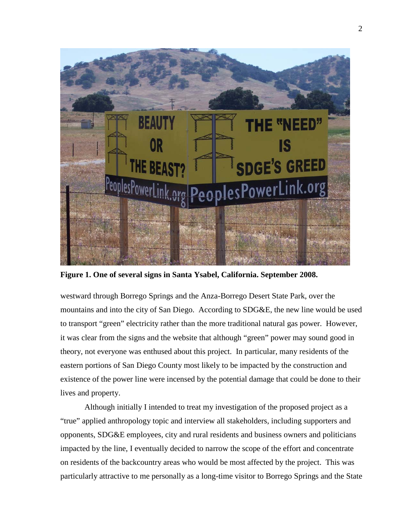

**Figure 1. One of several signs in Santa Ysabel, California. September 2008.**

westward through Borrego Springs and the Anza-Borrego Desert State Park, over the mountains and into the city of San Diego. According to SDG&E, the new line would be used to transport "green" electricity rather than the more traditional natural gas power. However, it was clear from the signs and the website that although "green" power may sound good in theory, not everyone was enthused about this project. In particular, many residents of the eastern portions of San Diego County most likely to be impacted by the construction and existence of the power line were incensed by the potential damage that could be done to their lives and property.

Although initially I intended to treat my investigation of the proposed project as a "true" applied anthropology topic and interview all stakeholders, including supporters and opponents, SDG&E employees, city and rural residents and business owners and politicians impacted by the line, I eventually decided to narrow the scope of the effort and concentrate on residents of the backcountry areas who would be most affected by the project. This was particularly attractive to me personally as a long-time visitor to Borrego Springs and the State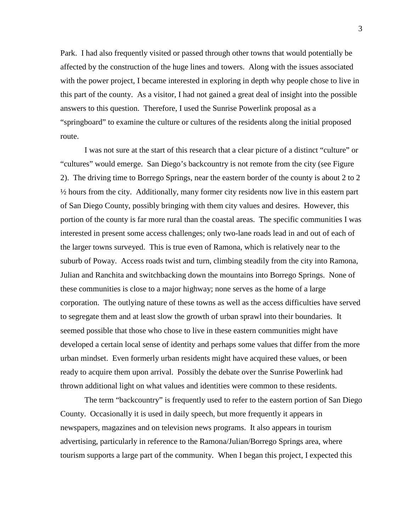Park. I had also frequently visited or passed through other towns that would potentially be affected by the construction of the huge lines and towers. Along with the issues associated with the power project, I became interested in exploring in depth why people chose to live in this part of the county. As a visitor, I had not gained a great deal of insight into the possible answers to this question. Therefore, I used the Sunrise Powerlink proposal as a "springboard" to examine the culture or cultures of the residents along the initial proposed route.

I was not sure at the start of this research that a clear picture of a distinct "culture" or "cultures" would emerge. San Diego's backcountry is not remote from the city (see Figure 2). The driving time to Borrego Springs, near the eastern border of the county is about 2 to 2  $\frac{1}{2}$  hours from the city. Additionally, many former city residents now live in this eastern part of San Diego County, possibly bringing with them city values and desires. However, this portion of the county is far more rural than the coastal areas. The specific communities I was interested in present some access challenges; only two-lane roads lead in and out of each of the larger towns surveyed. This is true even of Ramona, which is relatively near to the suburb of Poway. Access roads twist and turn, climbing steadily from the city into Ramona, Julian and Ranchita and switchbacking down the mountains into Borrego Springs. None of these communities is close to a major highway; none serves as the home of a large corporation. The outlying nature of these towns as well as the access difficulties have served to segregate them and at least slow the growth of urban sprawl into their boundaries. It seemed possible that those who chose to live in these eastern communities might have developed a certain local sense of identity and perhaps some values that differ from the more urban mindset. Even formerly urban residents might have acquired these values, or been ready to acquire them upon arrival. Possibly the debate over the Sunrise Powerlink had thrown additional light on what values and identities were common to these residents.

The term "backcountry" is frequently used to refer to the eastern portion of San Diego County. Occasionally it is used in daily speech, but more frequently it appears in newspapers, magazines and on television news programs. It also appears in tourism advertising, particularly in reference to the Ramona/Julian/Borrego Springs area, where tourism supports a large part of the community. When I began this project, I expected this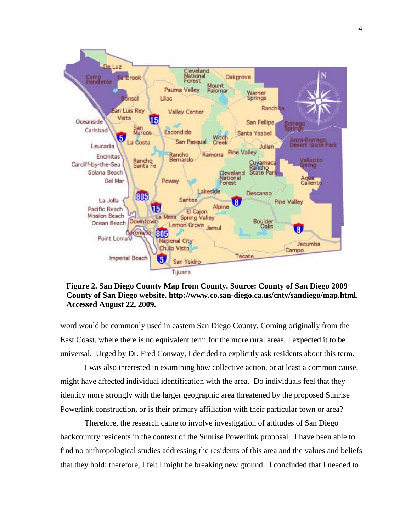

**Figure 2. San Diego County Map from County. Source: County of San Diego 2009 County of San Diego website. http://www.co.san-diego.ca.us/cnty/sandiego/map.html. Accessed August 22, 2009.**

word would be commonly used in eastern San Diego County. Coming originally from the East Coast, where there is no equivalent term for the more rural areas, I expected it to be universal. Urged by Dr. Fred Conway, I decided to explicitly ask residents about this term.

I was also interested in examining how collective action, or at least a common cause, might have affected individual identification with the area. Do individuals feel that they identify more strongly with the larger geographic area threatened by the proposed Sunrise Powerlink construction, or is their primary affiliation with their particular town or area?

Therefore, the research came to involve investigation of attitudes of San Diego backcountry residents in the context of the Sunrise Powerlink proposal. I have been able to find no anthropological studies addressing the residents of this area and the values and beliefs that they hold; therefore, I felt I might be breaking new ground. I concluded that I needed to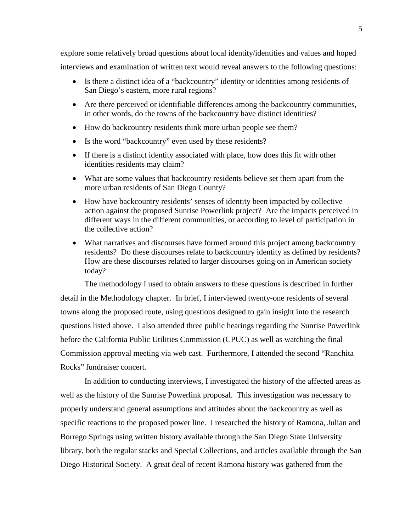explore some relatively broad questions about local identity/identities and values and hoped interviews and examination of written text would reveal answers to the following questions:

- Is there a distinct idea of a "backcountry" identity or identities among residents of San Diego's eastern, more rural regions?
- Are there perceived or identifiable differences among the backcountry communities, in other words, do the towns of the backcountry have distinct identities?
- How do backcountry residents think more urban people see them?
- Is the word "backcountry" even used by these residents?
- If there is a distinct identity associated with place, how does this fit with other identities residents may claim?
- What are some values that backcountry residents believe set them apart from the more urban residents of San Diego County?
- How have backcountry residents' senses of identity been impacted by collective action against the proposed Sunrise Powerlink project? Are the impacts perceived in different ways in the different communities, or according to level of participation in the collective action?
- What narratives and discourses have formed around this project among backcountry residents? Do these discourses relate to backcountry identity as defined by residents? How are these discourses related to larger discourses going on in American society today?

The methodology I used to obtain answers to these questions is described in further detail in the Methodology chapter. In brief, I interviewed twenty-one residents of several towns along the proposed route, using questions designed to gain insight into the research questions listed above. I also attended three public hearings regarding the Sunrise Powerlink before the California Public Utilities Commission (CPUC) as well as watching the final Commission approval meeting via web cast. Furthermore, I attended the second "Ranchita Rocks" fundraiser concert.

In addition to conducting interviews, I investigated the history of the affected areas as well as the history of the Sunrise Powerlink proposal. This investigation was necessary to properly understand general assumptions and attitudes about the backcountry as well as specific reactions to the proposed power line. I researched the history of Ramona, Julian and Borrego Springs using written history available through the San Diego State University library, both the regular stacks and Special Collections, and articles available through the San Diego Historical Society. A great deal of recent Ramona history was gathered from the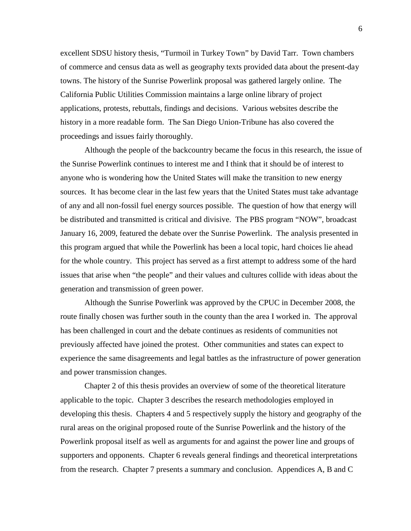excellent SDSU history thesis, "Turmoil in Turkey Town" by David Tarr. Town chambers of commerce and census data as well as geography texts provided data about the present-day towns. The history of the Sunrise Powerlink proposal was gathered largely online. The California Public Utilities Commission maintains a large online library of project applications, protests, rebuttals, findings and decisions. Various websites describe the history in a more readable form. The San Diego Union-Tribune has also covered the proceedings and issues fairly thoroughly.

Although the people of the backcountry became the focus in this research, the issue of the Sunrise Powerlink continues to interest me and I think that it should be of interest to anyone who is wondering how the United States will make the transition to new energy sources. It has become clear in the last few years that the United States must take advantage of any and all non-fossil fuel energy sources possible. The question of how that energy will be distributed and transmitted is critical and divisive. The PBS program "NOW", broadcast January 16, 2009, featured the debate over the Sunrise Powerlink. The analysis presented in this program argued that while the Powerlink has been a local topic, hard choices lie ahead for the whole country. This project has served as a first attempt to address some of the hard issues that arise when "the people" and their values and cultures collide with ideas about the generation and transmission of green power.

Although the Sunrise Powerlink was approved by the CPUC in December 2008, the route finally chosen was further south in the county than the area I worked in. The approval has been challenged in court and the debate continues as residents of communities not previously affected have joined the protest. Other communities and states can expect to experience the same disagreements and legal battles as the infrastructure of power generation and power transmission changes.

Chapter 2 of this thesis provides an overview of some of the theoretical literature applicable to the topic. Chapter 3 describes the research methodologies employed in developing this thesis. Chapters 4 and 5 respectively supply the history and geography of the rural areas on the original proposed route of the Sunrise Powerlink and the history of the Powerlink proposal itself as well as arguments for and against the power line and groups of supporters and opponents. Chapter 6 reveals general findings and theoretical interpretations from the research. Chapter 7 presents a summary and conclusion. Appendices A, B and C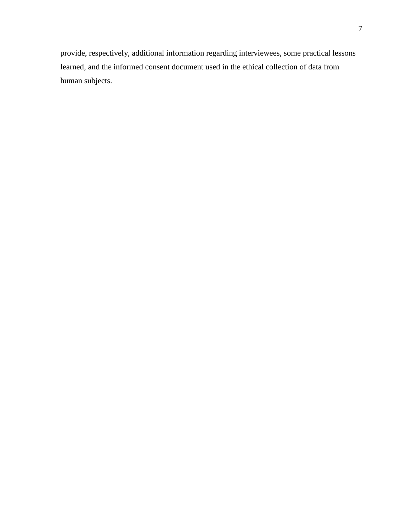provide, respectively, additional information regarding interviewees, some practical lessons learned, and the informed consent document used in the ethical collection of data from human subjects.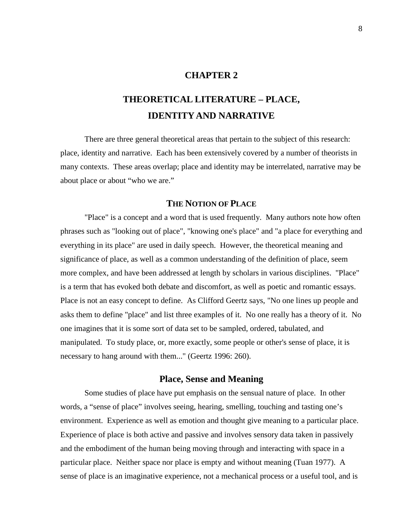## **CHAPTER 2**

# **THEORETICAL LITERATURE – PLACE, IDENTITY AND NARRATIVE**

There are three general theoretical areas that pertain to the subject of this research: place, identity and narrative. Each has been extensively covered by a number of theorists in many contexts. These areas overlap; place and identity may be interrelated, narrative may be about place or about "who we are."

## **THE NOTION OF PLACE**

"Place" is a concept and a word that is used frequently. Many authors note how often phrases such as "looking out of place", "knowing one's place" and "a place for everything and everything in its place" are used in daily speech. However, the theoretical meaning and significance of place, as well as a common understanding of the definition of place, seem more complex, and have been addressed at length by scholars in various disciplines. "Place" is a term that has evoked both debate and discomfort, as well as poetic and romantic essays. Place is not an easy concept to define. As Clifford Geertz says, "No one lines up people and asks them to define "place" and list three examples of it. No one really has a theory of it. No one imagines that it is some sort of data set to be sampled, ordered, tabulated, and manipulated. To study place, or, more exactly, some people or other's sense of place, it is necessary to hang around with them..." (Geertz 1996: 260).

#### **Place, Sense and Meaning**

Some studies of place have put emphasis on the sensual nature of place. In other words, a "sense of place" involves seeing, hearing, smelling, touching and tasting one's environment. Experience as well as emotion and thought give meaning to a particular place. Experience of place is both active and passive and involves sensory data taken in passively and the embodiment of the human being moving through and interacting with space in a particular place. Neither space nor place is empty and without meaning (Tuan 1977). A sense of place is an imaginative experience, not a mechanical process or a useful tool, and is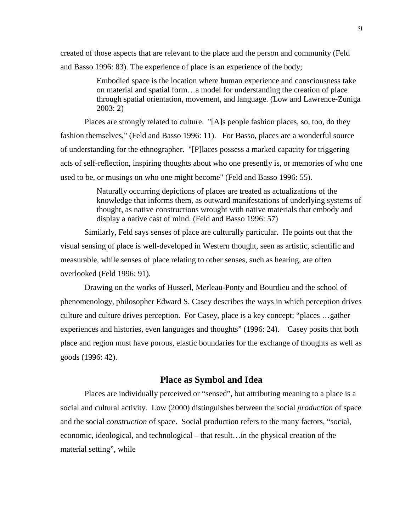created of those aspects that are relevant to the place and the person and community (Feld and Basso 1996: 83). The experience of place is an experience of the body;

> Embodied space is the location where human experience and consciousness take on material and spatial form…a model for understanding the creation of place through spatial orientation, movement, and language. (Low and Lawrence-Zuniga 2003: 2)

Places are strongly related to culture. "[A]s people fashion places, so, too, do they fashion themselves," (Feld and Basso 1996: 11). For Basso, places are a wonderful source of understanding for the ethnographer. "[P]laces possess a marked capacity for triggering acts of self-reflection, inspiring thoughts about who one presently is, or memories of who one used to be, or musings on who one might become" (Feld and Basso 1996: 55).

> Naturally occurring depictions of places are treated as actualizations of the knowledge that informs them, as outward manifestations of underlying systems of thought, as native constructions wrought with native materials that embody and display a native cast of mind. (Feld and Basso 1996: 57)

Similarly, Feld says senses of place are culturally particular. He points out that the visual sensing of place is well-developed in Western thought, seen as artistic, scientific and measurable, while senses of place relating to other senses, such as hearing, are often overlooked (Feld 1996: 91).

Drawing on the works of Husserl, Merleau-Ponty and Bourdieu and the school of phenomenology, philosopher Edward S. Casey describes the ways in which perception drives culture and culture drives perception. For Casey, place is a key concept; "places …gather experiences and histories, even languages and thoughts" (1996: 24). Casey posits that both place and region must have porous, elastic boundaries for the exchange of thoughts as well as goods (1996: 42).

#### **Place as Symbol and Idea**

Places are individually perceived or "sensed", but attributing meaning to a place is a social and cultural activity. Low (2000) distinguishes between the social *production* of space and the social *construction* of space. Social production refers to the many factors, "social, economic, ideological, and technological – that result…in the physical creation of the material setting", while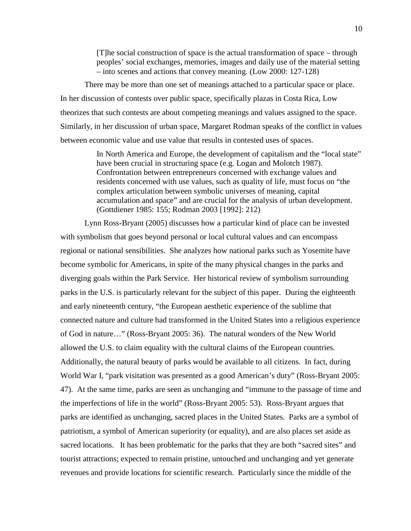[T]he social construction of space is the actual transformation of space – through peoples' social exchanges, memories, images and daily use of the material setting – into scenes and actions that convey meaning. (Low 2000: 127-128)

There may be more than one set of meanings attached to a particular space or place. In her discussion of contests over public space, specifically plazas in Costa Rica, Low theorizes that such contests are about competing meanings and values assigned to the space. Similarly, in her discussion of urban space, Margaret Rodman speaks of the conflict in values between economic value and use value that results in contested uses of spaces.

> In North America and Europe, the development of capitalism and the "local state" have been crucial in structuring space (e.g. Logan and Molotch 1987). Confrontation between entrepreneurs concerned with exchange values and residents concerned with use values, such as quality of life, must focus on "the complex articulation between symbolic universes of meaning, capital accumulation and space" and are crucial for the analysis of urban development. (Gottdiener 1985: 155; Rodman 2003 [1992]: 212)

Lynn Ross-Bryant (2005) discusses how a particular kind of place can be invested with symbolism that goes beyond personal or local cultural values and can encompass regional or national sensibilities. She analyzes how national parks such as Yosemite have become symbolic for Americans, in spite of the many physical changes in the parks and diverging goals within the Park Service. Her historical review of symbolism surrounding parks in the U.S. is particularly relevant for the subject of this paper. During the eighteenth and early nineteenth century, "the European aesthetic experience of the sublime that connected nature and culture had transformed in the United States into a religious experience of God in nature…" (Ross-Bryant 2005: 36). The natural wonders of the New World allowed the U.S. to claim equality with the cultural claims of the European countries. Additionally, the natural beauty of parks would be available to all citizens. In fact, during World War I, "park visitation was presented as a good American's duty" (Ross-Bryant 2005: 47). At the same time, parks are seen as unchanging and "immune to the passage of time and the imperfections of life in the world" (Ross-Bryant 2005: 53). Ross-Bryant argues that parks are identified as unchanging, sacred places in the United States. Parks are a symbol of patriotism, a symbol of American superiority (or equality), and are also places set aside as sacred locations. It has been problematic for the parks that they are both "sacred sites" and tourist attractions; expected to remain pristine, untouched and unchanging and yet generate revenues and provide locations for scientific research. Particularly since the middle of the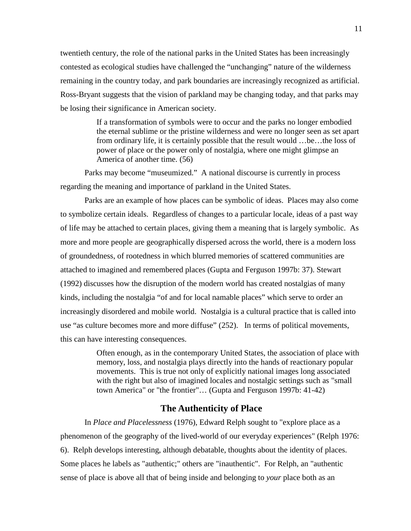twentieth century, the role of the national parks in the United States has been increasingly contested as ecological studies have challenged the "unchanging" nature of the wilderness remaining in the country today, and park boundaries are increasingly recognized as artificial. Ross-Bryant suggests that the vision of parkland may be changing today, and that parks may be losing their significance in American society.

> If a transformation of symbols were to occur and the parks no longer embodied the eternal sublime or the pristine wilderness and were no longer seen as set apart from ordinary life, it is certainly possible that the result would …be…the loss of power of place or the power only of nostalgia, where one might glimpse an America of another time. (56)

Parks may become "museumized." A national discourse is currently in process regarding the meaning and importance of parkland in the United States.

Parks are an example of how places can be symbolic of ideas. Places may also come to symbolize certain ideals. Regardless of changes to a particular locale, ideas of a past way of life may be attached to certain places, giving them a meaning that is largely symbolic. As more and more people are geographically dispersed across the world, there is a modern loss of groundedness, of rootedness in which blurred memories of scattered communities are attached to imagined and remembered places (Gupta and Ferguson 1997b: 37). Stewart (1992) discusses how the disruption of the modern world has created nostalgias of many kinds, including the nostalgia "of and for local namable places" which serve to order an increasingly disordered and mobile world. Nostalgia is a cultural practice that is called into use "as culture becomes more and more diffuse" (252). In terms of political movements, this can have interesting consequences.

> Often enough, as in the contemporary United States, the association of place with memory, loss, and nostalgia plays directly into the hands of reactionary popular movements. This is true not only of explicitly national images long associated with the right but also of imagined locales and nostalgic settings such as "small town America" or "the frontier"… (Gupta and Ferguson 1997b: 41-42)

## **The Authenticity of Place**

In *Place and Placelessness* (1976), Edward Relph sought to "explore place as a phenomenon of the geography of the lived-world of our everyday experiences" (Relph 1976: 6). Relph develops interesting, although debatable, thoughts about the identity of places. Some places he labels as "authentic;" others are "inauthentic". For Relph, an "authentic sense of place is above all that of being inside and belonging to *your* place both as an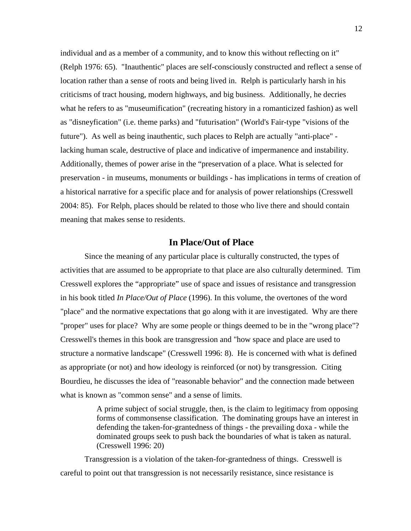individual and as a member of a community, and to know this without reflecting on it" (Relph 1976: 65). "Inauthentic" places are self-consciously constructed and reflect a sense of location rather than a sense of roots and being lived in. Relph is particularly harsh in his criticisms of tract housing, modern highways, and big business. Additionally, he decries what he refers to as "museumification" (recreating history in a romanticized fashion) as well as "disneyfication" (i.e. theme parks) and "futurisation" (World's Fair-type "visions of the future"). As well as being inauthentic, such places to Relph are actually "anti-place" lacking human scale, destructive of place and indicative of impermanence and instability. Additionally, themes of power arise in the "preservation of a place. What is selected for preservation - in museums, monuments or buildings - has implications in terms of creation of a historical narrative for a specific place and for analysis of power relationships (Cresswell 2004: 85). For Relph, places should be related to those who live there and should contain meaning that makes sense to residents.

## **In Place/Out of Place**

Since the meaning of any particular place is culturally constructed, the types of activities that are assumed to be appropriate to that place are also culturally determined. Tim Cresswell explores the "appropriate" use of space and issues of resistance and transgression in his book titled *In Place/Out of Place* (1996). In this volume, the overtones of the word "place" and the normative expectations that go along with it are investigated. Why are there "proper" uses for place? Why are some people or things deemed to be in the "wrong place"? Cresswell's themes in this book are transgression and "how space and place are used to structure a normative landscape" (Cresswell 1996: 8). He is concerned with what is defined as appropriate (or not) and how ideology is reinforced (or not) by transgression. Citing Bourdieu, he discusses the idea of "reasonable behavior" and the connection made between what is known as "common sense" and a sense of limits.

> A prime subject of social struggle, then, is the claim to legitimacy from opposing forms of commonsense classification. The dominating groups have an interest in defending the taken-for-grantedness of things - the prevailing doxa - while the dominated groups seek to push back the boundaries of what is taken as natural. (Cresswell 1996: 20)

Transgression is a violation of the taken-for-grantedness of things. Cresswell is careful to point out that transgression is not necessarily resistance, since resistance is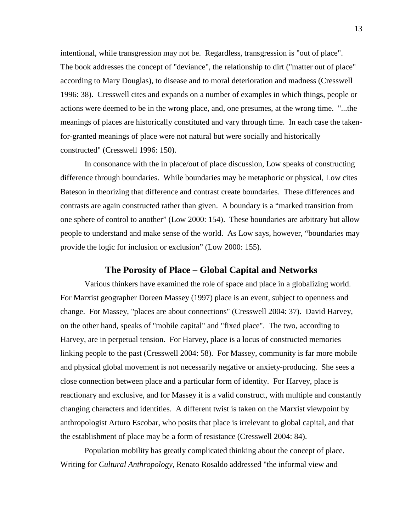intentional, while transgression may not be. Regardless, transgression is "out of place". The book addresses the concept of "deviance", the relationship to dirt ("matter out of place" according to Mary Douglas), to disease and to moral deterioration and madness (Cresswell 1996: 38). Cresswell cites and expands on a number of examples in which things, people or actions were deemed to be in the wrong place, and, one presumes, at the wrong time. "...the meanings of places are historically constituted and vary through time. In each case the takenfor-granted meanings of place were not natural but were socially and historically constructed" (Cresswell 1996: 150).

In consonance with the in place/out of place discussion, Low speaks of constructing difference through boundaries. While boundaries may be metaphoric or physical, Low cites Bateson in theorizing that difference and contrast create boundaries. These differences and contrasts are again constructed rather than given. A boundary is a "marked transition from one sphere of control to another" (Low 2000: 154). These boundaries are arbitrary but allow people to understand and make sense of the world. As Low says, however, "boundaries may provide the logic for inclusion or exclusion" (Low 2000: 155).

#### **The Porosity of Place – Global Capital and Networks**

Various thinkers have examined the role of space and place in a globalizing world. For Marxist geographer Doreen Massey (1997) place is an event, subject to openness and change. For Massey, "places are about connections" (Cresswell 2004: 37). David Harvey, on the other hand, speaks of "mobile capital" and "fixed place". The two, according to Harvey, are in perpetual tension. For Harvey, place is a locus of constructed memories linking people to the past (Cresswell 2004: 58). For Massey, community is far more mobile and physical global movement is not necessarily negative or anxiety-producing. She sees a close connection between place and a particular form of identity. For Harvey, place is reactionary and exclusive, and for Massey it is a valid construct, with multiple and constantly changing characters and identities. A different twist is taken on the Marxist viewpoint by anthropologist Arturo Escobar, who posits that place is irrelevant to global capital, and that the establishment of place may be a form of resistance (Cresswell 2004: 84).

Population mobility has greatly complicated thinking about the concept of place. Writing for *Cultural Anthropology*, Renato Rosaldo addressed "the informal view and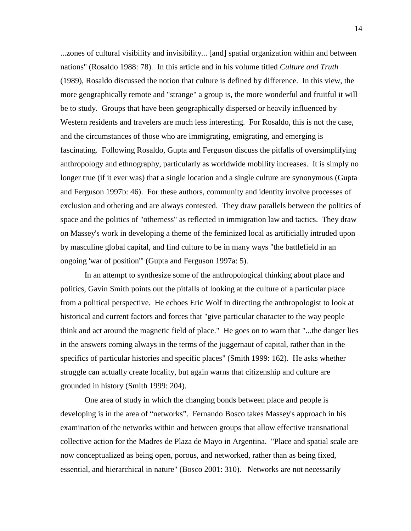...zones of cultural visibility and invisibility... [and] spatial organization within and between nations" (Rosaldo 1988: 78). In this article and in his volume titled *Culture and Truth*  (1989), Rosaldo discussed the notion that culture is defined by difference. In this view, the more geographically remote and "strange" a group is, the more wonderful and fruitful it will be to study. Groups that have been geographically dispersed or heavily influenced by Western residents and travelers are much less interesting. For Rosaldo, this is not the case, and the circumstances of those who are immigrating, emigrating, and emerging is fascinating. Following Rosaldo, Gupta and Ferguson discuss the pitfalls of oversimplifying anthropology and ethnography, particularly as worldwide mobility increases. It is simply no longer true (if it ever was) that a single location and a single culture are synonymous (Gupta and Ferguson 1997b: 46). For these authors, community and identity involve processes of exclusion and othering and are always contested. They draw parallels between the politics of space and the politics of "otherness" as reflected in immigration law and tactics. They draw on Massey's work in developing a theme of the feminized local as artificially intruded upon by masculine global capital, and find culture to be in many ways "the battlefield in an ongoing 'war of position'" (Gupta and Ferguson 1997a: 5).

In an attempt to synthesize some of the anthropological thinking about place and politics, Gavin Smith points out the pitfalls of looking at the culture of a particular place from a political perspective. He echoes Eric Wolf in directing the anthropologist to look at historical and current factors and forces that "give particular character to the way people think and act around the magnetic field of place." He goes on to warn that "...the danger lies in the answers coming always in the terms of the juggernaut of capital, rather than in the specifics of particular histories and specific places" (Smith 1999: 162). He asks whether struggle can actually create locality, but again warns that citizenship and culture are grounded in history (Smith 1999: 204).

One area of study in which the changing bonds between place and people is developing is in the area of "networks". Fernando Bosco takes Massey's approach in his examination of the networks within and between groups that allow effective transnational collective action for the Madres de Plaza de Mayo in Argentina. "Place and spatial scale are now conceptualized as being open, porous, and networked, rather than as being fixed, essential, and hierarchical in nature" (Bosco 2001: 310). Networks are not necessarily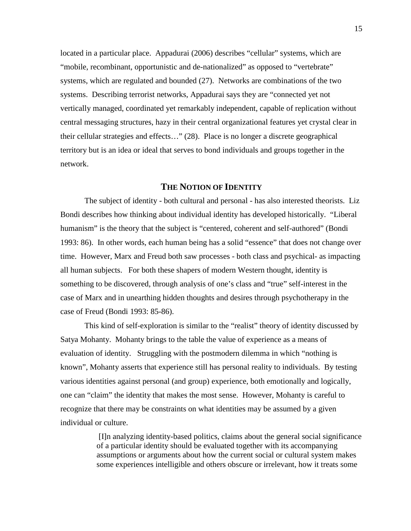located in a particular place. Appadurai (2006) describes "cellular" systems, which are "mobile, recombinant, opportunistic and de-nationalized" as opposed to "vertebrate" systems, which are regulated and bounded (27). Networks are combinations of the two systems. Describing terrorist networks, Appadurai says they are "connected yet not vertically managed, coordinated yet remarkably independent, capable of replication without central messaging structures, hazy in their central organizational features yet crystal clear in their cellular strategies and effects…" (28). Place is no longer a discrete geographical territory but is an idea or ideal that serves to bond individuals and groups together in the network.

## **THE NOTION OF IDENTITY**

The subject of identity - both cultural and personal - has also interested theorists. Liz Bondi describes how thinking about individual identity has developed historically. "Liberal humanism" is the theory that the subject is "centered, coherent and self-authored" (Bondi 1993: 86). In other words, each human being has a solid "essence" that does not change over time. However, Marx and Freud both saw processes - both class and psychical- as impacting all human subjects. For both these shapers of modern Western thought, identity is something to be discovered, through analysis of one's class and "true" self-interest in the case of Marx and in unearthing hidden thoughts and desires through psychotherapy in the case of Freud (Bondi 1993: 85-86).

This kind of self-exploration is similar to the "realist" theory of identity discussed by Satya Mohanty. Mohanty brings to the table the value of experience as a means of evaluation of identity. Struggling with the postmodern dilemma in which "nothing is known", Mohanty asserts that experience still has personal reality to individuals. By testing various identities against personal (and group) experience, both emotionally and logically, one can "claim" the identity that makes the most sense. However, Mohanty is careful to recognize that there may be constraints on what identities may be assumed by a given individual or culture.

> [I]n analyzing identity-based politics, claims about the general social significance of a particular identity should be evaluated together with its accompanying assumptions or arguments about how the current social or cultural system makes some experiences intelligible and others obscure or irrelevant, how it treats some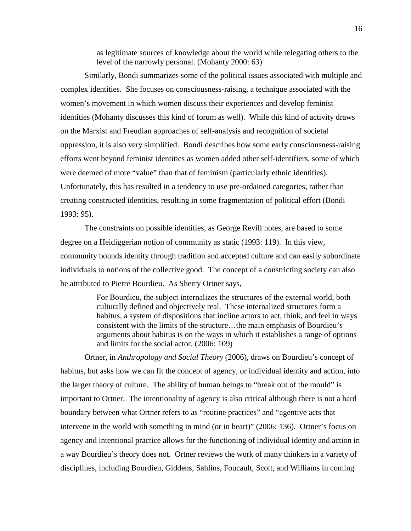as legitimate sources of knowledge about the world while relegating others to the level of the narrowly personal. (Mohanty 2000: 63)

Similarly, Bondi summarizes some of the political issues associated with multiple and complex identities. She focuses on consciousness-raising, a technique associated with the women's movement in which women discuss their experiences and develop feminist identities (Mohanty discusses this kind of forum as well). While this kind of activity draws on the Marxist and Freudian approaches of self-analysis and recognition of societal oppression, it is also very simplified. Bondi describes how some early consciousness-raising efforts went beyond feminist identities as women added other self-identifiers, some of which were deemed of more "value" than that of feminism (particularly ethnic identities). Unfortunately, this has resulted in a tendency to use pre-ordained categories, rather than creating constructed identities, resulting in some fragmentation of political effort (Bondi 1993: 95).

The constraints on possible identities, as George Revill notes, are based to some degree on a Heidiggerian notion of community as static (1993: 119). In this view, community bounds identity through tradition and accepted culture and can easily subordinate individuals to notions of the collective good. The concept of a constricting society can also be attributed to Pierre Bourdieu. As Sherry Ortner says,

> For Bourdieu, the subject internalizes the structures of the external world, both culturally defined and objectively real. These internalized structures form a habitus, a system of dispositions that incline actors to act, think, and feel in ways consistent with the limits of the structure…the main emphasis of Bourdieu's arguments about habitus is on the ways in which it establishes a range of options and limits for the social actor. (2006: 109)

Ortner, in *Anthropology and Social Theory* (2006), draws on Bourdieu's concept of habitus, but asks how we can fit the concept of agency, or individual identity and action, into the larger theory of culture. The ability of human beings to "break out of the mould" is important to Ortner. The intentionality of agency is also critical although there is not a hard boundary between what Ortner refers to as "routine practices" and "agentive acts that intervene in the world with something in mind (or in heart)" (2006: 136). Ortner's focus on agency and intentional practice allows for the functioning of individual identity and action in a way Bourdieu's theory does not. Ortner reviews the work of many thinkers in a variety of disciplines, including Bourdieu, Giddens, Sahlins, Foucault, Scott, and Williams in coming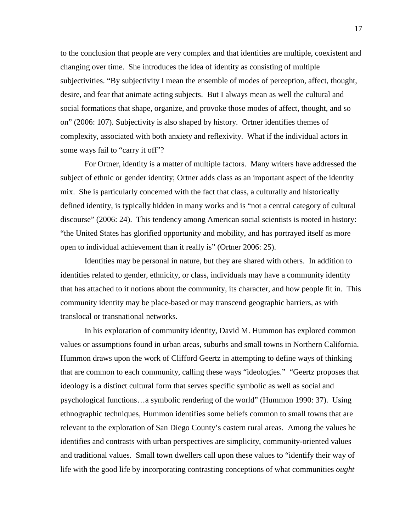to the conclusion that people are very complex and that identities are multiple, coexistent and changing over time. She introduces the idea of identity as consisting of multiple subjectivities. "By subjectivity I mean the ensemble of modes of perception, affect, thought, desire, and fear that animate acting subjects. But I always mean as well the cultural and social formations that shape, organize, and provoke those modes of affect, thought, and so on" (2006: 107). Subjectivity is also shaped by history. Ortner identifies themes of complexity, associated with both anxiety and reflexivity. What if the individual actors in some ways fail to "carry it off"?

For Ortner, identity is a matter of multiple factors. Many writers have addressed the subject of ethnic or gender identity; Ortner adds class as an important aspect of the identity mix. She is particularly concerned with the fact that class, a culturally and historically defined identity, is typically hidden in many works and is "not a central category of cultural discourse" (2006: 24). This tendency among American social scientists is rooted in history: "the United States has glorified opportunity and mobility, and has portrayed itself as more open to individual achievement than it really is" (Ortner 2006: 25).

Identities may be personal in nature, but they are shared with others. In addition to identities related to gender, ethnicity, or class, individuals may have a community identity that has attached to it notions about the community, its character, and how people fit in. This community identity may be place-based or may transcend geographic barriers, as with translocal or transnational networks.

In his exploration of community identity, David M. Hummon has explored common values or assumptions found in urban areas, suburbs and small towns in Northern California. Hummon draws upon the work of Clifford Geertz in attempting to define ways of thinking that are common to each community, calling these ways "ideologies." "Geertz proposes that ideology is a distinct cultural form that serves specific symbolic as well as social and psychological functions…a symbolic rendering of the world" (Hummon 1990: 37). Using ethnographic techniques, Hummon identifies some beliefs common to small towns that are relevant to the exploration of San Diego County's eastern rural areas. Among the values he identifies and contrasts with urban perspectives are simplicity, community-oriented values and traditional values. Small town dwellers call upon these values to "identify their way of life with the good life by incorporating contrasting conceptions of what communities *ought*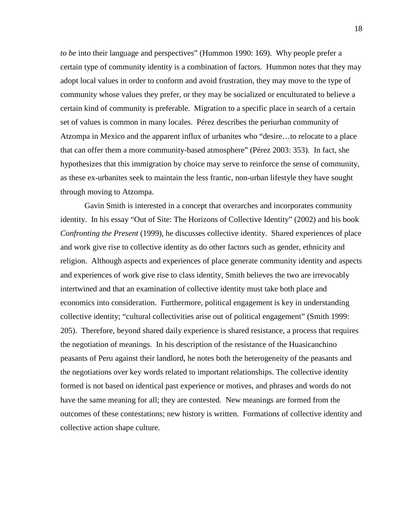*to be* into their language and perspectives" (Hummon 1990: 169). Why people prefer a certain type of community identity is a combination of factors. Hummon notes that they may adopt local values in order to conform and avoid frustration, they may move to the type of community whose values they prefer, or they may be socialized or enculturated to believe a certain kind of community is preferable. Migration to a specific place in search of a certain set of values is common in many locales. Pérez describes the periurban community of Atzompa in Mexico and the apparent influx of urbanites who "desire…to relocate to a place that can offer them a more community-based atmosphere" (Pérez 2003: 353). In fact, she hypothesizes that this immigration by choice may serve to reinforce the sense of community, as these ex-urbanites seek to maintain the less frantic, non-urban lifestyle they have sought through moving to Atzompa.

Gavin Smith is interested in a concept that overarches and incorporates community identity. In his essay "Out of Site: The Horizons of Collective Identity" (2002) and his book *Confronting the Present* (1999), he discusses collective identity. Shared experiences of place and work give rise to collective identity as do other factors such as gender, ethnicity and religion. Although aspects and experiences of place generate community identity and aspects and experiences of work give rise to class identity, Smith believes the two are irrevocably intertwined and that an examination of collective identity must take both place and economics into consideration. Furthermore, political engagement is key in understanding collective identity; "cultural collectivities arise out of political engagement" (Smith 1999: 205). Therefore, beyond shared daily experience is shared resistance, a process that requires the negotiation of meanings. In his description of the resistance of the Huasicanchino peasants of Peru against their landlord, he notes both the heterogeneity of the peasants and the negotiations over key words related to important relationships. The collective identity formed is not based on identical past experience or motives, and phrases and words do not have the same meaning for all; they are contested. New meanings are formed from the outcomes of these contestations; new history is written. Formations of collective identity and collective action shape culture.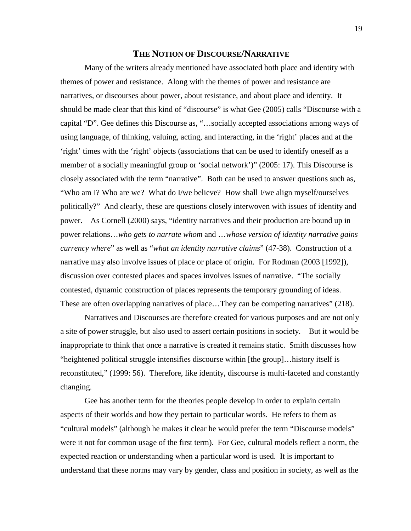#### **THE NOTION OF DISCOURSE/NARRATIVE**

Many of the writers already mentioned have associated both place and identity with themes of power and resistance. Along with the themes of power and resistance are narratives, or discourses about power, about resistance, and about place and identity. It should be made clear that this kind of "discourse" is what Gee (2005) calls "Discourse with a capital "D". Gee defines this Discourse as, "…socially accepted associations among ways of using language, of thinking, valuing, acting, and interacting, in the 'right' places and at the 'right' times with the 'right' objects (associations that can be used to identify oneself as a member of a socially meaningful group or 'social network')" (2005: 17). This Discourse is closely associated with the term "narrative". Both can be used to answer questions such as, "Who am I? Who are we? What do I/we believe? How shall I/we align myself/ourselves politically?" And clearly, these are questions closely interwoven with issues of identity and power. As Cornell (2000) says, "identity narratives and their production are bound up in power relations…*who gets to narrate whom* and …*whose version of identity narrative gains currency where*" as well as "*what an identity narrative claims*" (47-38). Construction of a narrative may also involve issues of place or place of origin. For Rodman (2003 [1992]), discussion over contested places and spaces involves issues of narrative. "The socially contested, dynamic construction of places represents the temporary grounding of ideas. These are often overlapping narratives of place...They can be competing narratives" (218).

Narratives and Discourses are therefore created for various purposes and are not only a site of power struggle, but also used to assert certain positions in society. But it would be inappropriate to think that once a narrative is created it remains static. Smith discusses how "heightened political struggle intensifies discourse within [the group]…history itself is reconstituted," (1999: 56). Therefore, like identity, discourse is multi-faceted and constantly changing.

Gee has another term for the theories people develop in order to explain certain aspects of their worlds and how they pertain to particular words. He refers to them as "cultural models" (although he makes it clear he would prefer the term "Discourse models" were it not for common usage of the first term). For Gee, cultural models reflect a norm, the expected reaction or understanding when a particular word is used. It is important to understand that these norms may vary by gender, class and position in society, as well as the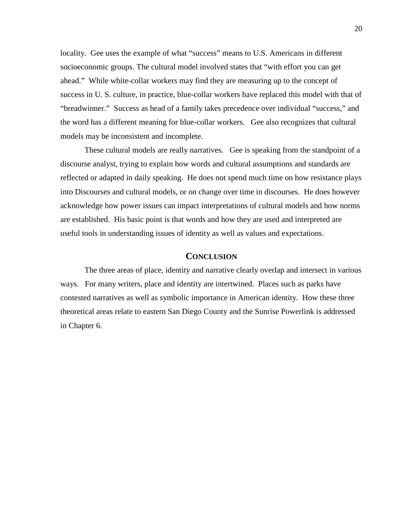locality. Gee uses the example of what "success" means to U.S. Americans in different socioeconomic groups. The cultural model involved states that "with effort you can get ahead." While white-collar workers may find they are measuring up to the concept of success in U. S. culture, in practice, blue-collar workers have replaced this model with that of "breadwinner." Success as head of a family takes precedence over individual "success," and the word has a different meaning for blue-collar workers. Gee also recognizes that cultural models may be inconsistent and incomplete.

These cultural models are really narratives. Gee is speaking from the standpoint of a discourse analyst, trying to explain how words and cultural assumptions and standards are reflected or adapted in daily speaking. He does not spend much time on how resistance plays into Discourses and cultural models, or on change over time in discourses. He does however acknowledge how power issues can impact interpretations of cultural models and how norms are established. His basic point is that words and how they are used and interpreted are useful tools in understanding issues of identity as well as values and expectations.

#### **CONCLUSION**

The three areas of place, identity and narrative clearly overlap and intersect in various ways. For many writers, place and identity are intertwined. Places such as parks have contested narratives as well as symbolic importance in American identity. How these three theoretical areas relate to eastern San Diego County and the Sunrise Powerlink is addressed in Chapter 6.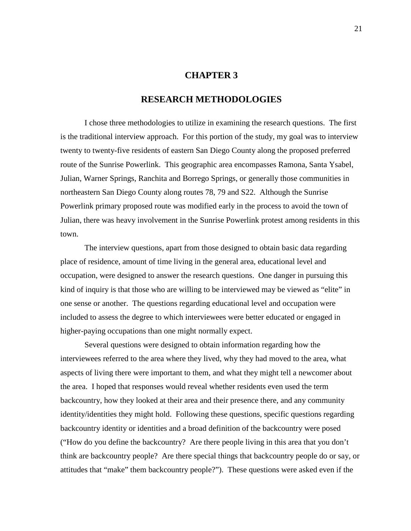## **CHAPTER 3**

## **RESEARCH METHODOLOGIES**

I chose three methodologies to utilize in examining the research questions. The first is the traditional interview approach. For this portion of the study, my goal was to interview twenty to twenty-five residents of eastern San Diego County along the proposed preferred route of the Sunrise Powerlink. This geographic area encompasses Ramona, Santa Ysabel, Julian, Warner Springs, Ranchita and Borrego Springs, or generally those communities in northeastern San Diego County along routes 78, 79 and S22. Although the Sunrise Powerlink primary proposed route was modified early in the process to avoid the town of Julian, there was heavy involvement in the Sunrise Powerlink protest among residents in this town.

The interview questions, apart from those designed to obtain basic data regarding place of residence, amount of time living in the general area, educational level and occupation, were designed to answer the research questions. One danger in pursuing this kind of inquiry is that those who are willing to be interviewed may be viewed as "elite" in one sense or another. The questions regarding educational level and occupation were included to assess the degree to which interviewees were better educated or engaged in higher-paying occupations than one might normally expect.

Several questions were designed to obtain information regarding how the interviewees referred to the area where they lived, why they had moved to the area, what aspects of living there were important to them, and what they might tell a newcomer about the area. I hoped that responses would reveal whether residents even used the term backcountry, how they looked at their area and their presence there, and any community identity/identities they might hold. Following these questions, specific questions regarding backcountry identity or identities and a broad definition of the backcountry were posed ("How do you define the backcountry? Are there people living in this area that you don't think are backcountry people? Are there special things that backcountry people do or say, or attitudes that "make" them backcountry people?"). These questions were asked even if the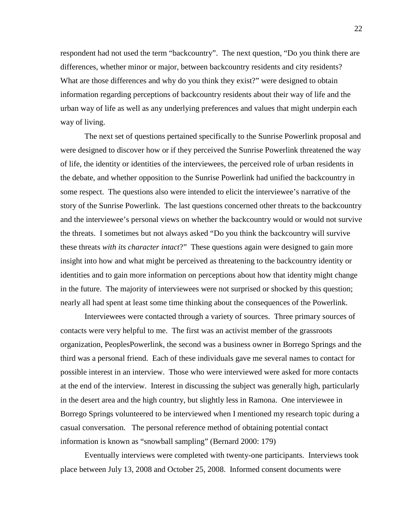respondent had not used the term "backcountry". The next question, "Do you think there are differences, whether minor or major, between backcountry residents and city residents? What are those differences and why do you think they exist?" were designed to obtain information regarding perceptions of backcountry residents about their way of life and the urban way of life as well as any underlying preferences and values that might underpin each way of living.

The next set of questions pertained specifically to the Sunrise Powerlink proposal and were designed to discover how or if they perceived the Sunrise Powerlink threatened the way of life, the identity or identities of the interviewees, the perceived role of urban residents in the debate, and whether opposition to the Sunrise Powerlink had unified the backcountry in some respect. The questions also were intended to elicit the interviewee's narrative of the story of the Sunrise Powerlink. The last questions concerned other threats to the backcountry and the interviewee's personal views on whether the backcountry would or would not survive the threats. I sometimes but not always asked "Do you think the backcountry will survive these threats *with its character intact*?" These questions again were designed to gain more insight into how and what might be perceived as threatening to the backcountry identity or identities and to gain more information on perceptions about how that identity might change in the future. The majority of interviewees were not surprised or shocked by this question; nearly all had spent at least some time thinking about the consequences of the Powerlink.

Interviewees were contacted through a variety of sources. Three primary sources of contacts were very helpful to me. The first was an activist member of the grassroots organization, PeoplesPowerlink, the second was a business owner in Borrego Springs and the third was a personal friend. Each of these individuals gave me several names to contact for possible interest in an interview. Those who were interviewed were asked for more contacts at the end of the interview. Interest in discussing the subject was generally high, particularly in the desert area and the high country, but slightly less in Ramona. One interviewee in Borrego Springs volunteered to be interviewed when I mentioned my research topic during a casual conversation. The personal reference method of obtaining potential contact information is known as "snowball sampling" (Bernard 2000: 179)

Eventually interviews were completed with twenty-one participants. Interviews took place between July 13, 2008 and October 25, 2008. Informed consent documents were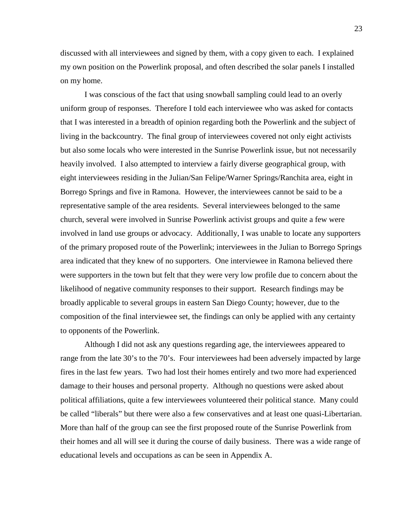discussed with all interviewees and signed by them, with a copy given to each. I explained my own position on the Powerlink proposal, and often described the solar panels I installed on my home.

I was conscious of the fact that using snowball sampling could lead to an overly uniform group of responses. Therefore I told each interviewee who was asked for contacts that I was interested in a breadth of opinion regarding both the Powerlink and the subject of living in the backcountry. The final group of interviewees covered not only eight activists but also some locals who were interested in the Sunrise Powerlink issue, but not necessarily heavily involved. I also attempted to interview a fairly diverse geographical group, with eight interviewees residing in the Julian/San Felipe/Warner Springs/Ranchita area, eight in Borrego Springs and five in Ramona. However, the interviewees cannot be said to be a representative sample of the area residents. Several interviewees belonged to the same church, several were involved in Sunrise Powerlink activist groups and quite a few were involved in land use groups or advocacy. Additionally, I was unable to locate any supporters of the primary proposed route of the Powerlink; interviewees in the Julian to Borrego Springs area indicated that they knew of no supporters. One interviewee in Ramona believed there were supporters in the town but felt that they were very low profile due to concern about the likelihood of negative community responses to their support. Research findings may be broadly applicable to several groups in eastern San Diego County; however, due to the composition of the final interviewee set, the findings can only be applied with any certainty to opponents of the Powerlink.

Although I did not ask any questions regarding age, the interviewees appeared to range from the late 30's to the 70's. Four interviewees had been adversely impacted by large fires in the last few years. Two had lost their homes entirely and two more had experienced damage to their houses and personal property. Although no questions were asked about political affiliations, quite a few interviewees volunteered their political stance. Many could be called "liberals" but there were also a few conservatives and at least one quasi-Libertarian. More than half of the group can see the first proposed route of the Sunrise Powerlink from their homes and all will see it during the course of daily business. There was a wide range of educational levels and occupations as can be seen in Appendix A.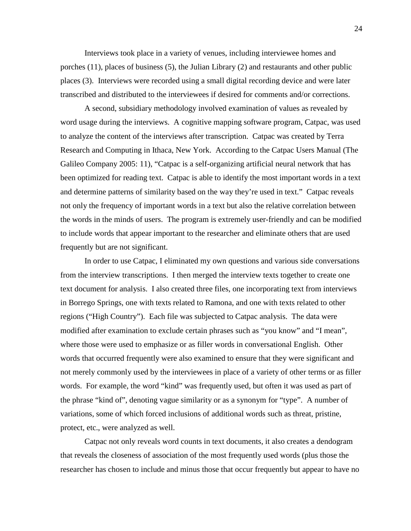Interviews took place in a variety of venues, including interviewee homes and porches (11), places of business (5), the Julian Library (2) and restaurants and other public places (3). Interviews were recorded using a small digital recording device and were later transcribed and distributed to the interviewees if desired for comments and/or corrections.

A second, subsidiary methodology involved examination of values as revealed by word usage during the interviews. A cognitive mapping software program, Catpac, was used to analyze the content of the interviews after transcription. Catpac was created by Terra Research and Computing in Ithaca, New York. According to the Catpac Users Manual (The Galileo Company 2005: 11), "Catpac is a self-organizing artificial neural network that has been optimized for reading text. Catpac is able to identify the most important words in a text and determine patterns of similarity based on the way they're used in text." Catpac reveals not only the frequency of important words in a text but also the relative correlation between the words in the minds of users. The program is extremely user-friendly and can be modified to include words that appear important to the researcher and eliminate others that are used frequently but are not significant.

In order to use Catpac, I eliminated my own questions and various side conversations from the interview transcriptions. I then merged the interview texts together to create one text document for analysis. I also created three files, one incorporating text from interviews in Borrego Springs, one with texts related to Ramona, and one with texts related to other regions ("High Country"). Each file was subjected to Catpac analysis. The data were modified after examination to exclude certain phrases such as "you know" and "I mean", where those were used to emphasize or as filler words in conversational English. Other words that occurred frequently were also examined to ensure that they were significant and not merely commonly used by the interviewees in place of a variety of other terms or as filler words. For example, the word "kind" was frequently used, but often it was used as part of the phrase "kind of", denoting vague similarity or as a synonym for "type". A number of variations, some of which forced inclusions of additional words such as threat, pristine, protect, etc., were analyzed as well.

Catpac not only reveals word counts in text documents, it also creates a dendogram that reveals the closeness of association of the most frequently used words (plus those the researcher has chosen to include and minus those that occur frequently but appear to have no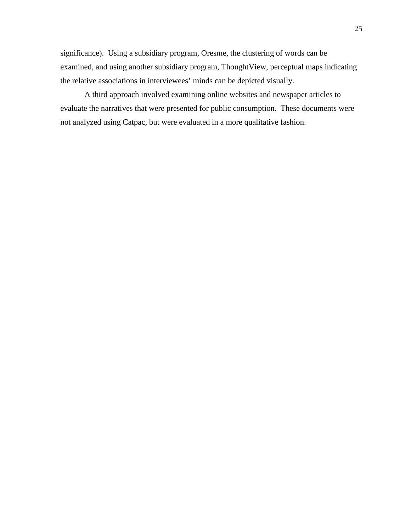significance). Using a subsidiary program, Oresme, the clustering of words can be examined, and using another subsidiary program, ThoughtView, perceptual maps indicating the relative associations in interviewees' minds can be depicted visually.

A third approach involved examining online websites and newspaper articles to evaluate the narratives that were presented for public consumption. These documents were not analyzed using Catpac, but were evaluated in a more qualitative fashion.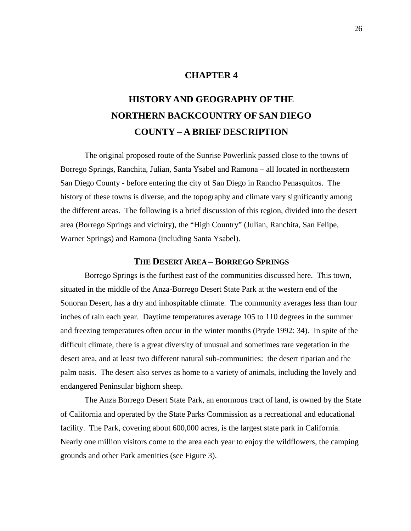### **CHAPTER 4**

# **HISTORY AND GEOGRAPHY OF THE NORTHERN BACKCOUNTRY OF SAN DIEGO COUNTY – A BRIEF DESCRIPTION**

The original proposed route of the Sunrise Powerlink passed close to the towns of Borrego Springs, Ranchita, Julian, Santa Ysabel and Ramona – all located in northeastern San Diego County - before entering the city of San Diego in Rancho Penasquitos. The history of these towns is diverse, and the topography and climate vary significantly among the different areas. The following is a brief discussion of this region, divided into the desert area (Borrego Springs and vicinity), the "High Country" (Julian, Ranchita, San Felipe, Warner Springs) and Ramona (including Santa Ysabel).

#### **THE DESERT AREA – BORREGO SPRINGS**

Borrego Springs is the furthest east of the communities discussed here. This town, situated in the middle of the Anza-Borrego Desert State Park at the western end of the Sonoran Desert, has a dry and inhospitable climate. The community averages less than four inches of rain each year. Daytime temperatures average 105 to 110 degrees in the summer and freezing temperatures often occur in the winter months (Pryde 1992: 34). In spite of the difficult climate, there is a great diversity of unusual and sometimes rare vegetation in the desert area, and at least two different natural sub-communities: the desert riparian and the palm oasis. The desert also serves as home to a variety of animals, including the lovely and endangered Peninsular bighorn sheep.

The Anza Borrego Desert State Park, an enormous tract of land, is owned by the State of California and operated by the State Parks Commission as a recreational and educational facility. The Park, covering about 600,000 acres, is the largest state park in California. Nearly one million visitors come to the area each year to enjoy the wildflowers, the camping grounds and other Park amenities (see Figure 3).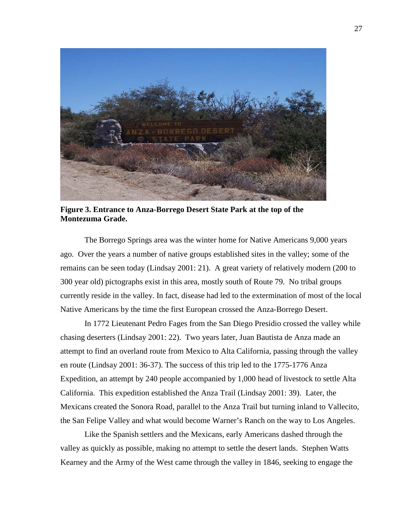

**Figure 3. Entrance to Anza-Borrego Desert State Park at the top of the Montezuma Grade.**

The Borrego Springs area was the winter home for Native Americans 9,000 years ago. Over the years a number of native groups established sites in the valley; some of the remains can be seen today (Lindsay 2001: 21). A great variety of relatively modern (200 to 300 year old) pictographs exist in this area, mostly south of Route 79. No tribal groups currently reside in the valley. In fact, disease had led to the extermination of most of the local Native Americans by the time the first European crossed the Anza-Borrego Desert.

In 1772 Lieutenant Pedro Fages from the San Diego Presidio crossed the valley while chasing deserters (Lindsay 2001: 22). Two years later, Juan Bautista de Anza made an attempt to find an overland route from Mexico to Alta California, passing through the valley en route (Lindsay 2001: 36-37). The success of this trip led to the 1775-1776 Anza Expedition, an attempt by 240 people accompanied by 1,000 head of livestock to settle Alta California. This expedition established the Anza Trail (Lindsay 2001: 39). Later, the Mexicans created the Sonora Road, parallel to the Anza Trail but turning inland to Vallecito, the San Felipe Valley and what would become Warner's Ranch on the way to Los Angeles.

Like the Spanish settlers and the Mexicans, early Americans dashed through the valley as quickly as possible, making no attempt to settle the desert lands. Stephen Watts Kearney and the Army of the West came through the valley in 1846, seeking to engage the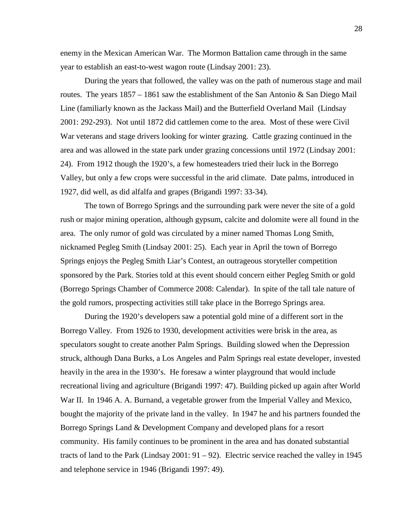enemy in the Mexican American War. The Mormon Battalion came through in the same year to establish an east-to-west wagon route (Lindsay 2001: 23).

During the years that followed, the valley was on the path of numerous stage and mail routes. The years  $1857 - 1861$  saw the establishment of the San Antonio & San Diego Mail Line (familiarly known as the Jackass Mail) and the Butterfield Overland Mail (Lindsay 2001: 292-293). Not until 1872 did cattlemen come to the area. Most of these were Civil War veterans and stage drivers looking for winter grazing. Cattle grazing continued in the area and was allowed in the state park under grazing concessions until 1972 (Lindsay 2001: 24). From 1912 though the 1920's, a few homesteaders tried their luck in the Borrego Valley, but only a few crops were successful in the arid climate. Date palms, introduced in 1927, did well, as did alfalfa and grapes (Brigandi 1997: 33-34).

The town of Borrego Springs and the surrounding park were never the site of a gold rush or major mining operation, although gypsum, calcite and dolomite were all found in the area. The only rumor of gold was circulated by a miner named Thomas Long Smith, nicknamed Pegleg Smith (Lindsay 2001: 25). Each year in April the town of Borrego Springs enjoys the Pegleg Smith Liar's Contest, an outrageous storyteller competition sponsored by the Park. Stories told at this event should concern either Pegleg Smith or gold (Borrego Springs Chamber of Commerce 2008: Calendar). In spite of the tall tale nature of the gold rumors, prospecting activities still take place in the Borrego Springs area.

During the 1920's developers saw a potential gold mine of a different sort in the Borrego Valley. From 1926 to 1930, development activities were brisk in the area, as speculators sought to create another Palm Springs. Building slowed when the Depression struck, although Dana Burks, a Los Angeles and Palm Springs real estate developer, invested heavily in the area in the 1930's. He foresaw a winter playground that would include recreational living and agriculture (Brigandi 1997: 47). Building picked up again after World War II. In 1946 A. A. Burnand, a vegetable grower from the Imperial Valley and Mexico, bought the majority of the private land in the valley. In 1947 he and his partners founded the Borrego Springs Land & Development Company and developed plans for a resort community. His family continues to be prominent in the area and has donated substantial tracts of land to the Park (Lindsay 2001: 91 – 92). Electric service reached the valley in 1945 and telephone service in 1946 (Brigandi 1997: 49).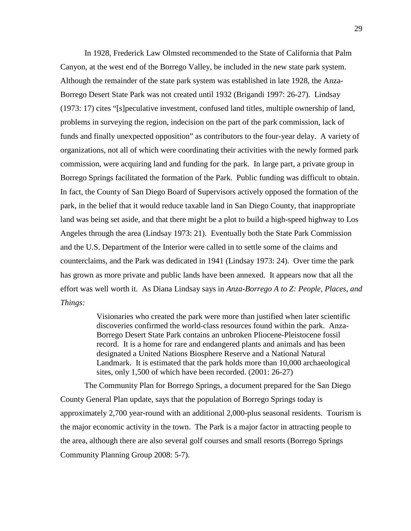In 1928, Frederick Law Olmsted recommended to the State of California that Palm Canyon, at the west end of the Borrego Valley, be included in the new state park system. Although the remainder of the state park system was established in late 1928, the Anza-Borrego Desert State Park was not created until 1932 (Brigandi 1997: 26-27). Lindsay (1973: 17) cites "[s]peculative investment, confused land titles, multiple ownership of land, problems in surveying the region, indecision on the part of the park commission, lack of funds and finally unexpected opposition" as contributors to the four-year delay. A variety of organizations, not all of which were coordinating their activities with the newly formed park commission, were acquiring land and funding for the park. In large part, a private group in Borrego Springs facilitated the formation of the Park. Public funding was difficult to obtain. In fact, the County of San Diego Board of Supervisors actively opposed the formation of the park, in the belief that it would reduce taxable land in San Diego County, that inappropriate land was being set aside, and that there might be a plot to build a high-speed highway to Los Angeles through the area (Lindsay 1973: 21). Eventually both the State Park Commission and the U.S. Department of the Interior were called in to settle some of the claims and counterclaims, and the Park was dedicated in 1941 (Lindsay 1973: 24). Over time the park has grown as more private and public lands have been annexed. It appears now that all the effort was well worth it. As Diana Lindsay says in *Anza-Borrego A to Z: People, Places, and Things:*

> Visionaries who created the park were more than justified when later scientific discoveries confirmed the world-class resources found within the park. Anza-Borrego Desert State Park contains an unbroken Pliocene-Pleistocene fossil record. It is a home for rare and endangered plants and animals and has been designated a United Nations Biosphere Reserve and a National Natural Landmark. It is estimated that the park holds more than 10,000 archaeological sites, only 1,500 of which have been recorded. (2001: 26-27)

The Community Plan for Borrego Springs, a document prepared for the San Diego County General Plan update, says that the population of Borrego Springs today is approximately 2,700 year-round with an additional 2,000-plus seasonal residents. Tourism is the major economic activity in the town. The Park is a major factor in attracting people to the area, although there are also several golf courses and small resorts (Borrego Springs Community Planning Group 2008: 5-7).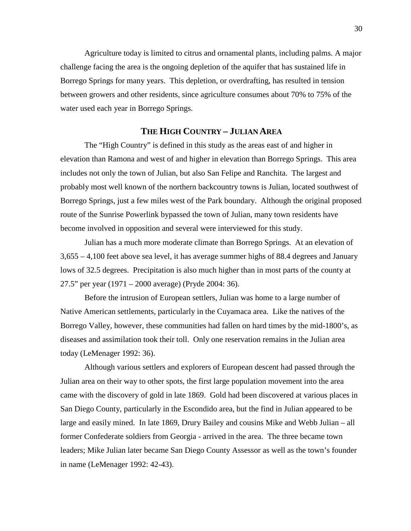Agriculture today is limited to citrus and ornamental plants, including palms. A major challenge facing the area is the ongoing depletion of the aquifer that has sustained life in Borrego Springs for many years. This depletion, or overdrafting, has resulted in tension between growers and other residents, since agriculture consumes about 70% to 75% of the water used each year in Borrego Springs.

#### **THE HIGH COUNTRY – JULIAN AREA**

The "High Country" is defined in this study as the areas east of and higher in elevation than Ramona and west of and higher in elevation than Borrego Springs. This area includes not only the town of Julian, but also San Felipe and Ranchita. The largest and probably most well known of the northern backcountry towns is Julian, located southwest of Borrego Springs, just a few miles west of the Park boundary. Although the original proposed route of the Sunrise Powerlink bypassed the town of Julian, many town residents have become involved in opposition and several were interviewed for this study.

Julian has a much more moderate climate than Borrego Springs. At an elevation of 3,655 – 4,100 feet above sea level, it has average summer highs of 88.4 degrees and January lows of 32.5 degrees. Precipitation is also much higher than in most parts of the county at 27.5" per year (1971 – 2000 average) (Pryde 2004: 36).

Before the intrusion of European settlers, Julian was home to a large number of Native American settlements, particularly in the Cuyamaca area. Like the natives of the Borrego Valley, however, these communities had fallen on hard times by the mid-1800's, as diseases and assimilation took their toll. Only one reservation remains in the Julian area today (LeMenager 1992: 36).

Although various settlers and explorers of European descent had passed through the Julian area on their way to other spots, the first large population movement into the area came with the discovery of gold in late 1869. Gold had been discovered at various places in San Diego County, particularly in the Escondido area, but the find in Julian appeared to be large and easily mined. In late 1869, Drury Bailey and cousins Mike and Webb Julian – all former Confederate soldiers from Georgia - arrived in the area. The three became town leaders; Mike Julian later became San Diego County Assessor as well as the town's founder in name (LeMenager 1992: 42-43).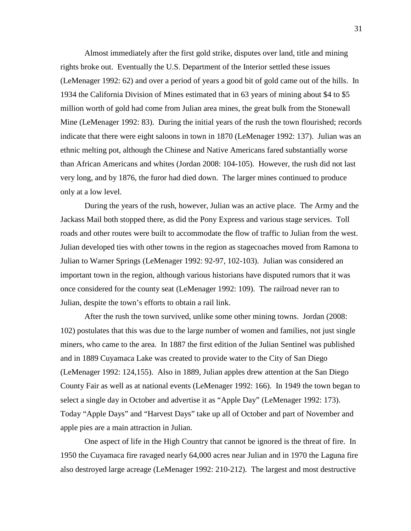Almost immediately after the first gold strike, disputes over land, title and mining rights broke out. Eventually the U.S. Department of the Interior settled these issues (LeMenager 1992: 62) and over a period of years a good bit of gold came out of the hills. In 1934 the California Division of Mines estimated that in 63 years of mining about \$4 to \$5 million worth of gold had come from Julian area mines, the great bulk from the Stonewall Mine (LeMenager 1992: 83). During the initial years of the rush the town flourished; records indicate that there were eight saloons in town in 1870 (LeMenager 1992: 137). Julian was an ethnic melting pot, although the Chinese and Native Americans fared substantially worse than African Americans and whites (Jordan 2008: 104-105). However, the rush did not last very long, and by 1876, the furor had died down. The larger mines continued to produce only at a low level.

During the years of the rush, however, Julian was an active place. The Army and the Jackass Mail both stopped there, as did the Pony Express and various stage services. Toll roads and other routes were built to accommodate the flow of traffic to Julian from the west. Julian developed ties with other towns in the region as stagecoaches moved from Ramona to Julian to Warner Springs (LeMenager 1992: 92-97, 102-103). Julian was considered an important town in the region, although various historians have disputed rumors that it was once considered for the county seat (LeMenager 1992: 109). The railroad never ran to Julian, despite the town's efforts to obtain a rail link.

After the rush the town survived, unlike some other mining towns. Jordan (2008: 102) postulates that this was due to the large number of women and families, not just single miners, who came to the area. In 1887 the first edition of the Julian Sentinel was published and in 1889 Cuyamaca Lake was created to provide water to the City of San Diego (LeMenager 1992: 124,155). Also in 1889, Julian apples drew attention at the San Diego County Fair as well as at national events (LeMenager 1992: 166). In 1949 the town began to select a single day in October and advertise it as "Apple Day" (LeMenager 1992: 173). Today "Apple Days" and "Harvest Days" take up all of October and part of November and apple pies are a main attraction in Julian.

One aspect of life in the High Country that cannot be ignored is the threat of fire. In 1950 the Cuyamaca fire ravaged nearly 64,000 acres near Julian and in 1970 the Laguna fire also destroyed large acreage (LeMenager 1992: 210-212). The largest and most destructive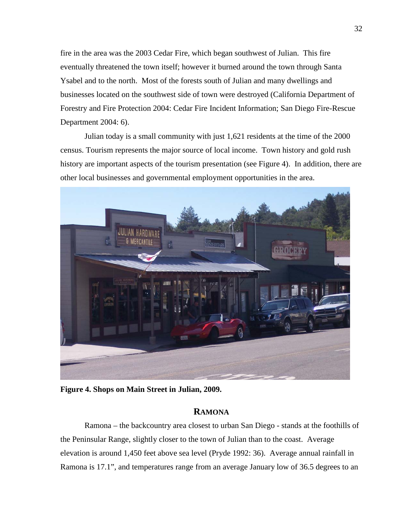fire in the area was the 2003 Cedar Fire, which began southwest of Julian. This fire eventually threatened the town itself; however it burned around the town through Santa Ysabel and to the north. Most of the forests south of Julian and many dwellings and businesses located on the southwest side of town were destroyed (California Department of Forestry and Fire Protection 2004: Cedar Fire Incident Information; San Diego Fire-Rescue Department 2004: 6).

Julian today is a small community with just 1,621 residents at the time of the 2000 census. Tourism represents the major source of local income. Town history and gold rush history are important aspects of the tourism presentation (see Figure 4). In addition, there are other local businesses and governmental employment opportunities in the area.



**Figure 4. Shops on Main Street in Julian, 2009.**

## **RAMONA**

Ramona – the backcountry area closest to urban San Diego - stands at the foothills of the Peninsular Range, slightly closer to the town of Julian than to the coast. Average elevation is around 1,450 feet above sea level (Pryde 1992: 36). Average annual rainfall in Ramona is 17.1", and temperatures range from an average January low of 36.5 degrees to an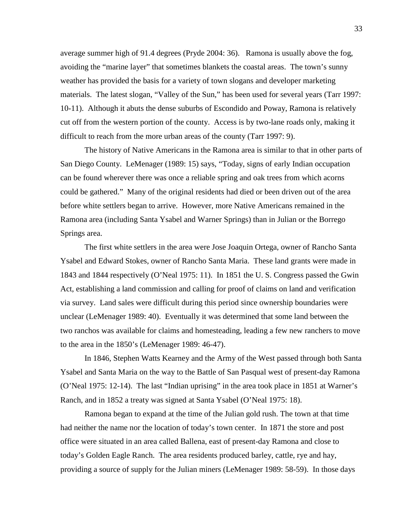average summer high of 91.4 degrees (Pryde 2004: 36). Ramona is usually above the fog, avoiding the "marine layer" that sometimes blankets the coastal areas. The town's sunny weather has provided the basis for a variety of town slogans and developer marketing materials. The latest slogan, "Valley of the Sun," has been used for several years (Tarr 1997: 10-11). Although it abuts the dense suburbs of Escondido and Poway, Ramona is relatively cut off from the western portion of the county. Access is by two-lane roads only, making it difficult to reach from the more urban areas of the county (Tarr 1997: 9).

The history of Native Americans in the Ramona area is similar to that in other parts of San Diego County. LeMenager (1989: 15) says, "Today, signs of early Indian occupation can be found wherever there was once a reliable spring and oak trees from which acorns could be gathered." Many of the original residents had died or been driven out of the area before white settlers began to arrive. However, more Native Americans remained in the Ramona area (including Santa Ysabel and Warner Springs) than in Julian or the Borrego Springs area.

The first white settlers in the area were Jose Joaquin Ortega, owner of Rancho Santa Ysabel and Edward Stokes, owner of Rancho Santa Maria. These land grants were made in 1843 and 1844 respectively (O'Neal 1975: 11). In 1851 the U. S. Congress passed the Gwin Act, establishing a land commission and calling for proof of claims on land and verification via survey. Land sales were difficult during this period since ownership boundaries were unclear (LeMenager 1989: 40). Eventually it was determined that some land between the two ranchos was available for claims and homesteading, leading a few new ranchers to move to the area in the 1850's (LeMenager 1989: 46-47).

In 1846, Stephen Watts Kearney and the Army of the West passed through both Santa Ysabel and Santa Maria on the way to the Battle of San Pasqual west of present-day Ramona (O'Neal 1975: 12-14). The last "Indian uprising" in the area took place in 1851 at Warner's Ranch, and in 1852 a treaty was signed at Santa Ysabel (O'Neal 1975: 18).

Ramona began to expand at the time of the Julian gold rush. The town at that time had neither the name nor the location of today's town center. In 1871 the store and post office were situated in an area called Ballena, east of present-day Ramona and close to today's Golden Eagle Ranch. The area residents produced barley, cattle, rye and hay, providing a source of supply for the Julian miners (LeMenager 1989: 58-59). In those days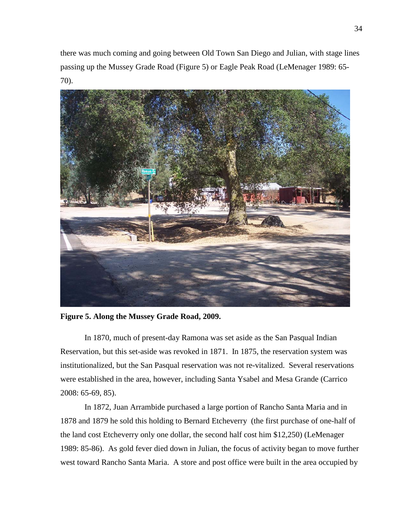there was much coming and going between Old Town San Diego and Julian, with stage lines passing up the Mussey Grade Road (Figure 5) or Eagle Peak Road (LeMenager 1989: 65- 70).



**Figure 5. Along the Mussey Grade Road, 2009.**

In 1870, much of present-day Ramona was set aside as the San Pasqual Indian Reservation, but this set-aside was revoked in 1871. In 1875, the reservation system was institutionalized, but the San Pasqual reservation was not re-vitalized. Several reservations were established in the area, however, including Santa Ysabel and Mesa Grande (Carrico 2008: 65-69, 85).

In 1872, Juan Arrambide purchased a large portion of Rancho Santa Maria and in 1878 and 1879 he sold this holding to Bernard Etcheverry (the first purchase of one-half of the land cost Etcheverry only one dollar, the second half cost him \$12,250) (LeMenager 1989: 85-86). As gold fever died down in Julian, the focus of activity began to move further west toward Rancho Santa Maria. A store and post office were built in the area occupied by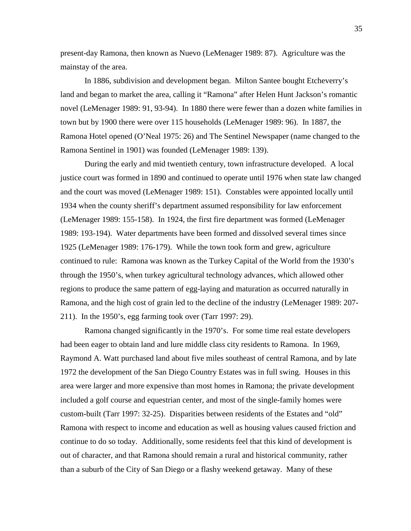present-day Ramona, then known as Nuevo (LeMenager 1989: 87). Agriculture was the mainstay of the area.

In 1886, subdivision and development began. Milton Santee bought Etcheverry's land and began to market the area, calling it "Ramona" after Helen Hunt Jackson's romantic novel (LeMenager 1989: 91, 93-94). In 1880 there were fewer than a dozen white families in town but by 1900 there were over 115 households (LeMenager 1989: 96). In 1887, the Ramona Hotel opened (O'Neal 1975: 26) and The Sentinel Newspaper (name changed to the Ramona Sentinel in 1901) was founded (LeMenager 1989: 139).

During the early and mid twentieth century, town infrastructure developed. A local justice court was formed in 1890 and continued to operate until 1976 when state law changed and the court was moved (LeMenager 1989: 151). Constables were appointed locally until 1934 when the county sheriff's department assumed responsibility for law enforcement (LeMenager 1989: 155-158). In 1924, the first fire department was formed (LeMenager 1989: 193-194). Water departments have been formed and dissolved several times since 1925 (LeMenager 1989: 176-179). While the town took form and grew, agriculture continued to rule: Ramona was known as the Turkey Capital of the World from the 1930's through the 1950's, when turkey agricultural technology advances, which allowed other regions to produce the same pattern of egg-laying and maturation as occurred naturally in Ramona, and the high cost of grain led to the decline of the industry (LeMenager 1989: 207- 211). In the 1950's, egg farming took over (Tarr 1997: 29).

Ramona changed significantly in the 1970's. For some time real estate developers had been eager to obtain land and lure middle class city residents to Ramona. In 1969, Raymond A. Watt purchased land about five miles southeast of central Ramona, and by late 1972 the development of the San Diego Country Estates was in full swing. Houses in this area were larger and more expensive than most homes in Ramona; the private development included a golf course and equestrian center, and most of the single-family homes were custom-built (Tarr 1997: 32-25). Disparities between residents of the Estates and "old" Ramona with respect to income and education as well as housing values caused friction and continue to do so today. Additionally, some residents feel that this kind of development is out of character, and that Ramona should remain a rural and historical community, rather than a suburb of the City of San Diego or a flashy weekend getaway. Many of these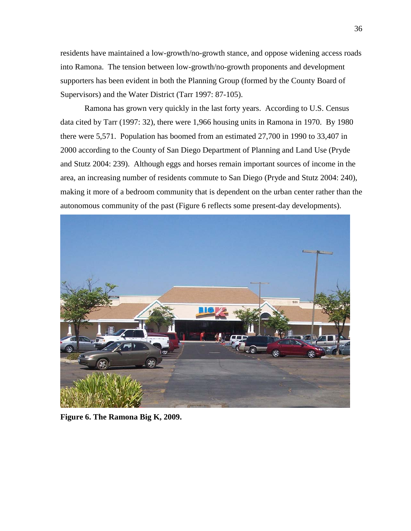residents have maintained a low-growth/no-growth stance, and oppose widening access roads into Ramona. The tension between low-growth/no-growth proponents and development supporters has been evident in both the Planning Group (formed by the County Board of Supervisors) and the Water District (Tarr 1997: 87-105).

Ramona has grown very quickly in the last forty years. According to U.S. Census data cited by Tarr (1997: 32), there were 1,966 housing units in Ramona in 1970. By 1980 there were 5,571. Population has boomed from an estimated 27,700 in 1990 to 33,407 in 2000 according to the County of San Diego Department of Planning and Land Use (Pryde and Stutz 2004: 239). Although eggs and horses remain important sources of income in the area, an increasing number of residents commute to San Diego (Pryde and Stutz 2004: 240), making it more of a bedroom community that is dependent on the urban center rather than the autonomous community of the past (Figure 6 reflects some present-day developments).



**Figure 6. The Ramona Big K, 2009.**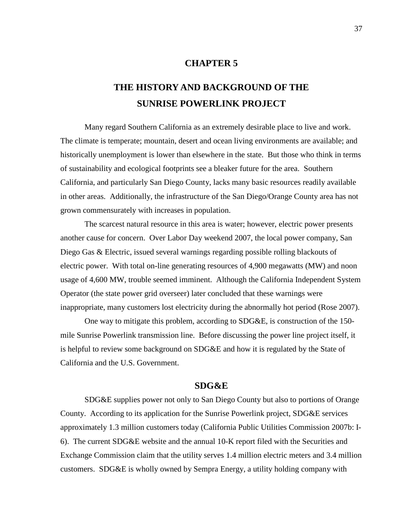## **CHAPTER 5**

## **THE HISTORY AND BACKGROUND OF THE SUNRISE POWERLINK PROJECT**

Many regard Southern California as an extremely desirable place to live and work. The climate is temperate; mountain, desert and ocean living environments are available; and historically unemployment is lower than elsewhere in the state. But those who think in terms of sustainability and ecological footprints see a bleaker future for the area. Southern California, and particularly San Diego County, lacks many basic resources readily available in other areas. Additionally, the infrastructure of the San Diego/Orange County area has not grown commensurately with increases in population.

The scarcest natural resource in this area is water; however, electric power presents another cause for concern. Over Labor Day weekend 2007, the local power company, San Diego Gas & Electric, issued several warnings regarding possible rolling blackouts of electric power. With total on-line generating resources of 4,900 megawatts (MW) and noon usage of 4,600 MW, trouble seemed imminent. Although the California Independent System Operator (the state power grid overseer) later concluded that these warnings were inappropriate, many customers lost electricity during the abnormally hot period (Rose 2007).

One way to mitigate this problem, according to SDG&E, is construction of the 150 mile Sunrise Powerlink transmission line. Before discussing the power line project itself, it is helpful to review some background on SDG&E and how it is regulated by the State of California and the U.S. Government.

## **SDG&E**

SDG&E supplies power not only to San Diego County but also to portions of Orange County. According to its application for the Sunrise Powerlink project, SDG&E services approximately 1.3 million customers today (California Public Utilities Commission 2007b: I-6). The current SDG&E website and the annual 10-K report filed with the Securities and Exchange Commission claim that the utility serves 1.4 million electric meters and 3.4 million customers. SDG&E is wholly owned by Sempra Energy, a utility holding company with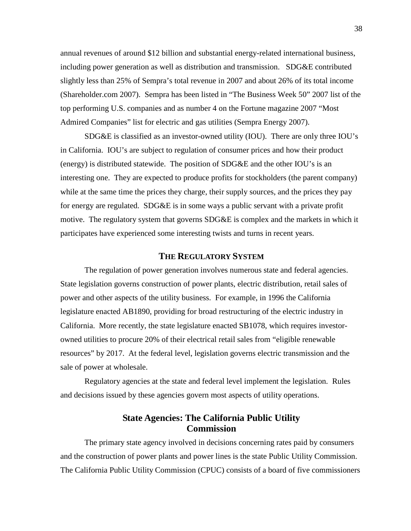annual revenues of around \$12 billion and substantial energy-related international business, including power generation as well as distribution and transmission. SDG&E contributed slightly less than 25% of Sempra's total revenue in 2007 and about 26% of its total income (Shareholder.com 2007). Sempra has been listed in "The Business Week 50" 2007 list of the top performing U.S. companies and as number 4 on the Fortune magazine 2007 "Most Admired Companies" list for electric and gas utilities (Sempra Energy 2007).

SDG&E is classified as an investor-owned utility (IOU). There are only three IOU's in California. IOU's are subject to regulation of consumer prices and how their product (energy) is distributed statewide. The position of SDG&E and the other IOU's is an interesting one. They are expected to produce profits for stockholders (the parent company) while at the same time the prices they charge, their supply sources, and the prices they pay for energy are regulated. SDG&E is in some ways a public servant with a private profit motive. The regulatory system that governs SDG&E is complex and the markets in which it participates have experienced some interesting twists and turns in recent years.

## **THE REGULATORY SYSTEM**

The regulation of power generation involves numerous state and federal agencies. State legislation governs construction of power plants, electric distribution, retail sales of power and other aspects of the utility business. For example, in 1996 the California legislature enacted AB1890, providing for broad restructuring of the electric industry in California. More recently, the state legislature enacted SB1078, which requires investorowned utilities to procure 20% of their electrical retail sales from "eligible renewable resources" by 2017. At the federal level, legislation governs electric transmission and the sale of power at wholesale.

Regulatory agencies at the state and federal level implement the legislation. Rules and decisions issued by these agencies govern most aspects of utility operations.

## **State Agencies: The California Public Utility Commission**

The primary state agency involved in decisions concerning rates paid by consumers and the construction of power plants and power lines is the state Public Utility Commission. The California Public Utility Commission (CPUC) consists of a board of five commissioners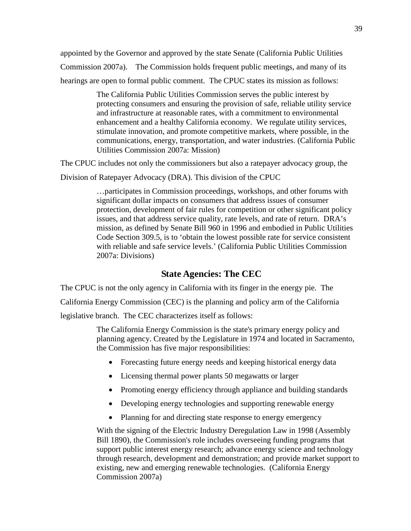appointed by the Governor and approved by the state Senate (California Public Utilities Commission 2007a). The Commission holds frequent public meetings, and many of its hearings are open to formal public comment. The CPUC states its mission as follows:

> The California Public Utilities Commission serves the public interest by protecting consumers and ensuring the provision of safe, reliable utility service and infrastructure at reasonable rates, with a commitment to environmental enhancement and a healthy California economy. We regulate utility services, stimulate innovation, and promote competitive markets, where possible, in the communications, energy, transportation, and water industries. (California Public Utilities Commission 2007a: Mission)

The CPUC includes not only the commissioners but also a ratepayer advocacy group, the

Division of Ratepayer Advocacy (DRA). This division of the CPUC

…participates in Commission proceedings, workshops, and other forums with significant dollar impacts on consumers that address issues of consumer protection, development of fair rules for competition or other significant policy issues, and that address service quality, rate levels, and rate of return. DRA's mission, as defined by Senate Bill 960 in 1996 and embodied in Public Utilities Code Section 309.5, is to 'obtain the lowest possible rate for service consistent with reliable and safe service levels.' (California Public Utilities Commission 2007a: Divisions)

## **State Agencies: The CEC**

The CPUC is not the only agency in California with its finger in the energy pie. The California Energy Commission (CEC) is the planning and policy arm of the California legislative branch. The CEC characterizes itself as follows:

> The California Energy Commission is the state's primary energy policy and planning agency. Created by the Legislature in 1974 and located in Sacramento, the Commission has five major responsibilities:

- Forecasting future energy needs and keeping historical energy data
- Licensing thermal power plants 50 megawatts or larger
- Promoting energy efficiency through appliance and building standards
- Developing energy technologies and supporting renewable energy
- Planning for and directing state response to energy emergency

With the signing of the Electric Industry Deregulation Law in 1998 (Assembly Bill 1890), the Commission's role includes overseeing funding programs that support public interest energy research; advance energy science and technology through research, development and demonstration; and provide market support to existing, new and emerging renewable technologies. (California Energy Commission 2007a)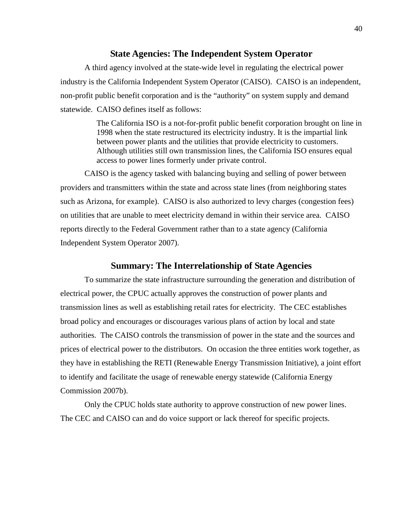## **State Agencies: The Independent System Operator**

A third agency involved at the state-wide level in regulating the electrical power industry is the California Independent System Operator (CAISO). CAISO is an independent, non-profit public benefit corporation and is the "authority" on system supply and demand statewide. CAISO defines itself as follows:

> The California ISO is a not-for-profit public benefit corporation brought on line in 1998 when the state restructured its electricity industry. It is the impartial link between power plants and the utilities that provide electricity to customers. Although utilities still own transmission lines, the California ISO ensures equal access to power lines formerly under private control.

CAISO is the agency tasked with balancing buying and selling of power between providers and transmitters within the state and across state lines (from neighboring states such as Arizona, for example). CAISO is also authorized to levy charges (congestion fees) on utilities that are unable to meet electricity demand in within their service area. CAISO reports directly to the Federal Government rather than to a state agency (California Independent System Operator 2007).

### **Summary: The Interrelationship of State Agencies**

To summarize the state infrastructure surrounding the generation and distribution of electrical power, the CPUC actually approves the construction of power plants and transmission lines as well as establishing retail rates for electricity. The CEC establishes broad policy and encourages or discourages various plans of action by local and state authorities. The CAISO controls the transmission of power in the state and the sources and prices of electrical power to the distributors. On occasion the three entities work together, as they have in establishing the RETI (Renewable Energy Transmission Initiative), a joint effort to identify and facilitate the usage of renewable energy statewide (California Energy Commission 2007b).

Only the CPUC holds state authority to approve construction of new power lines. The CEC and CAISO can and do voice support or lack thereof for specific projects.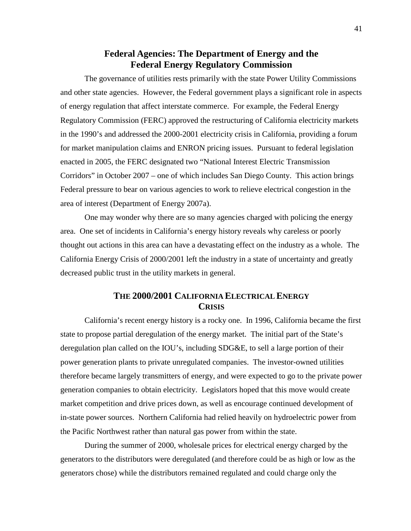## **Federal Agencies: The Department of Energy and the Federal Energy Regulatory Commission**

The governance of utilities rests primarily with the state Power Utility Commissions and other state agencies. However, the Federal government plays a significant role in aspects of energy regulation that affect interstate commerce. For example, the Federal Energy Regulatory Commission (FERC) approved the restructuring of California electricity markets in the 1990's and addressed the 2000-2001 electricity crisis in California, providing a forum for market manipulation claims and ENRON pricing issues. Pursuant to federal legislation enacted in 2005, the FERC designated two "National Interest Electric Transmission Corridors" in October 2007 – one of which includes San Diego County. This action brings Federal pressure to bear on various agencies to work to relieve electrical congestion in the area of interest (Department of Energy 2007a).

One may wonder why there are so many agencies charged with policing the energy area. One set of incidents in California's energy history reveals why careless or poorly thought out actions in this area can have a devastating effect on the industry as a whole. The California Energy Crisis of 2000/2001 left the industry in a state of uncertainty and greatly decreased public trust in the utility markets in general.

## **THE 2000/2001 CALIFORNIA ELECTRICAL ENERGY CRISIS**

California's recent energy history is a rocky one. In 1996, California became the first state to propose partial deregulation of the energy market. The initial part of the State's deregulation plan called on the IOU's, including SDG&E, to sell a large portion of their power generation plants to private unregulated companies. The investor-owned utilities therefore became largely transmitters of energy, and were expected to go to the private power generation companies to obtain electricity. Legislators hoped that this move would create market competition and drive prices down, as well as encourage continued development of in-state power sources. Northern California had relied heavily on hydroelectric power from the Pacific Northwest rather than natural gas power from within the state.

During the summer of 2000, wholesale prices for electrical energy charged by the generators to the distributors were deregulated (and therefore could be as high or low as the generators chose) while the distributors remained regulated and could charge only the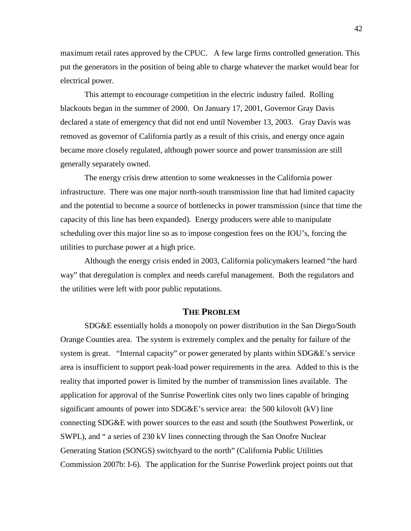maximum retail rates approved by the CPUC. A few large firms controlled generation. This put the generators in the position of being able to charge whatever the market would bear for electrical power.

This attempt to encourage competition in the electric industry failed. Rolling blackouts began in the summer of 2000. On January 17, 2001, Governor Gray Davis declared a state of emergency that did not end until November 13, 2003. Gray Davis was removed as governor of California partly as a result of this crisis, and energy once again became more closely regulated, although power source and power transmission are still generally separately owned.

The energy crisis drew attention to some weaknesses in the California power infrastructure. There was one major north-south transmission line that had limited capacity and the potential to become a source of bottlenecks in power transmission (since that time the capacity of this line has been expanded). Energy producers were able to manipulate scheduling over this major line so as to impose congestion fees on the IOU's, forcing the utilities to purchase power at a high price.

Although the energy crisis ended in 2003, California policymakers learned "the hard way" that deregulation is complex and needs careful management. Both the regulators and the utilities were left with poor public reputations.

#### **THE PROBLEM**

SDG&E essentially holds a monopoly on power distribution in the San Diego/South Orange Counties area. The system is extremely complex and the penalty for failure of the system is great. "Internal capacity" or power generated by plants within SDG&E's service area is insufficient to support peak-load power requirements in the area. Added to this is the reality that imported power is limited by the number of transmission lines available. The application for approval of the Sunrise Powerlink cites only two lines capable of bringing significant amounts of power into SDG&E's service area: the 500 kilovolt (kV) line connecting SDG&E with power sources to the east and south (the Southwest Powerlink, or SWPL), and " a series of 230 kV lines connecting through the San Onofre Nuclear Generating Station (SONGS) switchyard to the north" (California Public Utilities Commission 2007b: I-6). The application for the Sunrise Powerlink project points out that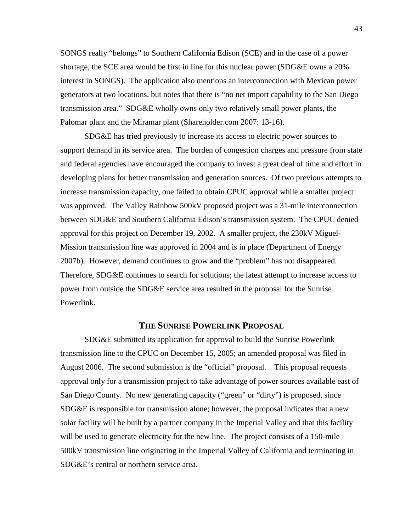SONGS really "belongs" to Southern California Edison (SCE) and in the case of a power shortage, the SCE area would be first in line for this nuclear power (SDG&E owns a 20% interest in SONGS). The application also mentions an interconnection with Mexican power generators at two locations, but notes that there is "no net import capability to the San Diego transmission area." SDG&E wholly owns only two relatively small power plants, the Palomar plant and the Miramar plant (Shareholder.com 2007: 13-16).

SDG&E has tried previously to increase its access to electric power sources to support demand in its service area. The burden of congestion charges and pressure from state and federal agencies have encouraged the company to invest a great deal of time and effort in developing plans for better transmission and generation sources. Of two previous attempts to increase transmission capacity, one failed to obtain CPUC approval while a smaller project was approved. The Valley Rainbow 500kV proposed project was a 31-mile interconnection between SDG&E and Southern California Edison's transmission system. The CPUC denied approval for this project on December 19, 2002. A smaller project, the 230kV Miguel-Mission transmission line was approved in 2004 and is in place (Department of Energy 2007b). However, demand continues to grow and the "problem" has not disappeared. Therefore, SDG&E continues to search for solutions; the latest attempt to increase access to power from outside the SDG&E service area resulted in the proposal for the Sunrise Powerlink.

## **THE SUNRISE POWERLINK PROPOSAL**

SDG&E submitted its application for approval to build the Sunrise Powerlink transmission line to the CPUC on December 15, 2005; an amended proposal was filed in August 2006. The second submission is the "official" proposal. This proposal requests approval only for a transmission project to take advantage of power sources available east of San Diego County. No new generating capacity ("green" or "dirty") is proposed, since SDG&E is responsible for transmission alone; however, the proposal indicates that a new solar facility will be built by a partner company in the Imperial Valley and that this facility will be used to generate electricity for the new line. The project consists of a 150-mile 500kV transmission line originating in the Imperial Valley of California and terminating in SDG&E's central or northern service area.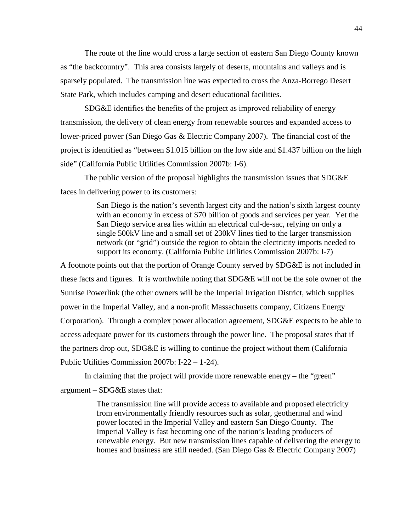The route of the line would cross a large section of eastern San Diego County known as "the backcountry". This area consists largely of deserts, mountains and valleys and is sparsely populated. The transmission line was expected to cross the Anza-Borrego Desert State Park, which includes camping and desert educational facilities.

SDG&E identifies the benefits of the project as improved reliability of energy transmission, the delivery of clean energy from renewable sources and expanded access to lower-priced power (San Diego Gas & Electric Company 2007). The financial cost of the project is identified as "between \$1.015 billion on the low side and \$1.437 billion on the high side" (California Public Utilities Commission 2007b: I-6).

The public version of the proposal highlights the transmission issues that SDG&E faces in delivering power to its customers:

> San Diego is the nation's seventh largest city and the nation's sixth largest county with an economy in excess of \$70 billion of goods and services per year. Yet the San Diego service area lies within an electrical cul-de-sac, relying on only a single 500kV line and a small set of 230kV lines tied to the larger transmission network (or "grid") outside the region to obtain the electricity imports needed to support its economy. (California Public Utilities Commission 2007b: I-7)

A footnote points out that the portion of Orange County served by SDG&E is not included in these facts and figures. It is worthwhile noting that SDG&E will not be the sole owner of the Sunrise Powerlink (the other owners will be the Imperial Irrigation District, which supplies power in the Imperial Valley, and a non-profit Massachusetts company, Citizens Energy Corporation). Through a complex power allocation agreement, SDG&E expects to be able to access adequate power for its customers through the power line. The proposal states that if the partners drop out, SDG&E is willing to continue the project without them (California Public Utilities Commission 2007b: I-22 – 1-24).

In claiming that the project will provide more renewable energy – the "green" argument – SDG&E states that:

> The transmission line will provide access to available and proposed electricity from environmentally friendly resources such as solar, geothermal and wind power located in the Imperial Valley and eastern San Diego County. The Imperial Valley is fast becoming one of the nation's leading producers of renewable energy. But new transmission lines capable of delivering the energy to homes and business are still needed. (San Diego Gas & Electric Company 2007)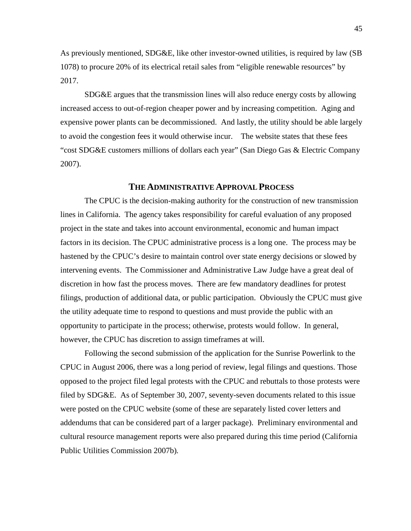As previously mentioned, SDG&E, like other investor-owned utilities, is required by law (SB 1078) to procure 20% of its electrical retail sales from "eligible renewable resources" by 2017.

SDG&E argues that the transmission lines will also reduce energy costs by allowing increased access to out-of-region cheaper power and by increasing competition. Aging and expensive power plants can be decommissioned. And lastly, the utility should be able largely to avoid the congestion fees it would otherwise incur. The website states that these fees "cost SDG&E customers millions of dollars each year" (San Diego Gas & Electric Company 2007).

## **THE ADMINISTRATIVE APPROVAL PROCESS**

The CPUC is the decision-making authority for the construction of new transmission lines in California. The agency takes responsibility for careful evaluation of any proposed project in the state and takes into account environmental, economic and human impact factors in its decision. The CPUC administrative process is a long one. The process may be hastened by the CPUC's desire to maintain control over state energy decisions or slowed by intervening events. The Commissioner and Administrative Law Judge have a great deal of discretion in how fast the process moves. There are few mandatory deadlines for protest filings, production of additional data, or public participation. Obviously the CPUC must give the utility adequate time to respond to questions and must provide the public with an opportunity to participate in the process; otherwise, protests would follow. In general, however, the CPUC has discretion to assign timeframes at will.

Following the second submission of the application for the Sunrise Powerlink to the CPUC in August 2006, there was a long period of review, legal filings and questions. Those opposed to the project filed legal protests with the CPUC and rebuttals to those protests were filed by SDG&E. As of September 30, 2007, seventy-seven documents related to this issue were posted on the CPUC website (some of these are separately listed cover letters and addendums that can be considered part of a larger package). Preliminary environmental and cultural resource management reports were also prepared during this time period (California Public Utilities Commission 2007b).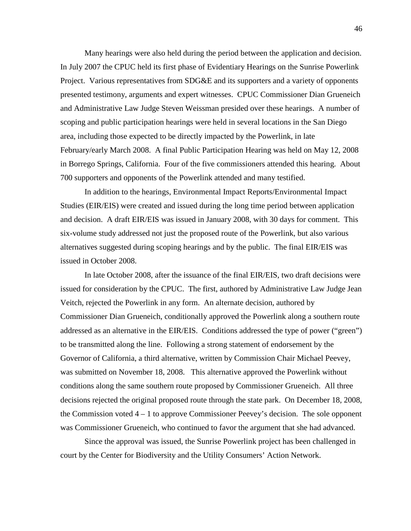Many hearings were also held during the period between the application and decision. In July 2007 the CPUC held its first phase of Evidentiary Hearings on the Sunrise Powerlink Project. Various representatives from SDG&E and its supporters and a variety of opponents presented testimony, arguments and expert witnesses. CPUC Commissioner Dian Grueneich and Administrative Law Judge Steven Weissman presided over these hearings. A number of scoping and public participation hearings were held in several locations in the San Diego area, including those expected to be directly impacted by the Powerlink, in late February/early March 2008. A final Public Participation Hearing was held on May 12, 2008 in Borrego Springs, California. Four of the five commissioners attended this hearing. About 700 supporters and opponents of the Powerlink attended and many testified.

In addition to the hearings, Environmental Impact Reports/Environmental Impact Studies (EIR/EIS) were created and issued during the long time period between application and decision. A draft EIR/EIS was issued in January 2008, with 30 days for comment. This six-volume study addressed not just the proposed route of the Powerlink, but also various alternatives suggested during scoping hearings and by the public. The final EIR/EIS was issued in October 2008.

In late October 2008, after the issuance of the final EIR/EIS, two draft decisions were issued for consideration by the CPUC. The first, authored by Administrative Law Judge Jean Veitch, rejected the Powerlink in any form. An alternate decision, authored by Commissioner Dian Grueneich, conditionally approved the Powerlink along a southern route addressed as an alternative in the EIR/EIS. Conditions addressed the type of power ("green") to be transmitted along the line. Following a strong statement of endorsement by the Governor of California, a third alternative, written by Commission Chair Michael Peevey, was submitted on November 18, 2008. This alternative approved the Powerlink without conditions along the same southern route proposed by Commissioner Grueneich. All three decisions rejected the original proposed route through the state park. On December 18, 2008, the Commission voted  $4 - 1$  to approve Commissioner Peevey's decision. The sole opponent was Commissioner Grueneich, who continued to favor the argument that she had advanced.

Since the approval was issued, the Sunrise Powerlink project has been challenged in court by the Center for Biodiversity and the Utility Consumers' Action Network.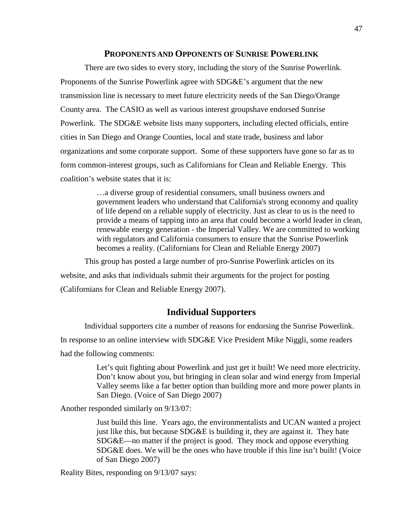#### **PROPONENTS AND OPPONENTS OF SUNRISE POWERLINK**

There are two sides to every story, including the story of the Sunrise Powerlink. Proponents of the Sunrise Powerlink agree with SDG&E's argument that the new transmission line is necessary to meet future electricity needs of the San Diego/Orange County area. The CASIO as well as various interest groupshave endorsed Sunrise Powerlink. The SDG&E website lists many supporters, including elected officials, entire cities in San Diego and Orange Counties, local and state trade, business and labor organizations and some corporate support. Some of these supporters have gone so far as to form common-interest groups, such as Californians for Clean and Reliable Energy. This coalition's website states that it is:

> …a diverse group of residential consumers, small business owners and government leaders who understand that California's strong economy and quality of life depend on a reliable supply of electricity. Just as clear to us is the need to provide a means of tapping into an area that could become a world leader in clean, renewable energy generation - the Imperial Valley. We are committed to working with regulators and California consumers to ensure that the Sunrise Powerlink becomes a reality. (Californians for Clean and Reliable Energy 2007)

This group has posted a large number of pro-Sunrise Powerlink articles on its website, and asks that individuals submit their arguments for the project for posting (Californians for Clean and Reliable Energy 2007).

## **Individual Supporters**

Individual supporters cite a number of reasons for endorsing the Sunrise Powerlink.

In response to an online interview with SDG&E Vice President Mike Niggli, some readers

had the following comments:

Let's quit fighting about Powerlink and just get it built! We need more electricity. Don't know about you, but bringing in clean solar and wind energy from Imperial Valley seems like a far better option than building more and more power plants in San Diego. (Voice of San Diego 2007)

Another responded similarly on 9/13/07:

Just build this line. Years ago, the environmentalists and UCAN wanted a project just like this, but because SDG&E is building it, they are against it. They hate SDG&E—no matter if the project is good. They mock and oppose everything SDG&E does. We will be the ones who have trouble if this line isn't built! (Voice of San Diego 2007)

Reality Bites, responding on 9/13/07 says: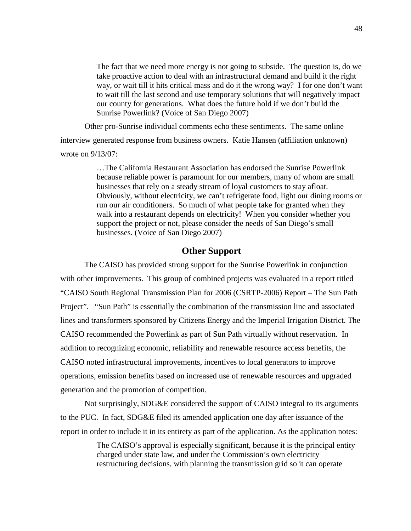The fact that we need more energy is not going to subside. The question is, do we take proactive action to deal with an infrastructural demand and build it the right way, or wait till it hits critical mass and do it the wrong way? I for one don't want to wait till the last second and use temporary solutions that will negatively impact our county for generations. What does the future hold if we don't build the Sunrise Powerlink? (Voice of San Diego 2007)

Other pro-Sunrise individual comments echo these sentiments. The same online

interview generated response from business owners. Katie Hansen (affiliation unknown) wrote on 9/13/07:

> …The California Restaurant Association has endorsed the Sunrise Powerlink because reliable power is paramount for our members, many of whom are small businesses that rely on a steady stream of loyal customers to stay afloat. Obviously, without electricity, we can't refrigerate food, light our dining rooms or run our air conditioners. So much of what people take for granted when they walk into a restaurant depends on electricity! When you consider whether you support the project or not, please consider the needs of San Diego's small businesses. (Voice of San Diego 2007)

## **Other Support**

The CAISO has provided strong support for the Sunrise Powerlink in conjunction with other improvements. This group of combined projects was evaluated in a report titled "CAISO South Regional Transmission Plan for 2006 (CSRTP-2006) Report – The Sun Path Project". "Sun Path" is essentially the combination of the transmission line and associated lines and transformers sponsored by Citizens Energy and the Imperial Irrigation District. The CAISO recommended the Powerlink as part of Sun Path virtually without reservation. In addition to recognizing economic, reliability and renewable resource access benefits, the CAISO noted infrastructural improvements, incentives to local generators to improve operations, emission benefits based on increased use of renewable resources and upgraded generation and the promotion of competition.

Not surprisingly, SDG&E considered the support of CAISO integral to its arguments to the PUC. In fact, SDG&E filed its amended application one day after issuance of the report in order to include it in its entirety as part of the application. As the application notes:

> The CAISO's approval is especially significant, because it is the principal entity charged under state law, and under the Commission's own electricity restructuring decisions, with planning the transmission grid so it can operate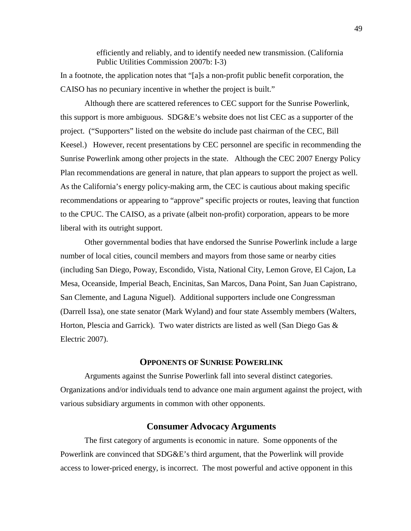efficiently and reliably, and to identify needed new transmission. (California Public Utilities Commission 2007b: I-3)

In a footnote, the application notes that "[a]s a non-profit public benefit corporation, the CAISO has no pecuniary incentive in whether the project is built."

Although there are scattered references to CEC support for the Sunrise Powerlink, this support is more ambiguous.  $SDG\&E$ 's website does not list CEC as a supporter of the project. ("Supporters" listed on the website do include past chairman of the CEC, Bill Keesel.) However, recent presentations by CEC personnel are specific in recommending the Sunrise Powerlink among other projects in the state. Although the CEC 2007 Energy Policy Plan recommendations are general in nature, that plan appears to support the project as well. As the California's energy policy-making arm, the CEC is cautious about making specific recommendations or appearing to "approve" specific projects or routes, leaving that function to the CPUC. The CAISO, as a private (albeit non-profit) corporation, appears to be more liberal with its outright support.

Other governmental bodies that have endorsed the Sunrise Powerlink include a large number of local cities, council members and mayors from those same or nearby cities (including San Diego, Poway, Escondido, Vista, National City, Lemon Grove, El Cajon, La Mesa, Oceanside, Imperial Beach, Encinitas, San Marcos, Dana Point, San Juan Capistrano, San Clemente, and Laguna Niguel). Additional supporters include one Congressman (Darrell Issa), one state senator (Mark Wyland) and four state Assembly members (Walters, Horton, Plescia and Garrick). Two water districts are listed as well (San Diego Gas  $\&$ Electric 2007).

#### **OPPONENTS OF SUNRISE POWERLINK**

Arguments against the Sunrise Powerlink fall into several distinct categories. Organizations and/or individuals tend to advance one main argument against the project, with various subsidiary arguments in common with other opponents.

#### **Consumer Advocacy Arguments**

The first category of arguments is economic in nature. Some opponents of the Powerlink are convinced that SDG&E's third argument, that the Powerlink will provide access to lower-priced energy, is incorrect. The most powerful and active opponent in this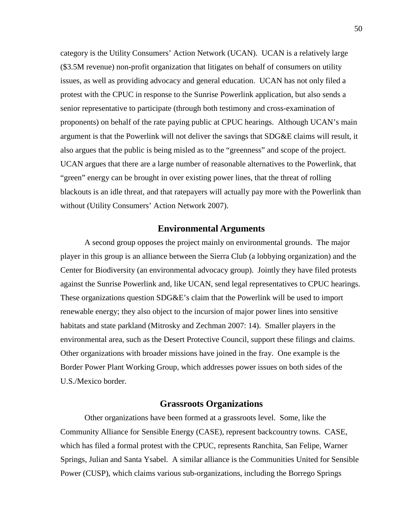category is the Utility Consumers' Action Network (UCAN). UCAN is a relatively large (\$3.5M revenue) non-profit organization that litigates on behalf of consumers on utility issues, as well as providing advocacy and general education. UCAN has not only filed a protest with the CPUC in response to the Sunrise Powerlink application, but also sends a senior representative to participate (through both testimony and cross-examination of proponents) on behalf of the rate paying public at CPUC hearings. Although UCAN's main argument is that the Powerlink will not deliver the savings that SDG&E claims will result, it also argues that the public is being misled as to the "greenness" and scope of the project. UCAN argues that there are a large number of reasonable alternatives to the Powerlink, that "green" energy can be brought in over existing power lines, that the threat of rolling blackouts is an idle threat, and that ratepayers will actually pay more with the Powerlink than without (Utility Consumers' Action Network 2007).

#### **Environmental Arguments**

A second group opposes the project mainly on environmental grounds. The major player in this group is an alliance between the Sierra Club (a lobbying organization) and the Center for Biodiversity (an environmental advocacy group). Jointly they have filed protests against the Sunrise Powerlink and, like UCAN, send legal representatives to CPUC hearings. These organizations question SDG&E's claim that the Powerlink will be used to import renewable energy; they also object to the incursion of major power lines into sensitive habitats and state parkland (Mitrosky and Zechman 2007: 14). Smaller players in the environmental area, such as the Desert Protective Council, support these filings and claims. Other organizations with broader missions have joined in the fray. One example is the Border Power Plant Working Group, which addresses power issues on both sides of the U.S./Mexico border.

#### **Grassroots Organizations**

Other organizations have been formed at a grassroots level. Some, like the Community Alliance for Sensible Energy (CASE), represent backcountry towns. CASE, which has filed a formal protest with the CPUC, represents Ranchita, San Felipe, Warner Springs, Julian and Santa Ysabel. A similar alliance is the Communities United for Sensible Power (CUSP), which claims various sub-organizations, including the Borrego Springs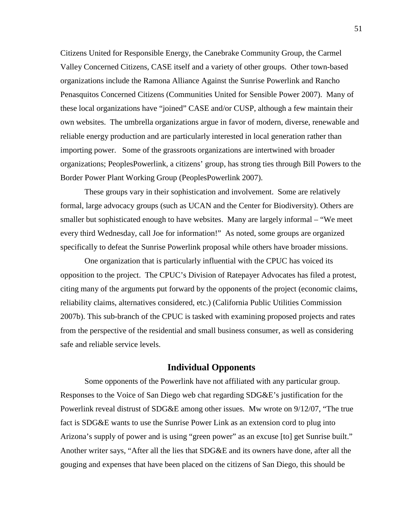Citizens United for Responsible Energy, the Canebrake Community Group, the Carmel Valley Concerned Citizens, CASE itself and a variety of other groups. Other town-based organizations include the Ramona Alliance Against the Sunrise Powerlink and Rancho Penasquitos Concerned Citizens (Communities United for Sensible Power 2007). Many of these local organizations have "joined" CASE and/or CUSP, although a few maintain their own websites. The umbrella organizations argue in favor of modern, diverse, renewable and reliable energy production and are particularly interested in local generation rather than importing power. Some of the grassroots organizations are intertwined with broader organizations; PeoplesPowerlink, a citizens' group, has strong ties through Bill Powers to the Border Power Plant Working Group (PeoplesPowerlink 2007).

These groups vary in their sophistication and involvement. Some are relatively formal, large advocacy groups (such as UCAN and the Center for Biodiversity). Others are smaller but sophisticated enough to have websites. Many are largely informal – "We meet every third Wednesday, call Joe for information!" As noted, some groups are organized specifically to defeat the Sunrise Powerlink proposal while others have broader missions.

One organization that is particularly influential with the CPUC has voiced its opposition to the project. The CPUC's Division of Ratepayer Advocates has filed a protest, citing many of the arguments put forward by the opponents of the project (economic claims, reliability claims, alternatives considered, etc.) (California Public Utilities Commission 2007b). This sub-branch of the CPUC is tasked with examining proposed projects and rates from the perspective of the residential and small business consumer, as well as considering safe and reliable service levels.

## **Individual Opponents**

Some opponents of the Powerlink have not affiliated with any particular group. Responses to the Voice of San Diego web chat regarding SDG&E's justification for the Powerlink reveal distrust of SDG&E among other issues. Mw wrote on 9/12/07, "The true fact is SDG&E wants to use the Sunrise Power Link as an extension cord to plug into Arizona's supply of power and is using "green power" as an excuse [to] get Sunrise built." Another writer says, "After all the lies that SDG&E and its owners have done, after all the gouging and expenses that have been placed on the citizens of San Diego, this should be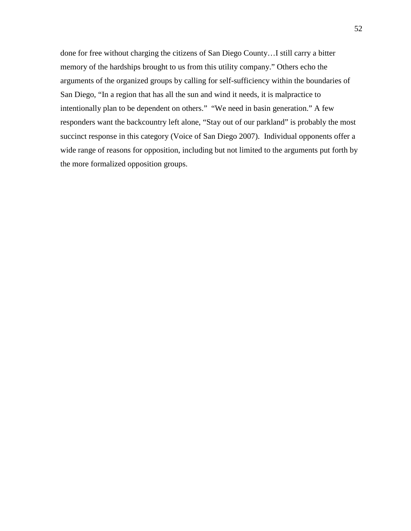done for free without charging the citizens of San Diego County…I still carry a bitter memory of the hardships brought to us from this utility company." Others echo the arguments of the organized groups by calling for self-sufficiency within the boundaries of San Diego, "In a region that has all the sun and wind it needs, it is malpractice to intentionally plan to be dependent on others." "We need in basin generation." A few responders want the backcountry left alone, "Stay out of our parkland" is probably the most succinct response in this category (Voice of San Diego 2007). Individual opponents offer a wide range of reasons for opposition, including but not limited to the arguments put forth by the more formalized opposition groups.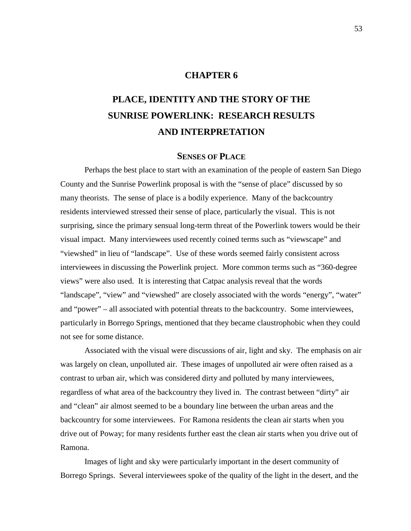## **CHAPTER 6**

# **PLACE, IDENTITY AND THE STORY OF THE SUNRISE POWERLINK: RESEARCH RESULTS AND INTERPRETATION**

#### **SENSES OF PLACE**

Perhaps the best place to start with an examination of the people of eastern San Diego County and the Sunrise Powerlink proposal is with the "sense of place" discussed by so many theorists. The sense of place is a bodily experience. Many of the backcountry residents interviewed stressed their sense of place, particularly the visual. This is not surprising, since the primary sensual long-term threat of the Powerlink towers would be their visual impact. Many interviewees used recently coined terms such as "viewscape" and "viewshed" in lieu of "landscape". Use of these words seemed fairly consistent across interviewees in discussing the Powerlink project. More common terms such as "360-degree views" were also used. It is interesting that Catpac analysis reveal that the words "landscape", "view" and "viewshed" are closely associated with the words "energy", "water" and "power" – all associated with potential threats to the backcountry. Some interviewees, particularly in Borrego Springs, mentioned that they became claustrophobic when they could not see for some distance.

Associated with the visual were discussions of air, light and sky. The emphasis on air was largely on clean, unpolluted air. These images of unpolluted air were often raised as a contrast to urban air, which was considered dirty and polluted by many interviewees, regardless of what area of the backcountry they lived in. The contrast between "dirty" air and "clean" air almost seemed to be a boundary line between the urban areas and the backcountry for some interviewees. For Ramona residents the clean air starts when you drive out of Poway; for many residents further east the clean air starts when you drive out of Ramona.

Images of light and sky were particularly important in the desert community of Borrego Springs. Several interviewees spoke of the quality of the light in the desert, and the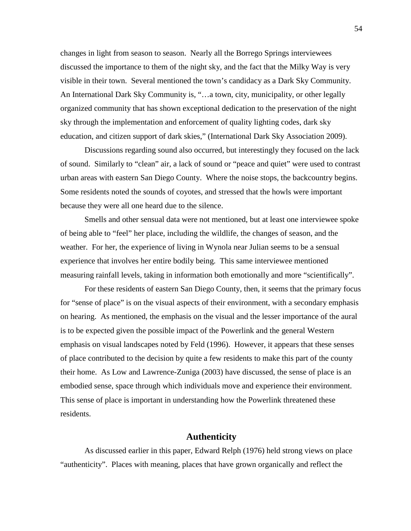changes in light from season to season. Nearly all the Borrego Springs interviewees discussed the importance to them of the night sky, and the fact that the Milky Way is very visible in their town. Several mentioned the town's candidacy as a Dark Sky Community. An International Dark Sky Community is, "…a town, city, municipality, or other legally organized community that has shown exceptional dedication to the preservation of the night sky through the implementation and enforcement of quality lighting codes, dark sky education, and citizen support of dark skies," (International Dark Sky Association 2009).

Discussions regarding sound also occurred, but interestingly they focused on the lack of sound. Similarly to "clean" air, a lack of sound or "peace and quiet" were used to contrast urban areas with eastern San Diego County. Where the noise stops, the backcountry begins. Some residents noted the sounds of coyotes, and stressed that the howls were important because they were all one heard due to the silence.

Smells and other sensual data were not mentioned, but at least one interviewee spoke of being able to "feel" her place, including the wildlife, the changes of season, and the weather. For her, the experience of living in Wynola near Julian seems to be a sensual experience that involves her entire bodily being. This same interviewee mentioned measuring rainfall levels, taking in information both emotionally and more "scientifically".

For these residents of eastern San Diego County, then, it seems that the primary focus for "sense of place" is on the visual aspects of their environment, with a secondary emphasis on hearing. As mentioned, the emphasis on the visual and the lesser importance of the aural is to be expected given the possible impact of the Powerlink and the general Western emphasis on visual landscapes noted by Feld (1996). However, it appears that these senses of place contributed to the decision by quite a few residents to make this part of the county their home. As Low and Lawrence-Zuniga (2003) have discussed, the sense of place is an embodied sense, space through which individuals move and experience their environment. This sense of place is important in understanding how the Powerlink threatened these residents.

## **Authenticity**

As discussed earlier in this paper, Edward Relph (1976) held strong views on place "authenticity". Places with meaning, places that have grown organically and reflect the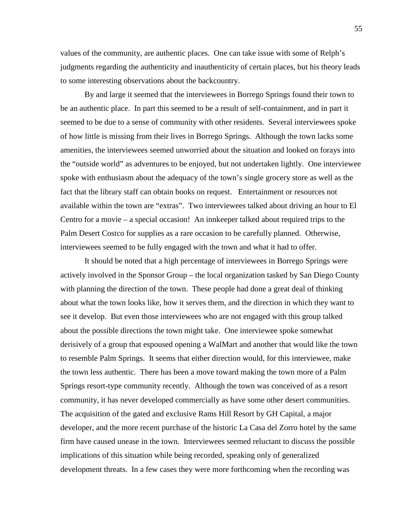values of the community, are authentic places. One can take issue with some of Relph's judgments regarding the authenticity and inauthenticity of certain places, but his theory leads to some interesting observations about the backcountry.

By and large it seemed that the interviewees in Borrego Springs found their town to be an authentic place. In part this seemed to be a result of self-containment, and in part it seemed to be due to a sense of community with other residents. Several interviewees spoke of how little is missing from their lives in Borrego Springs. Although the town lacks some amenities, the interviewees seemed unworried about the situation and looked on forays into the "outside world" as adventures to be enjoyed, but not undertaken lightly. One interviewee spoke with enthusiasm about the adequacy of the town's single grocery store as well as the fact that the library staff can obtain books on request. Entertainment or resources not available within the town are "extras". Two interviewees talked about driving an hour to El Centro for a movie – a special occasion! An innkeeper talked about required trips to the Palm Desert Costco for supplies as a rare occasion to be carefully planned. Otherwise, interviewees seemed to be fully engaged with the town and what it had to offer.

It should be noted that a high percentage of interviewees in Borrego Springs were actively involved in the Sponsor Group – the local organization tasked by San Diego County with planning the direction of the town. These people had done a great deal of thinking about what the town looks like, how it serves them, and the direction in which they want to see it develop. But even those interviewees who are not engaged with this group talked about the possible directions the town might take. One interviewee spoke somewhat derisively of a group that espoused opening a WalMart and another that would like the town to resemble Palm Springs. It seems that either direction would, for this interviewee, make the town less authentic. There has been a move toward making the town more of a Palm Springs resort-type community recently. Although the town was conceived of as a resort community, it has never developed commercially as have some other desert communities. The acquisition of the gated and exclusive Rams Hill Resort by GH Capital, a major developer, and the more recent purchase of the historic La Casa del Zorro hotel by the same firm have caused unease in the town. Interviewees seemed reluctant to discuss the possible implications of this situation while being recorded, speaking only of generalized development threats. In a few cases they were more forthcoming when the recording was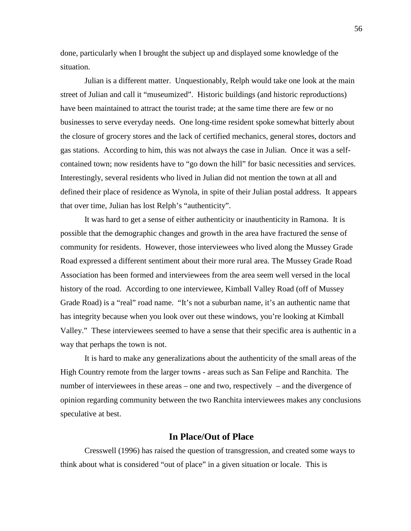done, particularly when I brought the subject up and displayed some knowledge of the situation.

Julian is a different matter. Unquestionably, Relph would take one look at the main street of Julian and call it "museumized". Historic buildings (and historic reproductions) have been maintained to attract the tourist trade; at the same time there are few or no businesses to serve everyday needs. One long-time resident spoke somewhat bitterly about the closure of grocery stores and the lack of certified mechanics, general stores, doctors and gas stations. According to him, this was not always the case in Julian. Once it was a selfcontained town; now residents have to "go down the hill" for basic necessities and services. Interestingly, several residents who lived in Julian did not mention the town at all and defined their place of residence as Wynola, in spite of their Julian postal address. It appears that over time, Julian has lost Relph's "authenticity".

It was hard to get a sense of either authenticity or inauthenticity in Ramona. It is possible that the demographic changes and growth in the area have fractured the sense of community for residents. However, those interviewees who lived along the Mussey Grade Road expressed a different sentiment about their more rural area. The Mussey Grade Road Association has been formed and interviewees from the area seem well versed in the local history of the road. According to one interviewee, Kimball Valley Road (off of Mussey Grade Road) is a "real" road name. "It's not a suburban name, it's an authentic name that has integrity because when you look over out these windows, you're looking at Kimball Valley." These interviewees seemed to have a sense that their specific area is authentic in a way that perhaps the town is not.

It is hard to make any generalizations about the authenticity of the small areas of the High Country remote from the larger towns - areas such as San Felipe and Ranchita. The number of interviewees in these areas – one and two, respectively – and the divergence of opinion regarding community between the two Ranchita interviewees makes any conclusions speculative at best.

## **In Place/Out of Place**

Cresswell (1996) has raised the question of transgression, and created some ways to think about what is considered "out of place" in a given situation or locale. This is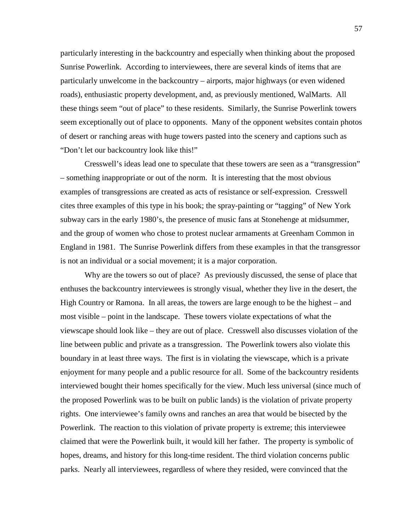particularly interesting in the backcountry and especially when thinking about the proposed Sunrise Powerlink. According to interviewees, there are several kinds of items that are particularly unwelcome in the backcountry – airports, major highways (or even widened roads), enthusiastic property development, and, as previously mentioned, WalMarts. All these things seem "out of place" to these residents. Similarly, the Sunrise Powerlink towers seem exceptionally out of place to opponents. Many of the opponent websites contain photos of desert or ranching areas with huge towers pasted into the scenery and captions such as "Don't let our backcountry look like this!"

Cresswell's ideas lead one to speculate that these towers are seen as a "transgression" – something inappropriate or out of the norm. It is interesting that the most obvious examples of transgressions are created as acts of resistance or self-expression. Cresswell cites three examples of this type in his book; the spray-painting or "tagging" of New York subway cars in the early 1980's, the presence of music fans at Stonehenge at midsummer, and the group of women who chose to protest nuclear armaments at Greenham Common in England in 1981. The Sunrise Powerlink differs from these examples in that the transgressor is not an individual or a social movement; it is a major corporation.

Why are the towers so out of place? As previously discussed, the sense of place that enthuses the backcountry interviewees is strongly visual, whether they live in the desert, the High Country or Ramona. In all areas, the towers are large enough to be the highest – and most visible – point in the landscape. These towers violate expectations of what the viewscape should look like – they are out of place. Cresswell also discusses violation of the line between public and private as a transgression. The Powerlink towers also violate this boundary in at least three ways. The first is in violating the viewscape, which is a private enjoyment for many people and a public resource for all. Some of the backcountry residents interviewed bought their homes specifically for the view. Much less universal (since much of the proposed Powerlink was to be built on public lands) is the violation of private property rights. One interviewee's family owns and ranches an area that would be bisected by the Powerlink. The reaction to this violation of private property is extreme; this interviewee claimed that were the Powerlink built, it would kill her father. The property is symbolic of hopes, dreams, and history for this long-time resident. The third violation concerns public parks. Nearly all interviewees, regardless of where they resided, were convinced that the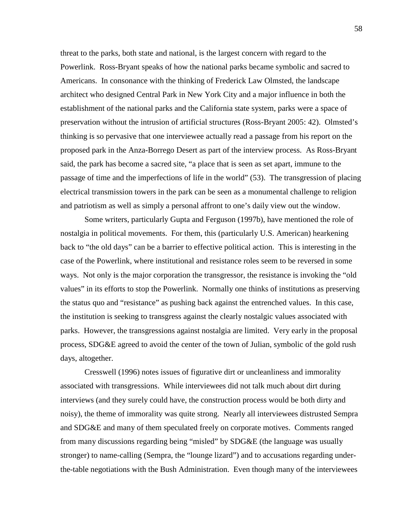threat to the parks, both state and national, is the largest concern with regard to the Powerlink. Ross-Bryant speaks of how the national parks became symbolic and sacred to Americans. In consonance with the thinking of Frederick Law Olmsted, the landscape architect who designed Central Park in New York City and a major influence in both the establishment of the national parks and the California state system, parks were a space of preservation without the intrusion of artificial structures (Ross-Bryant 2005: 42). Olmsted's thinking is so pervasive that one interviewee actually read a passage from his report on the proposed park in the Anza-Borrego Desert as part of the interview process. As Ross-Bryant said, the park has become a sacred site, "a place that is seen as set apart, immune to the passage of time and the imperfections of life in the world" (53). The transgression of placing electrical transmission towers in the park can be seen as a monumental challenge to religion and patriotism as well as simply a personal affront to one's daily view out the window.

Some writers, particularly Gupta and Ferguson (1997b), have mentioned the role of nostalgia in political movements. For them, this (particularly U.S. American) hearkening back to "the old days" can be a barrier to effective political action. This is interesting in the case of the Powerlink, where institutional and resistance roles seem to be reversed in some ways. Not only is the major corporation the transgressor, the resistance is invoking the "old values" in its efforts to stop the Powerlink. Normally one thinks of institutions as preserving the status quo and "resistance" as pushing back against the entrenched values. In this case, the institution is seeking to transgress against the clearly nostalgic values associated with parks. However, the transgressions against nostalgia are limited. Very early in the proposal process, SDG&E agreed to avoid the center of the town of Julian, symbolic of the gold rush days, altogether.

Cresswell (1996) notes issues of figurative dirt or uncleanliness and immorality associated with transgressions. While interviewees did not talk much about dirt during interviews (and they surely could have, the construction process would be both dirty and noisy), the theme of immorality was quite strong. Nearly all interviewees distrusted Sempra and SDG&E and many of them speculated freely on corporate motives. Comments ranged from many discussions regarding being "misled" by SDG&E (the language was usually stronger) to name-calling (Sempra, the "lounge lizard") and to accusations regarding underthe-table negotiations with the Bush Administration. Even though many of the interviewees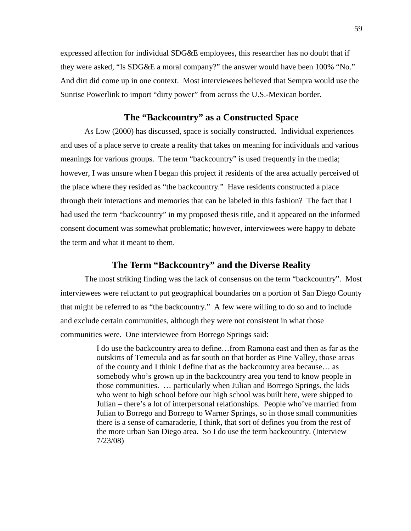expressed affection for individual SDG&E employees, this researcher has no doubt that if they were asked, "Is SDG&E a moral company?" the answer would have been 100% "No." And dirt did come up in one context. Most interviewees believed that Sempra would use the Sunrise Powerlink to import "dirty power" from across the U.S.-Mexican border.

## **The "Backcountry" as a Constructed Space**

As Low (2000) has discussed, space is socially constructed. Individual experiences and uses of a place serve to create a reality that takes on meaning for individuals and various meanings for various groups. The term "backcountry" is used frequently in the media; however, I was unsure when I began this project if residents of the area actually perceived of the place where they resided as "the backcountry." Have residents constructed a place through their interactions and memories that can be labeled in this fashion? The fact that I had used the term "backcountry" in my proposed thesis title, and it appeared on the informed consent document was somewhat problematic; however, interviewees were happy to debate the term and what it meant to them.

## **The Term "Backcountry" and the Diverse Reality**

The most striking finding was the lack of consensus on the term "backcountry". Most interviewees were reluctant to put geographical boundaries on a portion of San Diego County that might be referred to as "the backcountry." A few were willing to do so and to include and exclude certain communities, although they were not consistent in what those communities were. One interviewee from Borrego Springs said:

> I do use the backcountry area to define…from Ramona east and then as far as the outskirts of Temecula and as far south on that border as Pine Valley, those areas of the county and I think I define that as the backcountry area because… as somebody who's grown up in the backcountry area you tend to know people in those communities. … particularly when Julian and Borrego Springs, the kids who went to high school before our high school was built here, were shipped to Julian – there's a lot of interpersonal relationships. People who've married from Julian to Borrego and Borrego to Warner Springs, so in those small communities there is a sense of camaraderie, I think, that sort of defines you from the rest of the more urban San Diego area. So I do use the term backcountry. (Interview 7/23/08)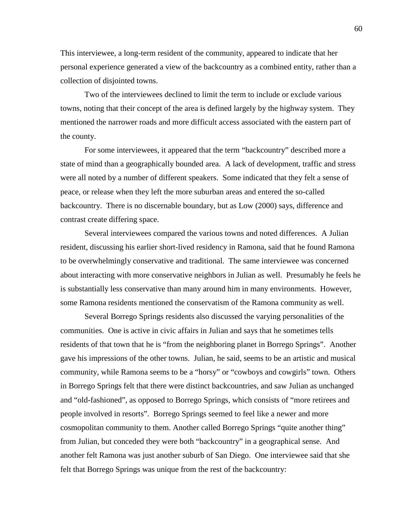This interviewee, a long-term resident of the community, appeared to indicate that her personal experience generated a view of the backcountry as a combined entity, rather than a collection of disjointed towns.

Two of the interviewees declined to limit the term to include or exclude various towns, noting that their concept of the area is defined largely by the highway system. They mentioned the narrower roads and more difficult access associated with the eastern part of the county.

For some interviewees, it appeared that the term "backcountry" described more a state of mind than a geographically bounded area. A lack of development, traffic and stress were all noted by a number of different speakers. Some indicated that they felt a sense of peace, or release when they left the more suburban areas and entered the so-called backcountry. There is no discernable boundary, but as Low (2000) says, difference and contrast create differing space.

Several interviewees compared the various towns and noted differences. A Julian resident, discussing his earlier short-lived residency in Ramona, said that he found Ramona to be overwhelmingly conservative and traditional. The same interviewee was concerned about interacting with more conservative neighbors in Julian as well. Presumably he feels he is substantially less conservative than many around him in many environments. However, some Ramona residents mentioned the conservatism of the Ramona community as well.

Several Borrego Springs residents also discussed the varying personalities of the communities. One is active in civic affairs in Julian and says that he sometimes tells residents of that town that he is "from the neighboring planet in Borrego Springs". Another gave his impressions of the other towns. Julian, he said, seems to be an artistic and musical community, while Ramona seems to be a "horsy" or "cowboys and cowgirls" town. Others in Borrego Springs felt that there were distinct backcountries, and saw Julian as unchanged and "old-fashioned", as opposed to Borrego Springs, which consists of "more retirees and people involved in resorts". Borrego Springs seemed to feel like a newer and more cosmopolitan community to them. Another called Borrego Springs "quite another thing" from Julian, but conceded they were both "backcountry" in a geographical sense. And another felt Ramona was just another suburb of San Diego. One interviewee said that she felt that Borrego Springs was unique from the rest of the backcountry: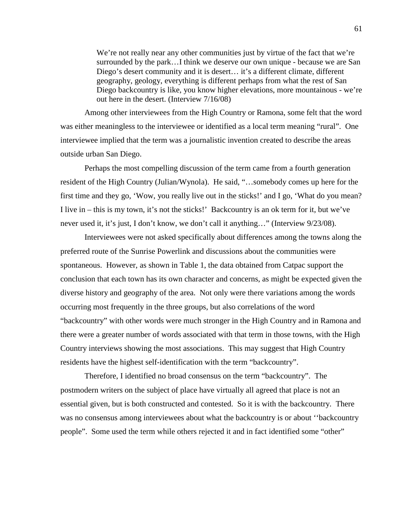We're not really near any other communities just by virtue of the fact that we're surrounded by the park…I think we deserve our own unique - because we are San Diego's desert community and it is desert… it's a different climate, different geography, geology, everything is different perhaps from what the rest of San Diego backcountry is like, you know higher elevations, more mountainous - we're out here in the desert. (Interview 7/16/08)

Among other interviewees from the High Country or Ramona, some felt that the word was either meaningless to the interviewee or identified as a local term meaning "rural". One interviewee implied that the term was a journalistic invention created to describe the areas outside urban San Diego.

Perhaps the most compelling discussion of the term came from a fourth generation resident of the High Country (Julian/Wynola). He said, "…somebody comes up here for the first time and they go, 'Wow, you really live out in the sticks!' and I go, 'What do you mean? I live in – this is my town, it's not the sticks!' Backcountry is an ok term for it, but we've never used it, it's just, I don't know, we don't call it anything…" (Interview 9/23/08).

Interviewees were not asked specifically about differences among the towns along the preferred route of the Sunrise Powerlink and discussions about the communities were spontaneous. However, as shown in Table 1, the data obtained from Catpac support the conclusion that each town has its own character and concerns, as might be expected given the diverse history and geography of the area. Not only were there variations among the words occurring most frequently in the three groups, but also correlations of the word "backcountry" with other words were much stronger in the High Country and in Ramona and there were a greater number of words associated with that term in those towns, with the High Country interviews showing the most associations. This may suggest that High Country residents have the highest self-identification with the term "backcountry".

Therefore, I identified no broad consensus on the term "backcountry". The postmodern writers on the subject of place have virtually all agreed that place is not an essential given, but is both constructed and contested. So it is with the backcountry. There was no consensus among interviewees about what the backcountry is or about ''backcountry people". Some used the term while others rejected it and in fact identified some "other"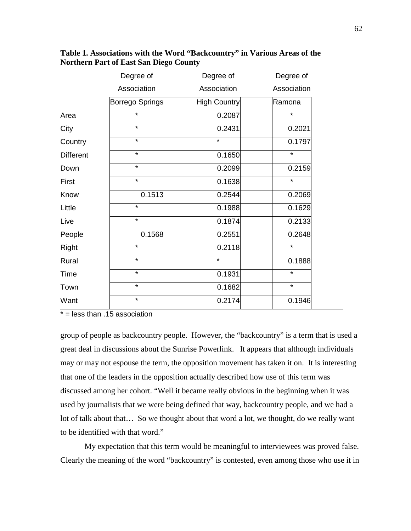|                  | Degree of              | Degree of           | Degree of   |
|------------------|------------------------|---------------------|-------------|
|                  | Association            | Association         | Association |
|                  | <b>Borrego Springs</b> | <b>High Country</b> | Ramona      |
| Area             | $\star$                | 0.2087              | $\star$     |
| City             | $\star$                | 0.2431              | 0.2021      |
| Country          | $\star$                | $\star$             | 0.1797      |
| <b>Different</b> | $\star$                | 0.1650              | $\star$     |
| Down             | $\star$                | 0.2099              | 0.2159      |
| First            | $\star$                | 0.1638              | $\star$     |
| Know             | 0.1513                 | 0.2544              | 0.2069      |
| Little           | $\star$                | 0.1988              | 0.1629      |
| Live             | $\star$                | 0.1874              | 0.2133      |
| People           | 0.1568                 | 0.2551              | 0.2648      |
| Right            | $\star$                | 0.2118              | $\star$     |
| Rural            | $\star$                | $\star$             | 0.1888      |
| Time             | $\star$                | 0.1931              | $\star$     |
| Town             | $\star$                | 0.1682              | $\star$     |
| Want             | $\star$                | 0.2174              | 0.1946      |

**Table 1. Associations with the Word "Backcountry" in Various Areas of the Northern Part of East San Diego County**

 $* =$  less than .15 association

group of people as backcountry people. However, the "backcountry" is a term that is used a great deal in discussions about the Sunrise Powerlink. It appears that although individuals may or may not espouse the term, the opposition movement has taken it on. It is interesting that one of the leaders in the opposition actually described how use of this term was discussed among her cohort. "Well it became really obvious in the beginning when it was used by journalists that we were being defined that way, backcountry people, and we had a lot of talk about that… So we thought about that word a lot, we thought, do we really want to be identified with that word."

My expectation that this term would be meaningful to interviewees was proved false. Clearly the meaning of the word "backcountry" is contested, even among those who use it in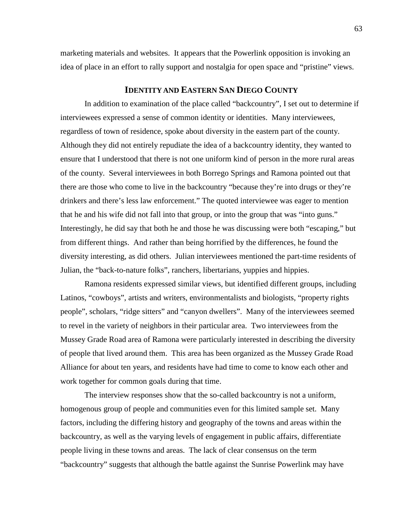marketing materials and websites. It appears that the Powerlink opposition is invoking an idea of place in an effort to rally support and nostalgia for open space and "pristine" views.

# **IDENTITY AND EASTERN SAN DIEGO COUNTY**

In addition to examination of the place called "backcountry", I set out to determine if interviewees expressed a sense of common identity or identities. Many interviewees, regardless of town of residence, spoke about diversity in the eastern part of the county. Although they did not entirely repudiate the idea of a backcountry identity, they wanted to ensure that I understood that there is not one uniform kind of person in the more rural areas of the county. Several interviewees in both Borrego Springs and Ramona pointed out that there are those who come to live in the backcountry "because they're into drugs or they're drinkers and there's less law enforcement." The quoted interviewee was eager to mention that he and his wife did not fall into that group, or into the group that was "into guns." Interestingly, he did say that both he and those he was discussing were both "escaping," but from different things. And rather than being horrified by the differences, he found the diversity interesting, as did others. Julian interviewees mentioned the part-time residents of Julian, the "back-to-nature folks", ranchers, libertarians, yuppies and hippies.

Ramona residents expressed similar views, but identified different groups, including Latinos, "cowboys", artists and writers, environmentalists and biologists, "property rights people", scholars, "ridge sitters" and "canyon dwellers". Many of the interviewees seemed to revel in the variety of neighbors in their particular area. Two interviewees from the Mussey Grade Road area of Ramona were particularly interested in describing the diversity of people that lived around them. This area has been organized as the Mussey Grade Road Alliance for about ten years, and residents have had time to come to know each other and work together for common goals during that time.

The interview responses show that the so-called backcountry is not a uniform, homogenous group of people and communities even for this limited sample set. Many factors, including the differing history and geography of the towns and areas within the backcountry, as well as the varying levels of engagement in public affairs, differentiate people living in these towns and areas. The lack of clear consensus on the term "backcountry" suggests that although the battle against the Sunrise Powerlink may have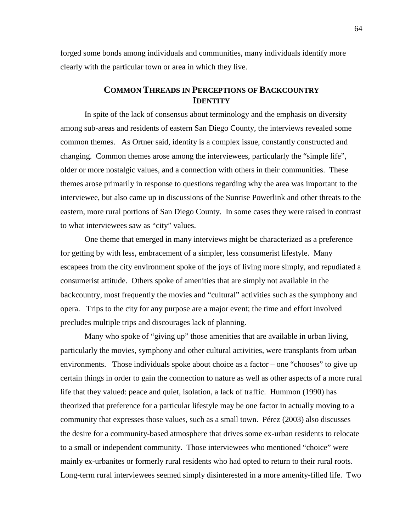forged some bonds among individuals and communities, many individuals identify more clearly with the particular town or area in which they live.

# **COMMON THREADS IN PERCEPTIONS OF BACKCOUNTRY IDENTITY**

In spite of the lack of consensus about terminology and the emphasis on diversity among sub-areas and residents of eastern San Diego County, the interviews revealed some common themes. As Ortner said, identity is a complex issue, constantly constructed and changing. Common themes arose among the interviewees, particularly the "simple life", older or more nostalgic values, and a connection with others in their communities. These themes arose primarily in response to questions regarding why the area was important to the interviewee, but also came up in discussions of the Sunrise Powerlink and other threats to the eastern, more rural portions of San Diego County. In some cases they were raised in contrast to what interviewees saw as "city" values.

One theme that emerged in many interviews might be characterized as a preference for getting by with less, embracement of a simpler, less consumerist lifestyle. Many escapees from the city environment spoke of the joys of living more simply, and repudiated a consumerist attitude. Others spoke of amenities that are simply not available in the backcountry, most frequently the movies and "cultural" activities such as the symphony and opera. Trips to the city for any purpose are a major event; the time and effort involved precludes multiple trips and discourages lack of planning.

Many who spoke of "giving up" those amenities that are available in urban living, particularly the movies, symphony and other cultural activities, were transplants from urban environments. Those individuals spoke about choice as a factor – one "chooses" to give up certain things in order to gain the connection to nature as well as other aspects of a more rural life that they valued: peace and quiet, isolation, a lack of traffic. Hummon (1990) has theorized that preference for a particular lifestyle may be one factor in actually moving to a community that expresses those values, such as a small town. Pérez (2003) also discusses the desire for a community-based atmosphere that drives some ex-urban residents to relocate to a small or independent community. Those interviewees who mentioned "choice" were mainly ex-urbanites or formerly rural residents who had opted to return to their rural roots. Long-term rural interviewees seemed simply disinterested in a more amenity-filled life. Two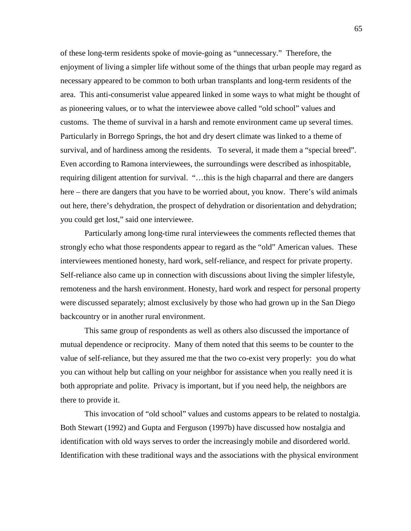of these long-term residents spoke of movie-going as "unnecessary." Therefore, the enjoyment of living a simpler life without some of the things that urban people may regard as necessary appeared to be common to both urban transplants and long-term residents of the area. This anti-consumerist value appeared linked in some ways to what might be thought of as pioneering values, or to what the interviewee above called "old school" values and customs. The theme of survival in a harsh and remote environment came up several times. Particularly in Borrego Springs, the hot and dry desert climate was linked to a theme of survival, and of hardiness among the residents. To several, it made them a "special breed". Even according to Ramona interviewees, the surroundings were described as inhospitable, requiring diligent attention for survival. "…this is the high chaparral and there are dangers here – there are dangers that you have to be worried about, you know. There's wild animals out here, there's dehydration, the prospect of dehydration or disorientation and dehydration; you could get lost," said one interviewee.

Particularly among long-time rural interviewees the comments reflected themes that strongly echo what those respondents appear to regard as the "old" American values. These interviewees mentioned honesty, hard work, self-reliance, and respect for private property. Self-reliance also came up in connection with discussions about living the simpler lifestyle, remoteness and the harsh environment. Honesty, hard work and respect for personal property were discussed separately; almost exclusively by those who had grown up in the San Diego backcountry or in another rural environment.

This same group of respondents as well as others also discussed the importance of mutual dependence or reciprocity. Many of them noted that this seems to be counter to the value of self-reliance, but they assured me that the two co-exist very properly: you do what you can without help but calling on your neighbor for assistance when you really need it is both appropriate and polite. Privacy is important, but if you need help, the neighbors are there to provide it.

This invocation of "old school" values and customs appears to be related to nostalgia. Both Stewart (1992) and Gupta and Ferguson (1997b) have discussed how nostalgia and identification with old ways serves to order the increasingly mobile and disordered world. Identification with these traditional ways and the associations with the physical environment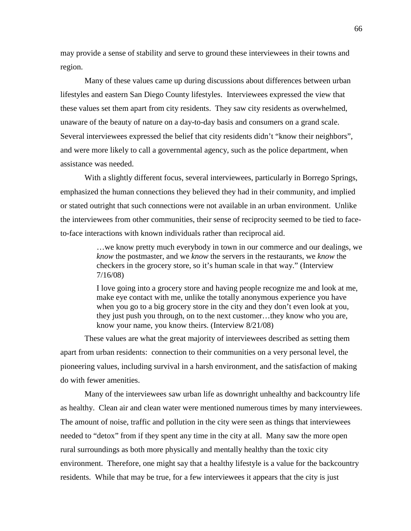may provide a sense of stability and serve to ground these interviewees in their towns and region.

Many of these values came up during discussions about differences between urban lifestyles and eastern San Diego County lifestyles. Interviewees expressed the view that these values set them apart from city residents. They saw city residents as overwhelmed, unaware of the beauty of nature on a day-to-day basis and consumers on a grand scale. Several interviewees expressed the belief that city residents didn't "know their neighbors", and were more likely to call a governmental agency, such as the police department, when assistance was needed.

With a slightly different focus, several interviewees, particularly in Borrego Springs, emphasized the human connections they believed they had in their community, and implied or stated outright that such connections were not available in an urban environment. Unlike the interviewees from other communities, their sense of reciprocity seemed to be tied to faceto-face interactions with known individuals rather than reciprocal aid.

> …we know pretty much everybody in town in our commerce and our dealings, we *know* the postmaster, and we *know* the servers in the restaurants, we *know* the checkers in the grocery store, so it's human scale in that way." (Interview 7/16/08)

I love going into a grocery store and having people recognize me and look at me, make eye contact with me, unlike the totally anonymous experience you have when you go to a big grocery store in the city and they don't even look at you, they just push you through, on to the next customer…they know who you are, know your name, you know theirs. (Interview 8/21/08)

These values are what the great majority of interviewees described as setting them apart from urban residents: connection to their communities on a very personal level, the pioneering values, including survival in a harsh environment, and the satisfaction of making do with fewer amenities.

Many of the interviewees saw urban life as downright unhealthy and backcountry life as healthy. Clean air and clean water were mentioned numerous times by many interviewees. The amount of noise, traffic and pollution in the city were seen as things that interviewees needed to "detox" from if they spent any time in the city at all. Many saw the more open rural surroundings as both more physically and mentally healthy than the toxic city environment. Therefore, one might say that a healthy lifestyle is a value for the backcountry residents. While that may be true, for a few interviewees it appears that the city is just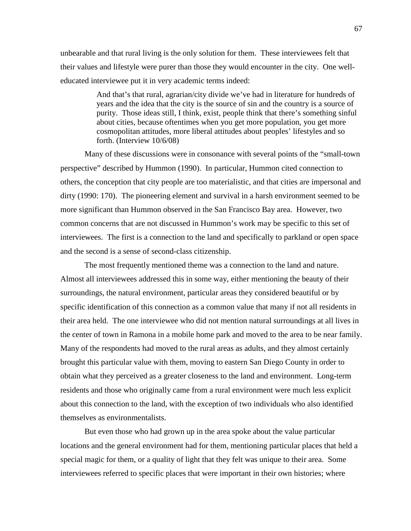unbearable and that rural living is the only solution for them. These interviewees felt that their values and lifestyle were purer than those they would encounter in the city. One welleducated interviewee put it in very academic terms indeed:

> And that's that rural, agrarian/city divide we've had in literature for hundreds of years and the idea that the city is the source of sin and the country is a source of purity. Those ideas still, I think, exist, people think that there's something sinful about cities, because oftentimes when you get more population, you get more cosmopolitan attitudes, more liberal attitudes about peoples' lifestyles and so forth. (Interview 10/6/08)

Many of these discussions were in consonance with several points of the "small-town perspective" described by Hummon (1990). In particular, Hummon cited connection to others, the conception that city people are too materialistic, and that cities are impersonal and dirty (1990: 170). The pioneering element and survival in a harsh environment seemed to be more significant than Hummon observed in the San Francisco Bay area. However, two common concerns that are not discussed in Hummon's work may be specific to this set of interviewees. The first is a connection to the land and specifically to parkland or open space and the second is a sense of second-class citizenship.

The most frequently mentioned theme was a connection to the land and nature. Almost all interviewees addressed this in some way, either mentioning the beauty of their surroundings, the natural environment, particular areas they considered beautiful or by specific identification of this connection as a common value that many if not all residents in their area held. The one interviewee who did not mention natural surroundings at all lives in the center of town in Ramona in a mobile home park and moved to the area to be near family. Many of the respondents had moved to the rural areas as adults, and they almost certainly brought this particular value with them, moving to eastern San Diego County in order to obtain what they perceived as a greater closeness to the land and environment. Long-term residents and those who originally came from a rural environment were much less explicit about this connection to the land, with the exception of two individuals who also identified themselves as environmentalists.

But even those who had grown up in the area spoke about the value particular locations and the general environment had for them, mentioning particular places that held a special magic for them, or a quality of light that they felt was unique to their area. Some interviewees referred to specific places that were important in their own histories; where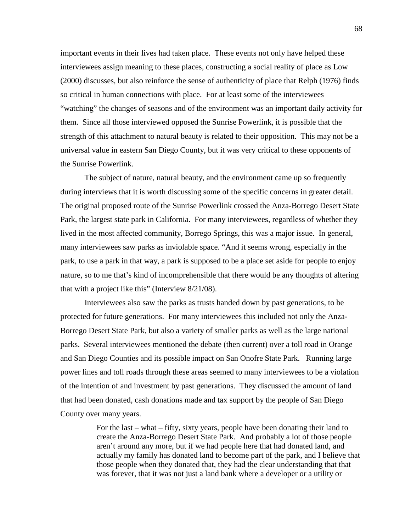important events in their lives had taken place. These events not only have helped these interviewees assign meaning to these places, constructing a social reality of place as Low (2000) discusses, but also reinforce the sense of authenticity of place that Relph (1976) finds so critical in human connections with place. For at least some of the interviewees "watching" the changes of seasons and of the environment was an important daily activity for them. Since all those interviewed opposed the Sunrise Powerlink, it is possible that the strength of this attachment to natural beauty is related to their opposition. This may not be a universal value in eastern San Diego County, but it was very critical to these opponents of the Sunrise Powerlink.

The subject of nature, natural beauty, and the environment came up so frequently during interviews that it is worth discussing some of the specific concerns in greater detail. The original proposed route of the Sunrise Powerlink crossed the Anza-Borrego Desert State Park, the largest state park in California. For many interviewees, regardless of whether they lived in the most affected community, Borrego Springs, this was a major issue. In general, many interviewees saw parks as inviolable space. "And it seems wrong, especially in the park, to use a park in that way, a park is supposed to be a place set aside for people to enjoy nature, so to me that's kind of incomprehensible that there would be any thoughts of altering that with a project like this" (Interview 8/21/08).

Interviewees also saw the parks as trusts handed down by past generations, to be protected for future generations. For many interviewees this included not only the Anza-Borrego Desert State Park, but also a variety of smaller parks as well as the large national parks. Several interviewees mentioned the debate (then current) over a toll road in Orange and San Diego Counties and its possible impact on San Onofre State Park. Running large power lines and toll roads through these areas seemed to many interviewees to be a violation of the intention of and investment by past generations. They discussed the amount of land that had been donated, cash donations made and tax support by the people of San Diego County over many years.

> For the last – what – fifty, sixty years, people have been donating their land to create the Anza-Borrego Desert State Park. And probably a lot of those people aren't around any more, but if we had people here that had donated land, and actually my family has donated land to become part of the park, and I believe that those people when they donated that, they had the clear understanding that that was forever, that it was not just a land bank where a developer or a utility or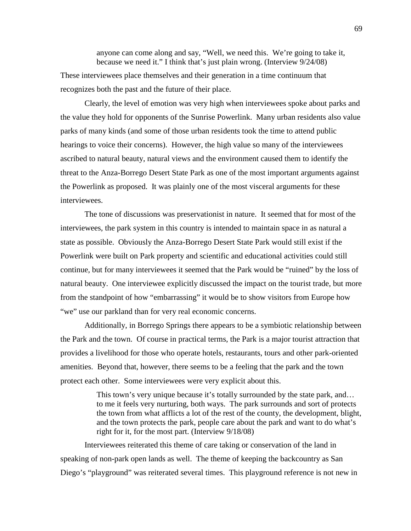anyone can come along and say, "Well, we need this. We're going to take it, because we need it." I think that's just plain wrong. (Interview 9/24/08) These interviewees place themselves and their generation in a time continuum that recognizes both the past and the future of their place.

Clearly, the level of emotion was very high when interviewees spoke about parks and the value they hold for opponents of the Sunrise Powerlink. Many urban residents also value parks of many kinds (and some of those urban residents took the time to attend public hearings to voice their concerns). However, the high value so many of the interviewees ascribed to natural beauty, natural views and the environment caused them to identify the threat to the Anza-Borrego Desert State Park as one of the most important arguments against the Powerlink as proposed. It was plainly one of the most visceral arguments for these interviewees.

The tone of discussions was preservationist in nature. It seemed that for most of the interviewees, the park system in this country is intended to maintain space in as natural a state as possible. Obviously the Anza-Borrego Desert State Park would still exist if the Powerlink were built on Park property and scientific and educational activities could still continue, but for many interviewees it seemed that the Park would be "ruined" by the loss of natural beauty. One interviewee explicitly discussed the impact on the tourist trade, but more from the standpoint of how "embarrassing" it would be to show visitors from Europe how "we" use our parkland than for very real economic concerns.

Additionally, in Borrego Springs there appears to be a symbiotic relationship between the Park and the town. Of course in practical terms, the Park is a major tourist attraction that provides a livelihood for those who operate hotels, restaurants, tours and other park-oriented amenities. Beyond that, however, there seems to be a feeling that the park and the town protect each other. Some interviewees were very explicit about this.

> This town's very unique because it's totally surrounded by the state park, and... to me it feels very nurturing, both ways. The park surrounds and sort of protects the town from what afflicts a lot of the rest of the county, the development, blight, and the town protects the park, people care about the park and want to do what's right for it, for the most part. (Interview 9/18/08)

Interviewees reiterated this theme of care taking or conservation of the land in speaking of non-park open lands as well. The theme of keeping the backcountry as San Diego's "playground" was reiterated several times. This playground reference is not new in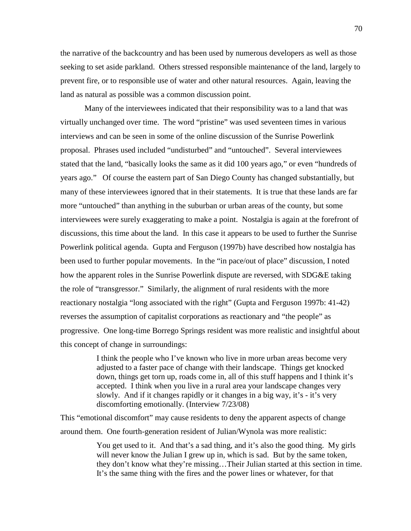the narrative of the backcountry and has been used by numerous developers as well as those seeking to set aside parkland. Others stressed responsible maintenance of the land, largely to prevent fire, or to responsible use of water and other natural resources. Again, leaving the land as natural as possible was a common discussion point.

Many of the interviewees indicated that their responsibility was to a land that was virtually unchanged over time. The word "pristine" was used seventeen times in various interviews and can be seen in some of the online discussion of the Sunrise Powerlink proposal. Phrases used included "undisturbed" and "untouched". Several interviewees stated that the land, "basically looks the same as it did 100 years ago," or even "hundreds of years ago." Of course the eastern part of San Diego County has changed substantially, but many of these interviewees ignored that in their statements. It is true that these lands are far more "untouched" than anything in the suburban or urban areas of the county, but some interviewees were surely exaggerating to make a point. Nostalgia is again at the forefront of discussions, this time about the land. In this case it appears to be used to further the Sunrise Powerlink political agenda. Gupta and Ferguson (1997b) have described how nostalgia has been used to further popular movements. In the "in pace/out of place" discussion, I noted how the apparent roles in the Sunrise Powerlink dispute are reversed, with SDG&E taking the role of "transgressor." Similarly, the alignment of rural residents with the more reactionary nostalgia "long associated with the right" (Gupta and Ferguson 1997b: 41-42) reverses the assumption of capitalist corporations as reactionary and "the people" as progressive. One long-time Borrego Springs resident was more realistic and insightful about this concept of change in surroundings:

> I think the people who I've known who live in more urban areas become very adjusted to a faster pace of change with their landscape. Things get knocked down, things get torn up, roads come in, all of this stuff happens and I think it's accepted. I think when you live in a rural area your landscape changes very slowly. And if it changes rapidly or it changes in a big way, it's - it's very discomforting emotionally. (Interview 7/23/08)

This "emotional discomfort" may cause residents to deny the apparent aspects of change around them. One fourth-generation resident of Julian/Wynola was more realistic:

> You get used to it. And that's a sad thing, and it's also the good thing. My girls will never know the Julian I grew up in, which is sad. But by the same token, they don't know what they're missing…Their Julian started at this section in time. It's the same thing with the fires and the power lines or whatever, for that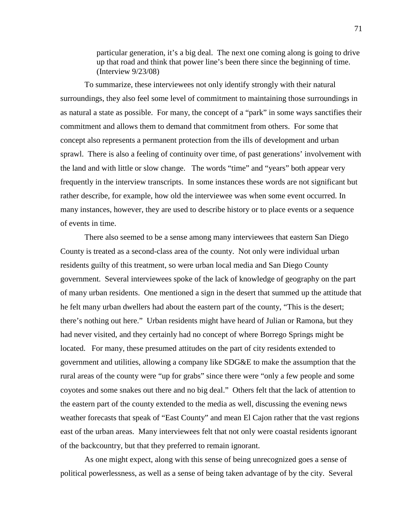particular generation, it's a big deal. The next one coming along is going to drive up that road and think that power line's been there since the beginning of time. (Interview 9/23/08)

To summarize, these interviewees not only identify strongly with their natural surroundings, they also feel some level of commitment to maintaining those surroundings in as natural a state as possible. For many, the concept of a "park" in some ways sanctifies their commitment and allows them to demand that commitment from others. For some that concept also represents a permanent protection from the ills of development and urban sprawl. There is also a feeling of continuity over time, of past generations' involvement with the land and with little or slow change. The words "time" and "years" both appear very frequently in the interview transcripts. In some instances these words are not significant but rather describe, for example, how old the interviewee was when some event occurred. In many instances, however, they are used to describe history or to place events or a sequence of events in time.

There also seemed to be a sense among many interviewees that eastern San Diego County is treated as a second-class area of the county. Not only were individual urban residents guilty of this treatment, so were urban local media and San Diego County government. Several interviewees spoke of the lack of knowledge of geography on the part of many urban residents. One mentioned a sign in the desert that summed up the attitude that he felt many urban dwellers had about the eastern part of the county, "This is the desert; there's nothing out here." Urban residents might have heard of Julian or Ramona, but they had never visited, and they certainly had no concept of where Borrego Springs might be located. For many, these presumed attitudes on the part of city residents extended to government and utilities, allowing a company like SDG&E to make the assumption that the rural areas of the county were "up for grabs" since there were "only a few people and some coyotes and some snakes out there and no big deal." Others felt that the lack of attention to the eastern part of the county extended to the media as well, discussing the evening news weather forecasts that speak of "East County" and mean El Cajon rather that the vast regions east of the urban areas. Many interviewees felt that not only were coastal residents ignorant of the backcountry, but that they preferred to remain ignorant.

As one might expect, along with this sense of being unrecognized goes a sense of political powerlessness, as well as a sense of being taken advantage of by the city. Several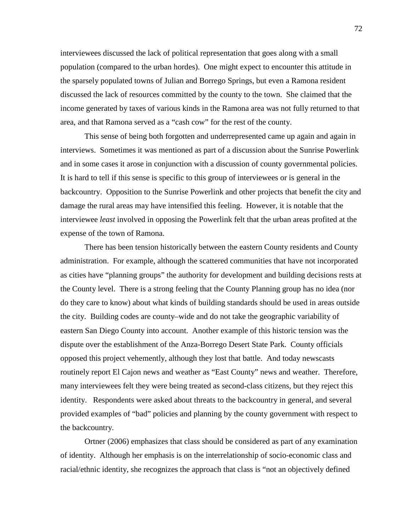interviewees discussed the lack of political representation that goes along with a small population (compared to the urban hordes). One might expect to encounter this attitude in the sparsely populated towns of Julian and Borrego Springs, but even a Ramona resident discussed the lack of resources committed by the county to the town. She claimed that the income generated by taxes of various kinds in the Ramona area was not fully returned to that area, and that Ramona served as a "cash cow" for the rest of the county.

This sense of being both forgotten and underrepresented came up again and again in interviews. Sometimes it was mentioned as part of a discussion about the Sunrise Powerlink and in some cases it arose in conjunction with a discussion of county governmental policies. It is hard to tell if this sense is specific to this group of interviewees or is general in the backcountry. Opposition to the Sunrise Powerlink and other projects that benefit the city and damage the rural areas may have intensified this feeling. However, it is notable that the interviewee *least* involved in opposing the Powerlink felt that the urban areas profited at the expense of the town of Ramona.

There has been tension historically between the eastern County residents and County administration. For example, although the scattered communities that have not incorporated as cities have "planning groups" the authority for development and building decisions rests at the County level. There is a strong feeling that the County Planning group has no idea (nor do they care to know) about what kinds of building standards should be used in areas outside the city. Building codes are county–wide and do not take the geographic variability of eastern San Diego County into account. Another example of this historic tension was the dispute over the establishment of the Anza-Borrego Desert State Park. County officials opposed this project vehemently, although they lost that battle. And today newscasts routinely report El Cajon news and weather as "East County" news and weather. Therefore, many interviewees felt they were being treated as second-class citizens, but they reject this identity. Respondents were asked about threats to the backcountry in general, and several provided examples of "bad" policies and planning by the county government with respect to the backcountry.

Ortner (2006) emphasizes that class should be considered as part of any examination of identity. Although her emphasis is on the interrelationship of socio-economic class and racial/ethnic identity, she recognizes the approach that class is "not an objectively defined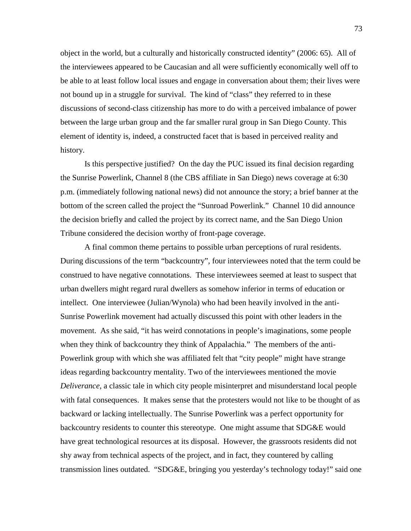object in the world, but a culturally and historically constructed identity" (2006: 65). All of the interviewees appeared to be Caucasian and all were sufficiently economically well off to be able to at least follow local issues and engage in conversation about them; their lives were not bound up in a struggle for survival. The kind of "class" they referred to in these discussions of second-class citizenship has more to do with a perceived imbalance of power between the large urban group and the far smaller rural group in San Diego County. This element of identity is, indeed, a constructed facet that is based in perceived reality and history.

Is this perspective justified? On the day the PUC issued its final decision regarding the Sunrise Powerlink, Channel 8 (the CBS affiliate in San Diego) news coverage at 6:30 p.m. (immediately following national news) did not announce the story; a brief banner at the bottom of the screen called the project the "Sunroad Powerlink." Channel 10 did announce the decision briefly and called the project by its correct name, and the San Diego Union Tribune considered the decision worthy of front-page coverage.

A final common theme pertains to possible urban perceptions of rural residents. During discussions of the term "backcountry", four interviewees noted that the term could be construed to have negative connotations. These interviewees seemed at least to suspect that urban dwellers might regard rural dwellers as somehow inferior in terms of education or intellect. One interviewee (Julian/Wynola) who had been heavily involved in the anti-Sunrise Powerlink movement had actually discussed this point with other leaders in the movement. As she said, "it has weird connotations in people's imaginations, some people when they think of backcountry they think of Appalachia." The members of the anti-Powerlink group with which she was affiliated felt that "city people" might have strange ideas regarding backcountry mentality. Two of the interviewees mentioned the movie *Deliverance*, a classic tale in which city people misinterpret and misunderstand local people with fatal consequences. It makes sense that the protesters would not like to be thought of as backward or lacking intellectually. The Sunrise Powerlink was a perfect opportunity for backcountry residents to counter this stereotype. One might assume that SDG&E would have great technological resources at its disposal. However, the grassroots residents did not shy away from technical aspects of the project, and in fact, they countered by calling transmission lines outdated. "SDG&E, bringing you yesterday's technology today!" said one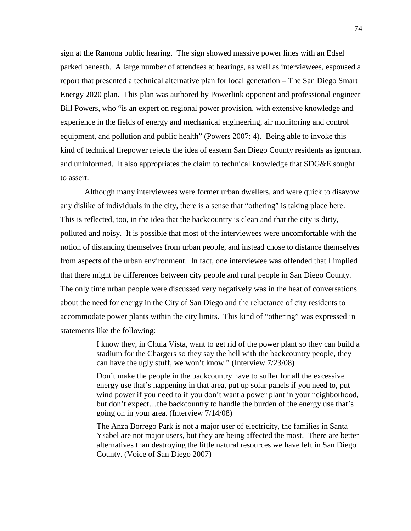sign at the Ramona public hearing. The sign showed massive power lines with an Edsel parked beneath. A large number of attendees at hearings, as well as interviewees, espoused a report that presented a technical alternative plan for local generation – The San Diego Smart Energy 2020 plan. This plan was authored by Powerlink opponent and professional engineer Bill Powers, who "is an expert on regional power provision, with extensive knowledge and experience in the fields of energy and mechanical engineering, air monitoring and control equipment, and pollution and public health" (Powers 2007: 4). Being able to invoke this kind of technical firepower rejects the idea of eastern San Diego County residents as ignorant and uninformed. It also appropriates the claim to technical knowledge that SDG&E sought to assert.

Although many interviewees were former urban dwellers, and were quick to disavow any dislike of individuals in the city, there is a sense that "othering" is taking place here. This is reflected, too, in the idea that the backcountry is clean and that the city is dirty, polluted and noisy. It is possible that most of the interviewees were uncomfortable with the notion of distancing themselves from urban people, and instead chose to distance themselves from aspects of the urban environment. In fact, one interviewee was offended that I implied that there might be differences between city people and rural people in San Diego County. The only time urban people were discussed very negatively was in the heat of conversations about the need for energy in the City of San Diego and the reluctance of city residents to accommodate power plants within the city limits. This kind of "othering" was expressed in statements like the following:

> I know they, in Chula Vista, want to get rid of the power plant so they can build a stadium for the Chargers so they say the hell with the backcountry people, they can have the ugly stuff, we won't know." (Interview 7/23/08)

> Don't make the people in the backcountry have to suffer for all the excessive energy use that's happening in that area, put up solar panels if you need to, put wind power if you need to if you don't want a power plant in your neighborhood, but don't expect…the backcountry to handle the burden of the energy use that's going on in your area. (Interview 7/14/08)

> The Anza Borrego Park is not a major user of electricity, the families in Santa Ysabel are not major users, but they are being affected the most. There are better alternatives than destroying the little natural resources we have left in San Diego County. (Voice of San Diego 2007)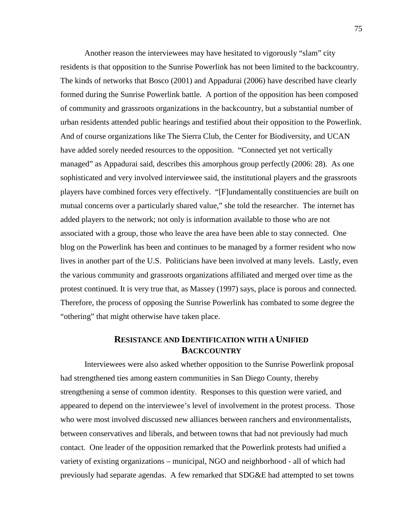Another reason the interviewees may have hesitated to vigorously "slam" city residents is that opposition to the Sunrise Powerlink has not been limited to the backcountry. The kinds of networks that Bosco (2001) and Appadurai (2006) have described have clearly formed during the Sunrise Powerlink battle. A portion of the opposition has been composed of community and grassroots organizations in the backcountry, but a substantial number of urban residents attended public hearings and testified about their opposition to the Powerlink. And of course organizations like The Sierra Club, the Center for Biodiversity, and UCAN have added sorely needed resources to the opposition. "Connected yet not vertically managed" as Appadurai said, describes this amorphous group perfectly (2006: 28). As one sophisticated and very involved interviewee said, the institutional players and the grassroots players have combined forces very effectively. "[F]undamentally constituencies are built on mutual concerns over a particularly shared value," she told the researcher. The internet has added players to the network; not only is information available to those who are not associated with a group, those who leave the area have been able to stay connected. One blog on the Powerlink has been and continues to be managed by a former resident who now lives in another part of the U.S. Politicians have been involved at many levels. Lastly, even the various community and grassroots organizations affiliated and merged over time as the protest continued. It is very true that, as Massey (1997) says, place is porous and connected. Therefore, the process of opposing the Sunrise Powerlink has combated to some degree the "othering" that might otherwise have taken place.

# **RESISTANCE AND IDENTIFICATION WITH A UNIFIED BACKCOUNTRY**

Interviewees were also asked whether opposition to the Sunrise Powerlink proposal had strengthened ties among eastern communities in San Diego County, thereby strengthening a sense of common identity. Responses to this question were varied, and appeared to depend on the interviewee's level of involvement in the protest process. Those who were most involved discussed new alliances between ranchers and environmentalists, between conservatives and liberals, and between towns that had not previously had much contact. One leader of the opposition remarked that the Powerlink protests had unified a variety of existing organizations – municipal, NGO and neighborhood - all of which had previously had separate agendas. A few remarked that SDG&E had attempted to set towns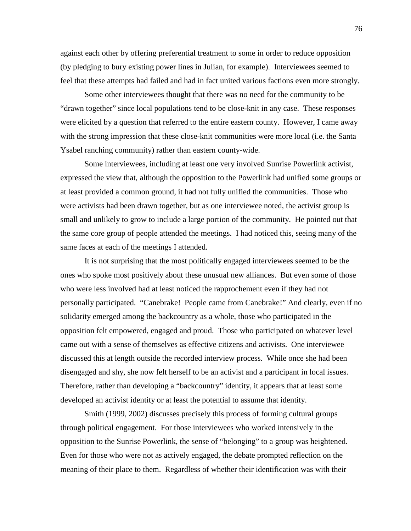against each other by offering preferential treatment to some in order to reduce opposition (by pledging to bury existing power lines in Julian, for example). Interviewees seemed to feel that these attempts had failed and had in fact united various factions even more strongly.

Some other interviewees thought that there was no need for the community to be "drawn together" since local populations tend to be close-knit in any case. These responses were elicited by a question that referred to the entire eastern county. However, I came away with the strong impression that these close-knit communities were more local (i.e. the Santa Ysabel ranching community) rather than eastern county-wide.

Some interviewees, including at least one very involved Sunrise Powerlink activist, expressed the view that, although the opposition to the Powerlink had unified some groups or at least provided a common ground, it had not fully unified the communities. Those who were activists had been drawn together, but as one interviewee noted, the activist group is small and unlikely to grow to include a large portion of the community. He pointed out that the same core group of people attended the meetings. I had noticed this, seeing many of the same faces at each of the meetings I attended.

It is not surprising that the most politically engaged interviewees seemed to be the ones who spoke most positively about these unusual new alliances. But even some of those who were less involved had at least noticed the rapprochement even if they had not personally participated. "Canebrake! People came from Canebrake!" And clearly, even if no solidarity emerged among the backcountry as a whole, those who participated in the opposition felt empowered, engaged and proud. Those who participated on whatever level came out with a sense of themselves as effective citizens and activists. One interviewee discussed this at length outside the recorded interview process. While once she had been disengaged and shy, she now felt herself to be an activist and a participant in local issues. Therefore, rather than developing a "backcountry" identity, it appears that at least some developed an activist identity or at least the potential to assume that identity.

Smith (1999, 2002) discusses precisely this process of forming cultural groups through political engagement. For those interviewees who worked intensively in the opposition to the Sunrise Powerlink, the sense of "belonging" to a group was heightened. Even for those who were not as actively engaged, the debate prompted reflection on the meaning of their place to them. Regardless of whether their identification was with their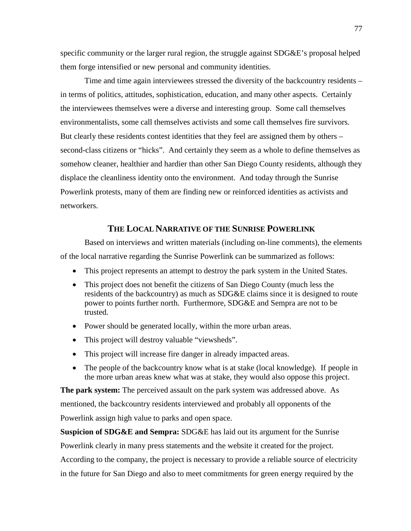specific community or the larger rural region, the struggle against SDG&E's proposal helped them forge intensified or new personal and community identities.

Time and time again interviewees stressed the diversity of the backcountry residents – in terms of politics, attitudes, sophistication, education, and many other aspects. Certainly the interviewees themselves were a diverse and interesting group. Some call themselves environmentalists, some call themselves activists and some call themselves fire survivors. But clearly these residents contest identities that they feel are assigned them by others – second-class citizens or "hicks". And certainly they seem as a whole to define themselves as somehow cleaner, healthier and hardier than other San Diego County residents, although they displace the cleanliness identity onto the environment. And today through the Sunrise Powerlink protests, many of them are finding new or reinforced identities as activists and networkers.

# **THE LOCAL NARRATIVE OF THE SUNRISE POWERLINK**

Based on interviews and written materials (including on-line comments), the elements of the local narrative regarding the Sunrise Powerlink can be summarized as follows:

- This project represents an attempt to destroy the park system in the United States.
- This project does not benefit the citizens of San Diego County (much less the residents of the backcountry) as much as SDG&E claims since it is designed to route power to points further north. Furthermore, SDG&E and Sempra are not to be trusted.
- Power should be generated locally, within the more urban areas.
- This project will destroy valuable "viewsheds".
- This project will increase fire danger in already impacted areas.
- The people of the backcountry know what is at stake (local knowledge). If people in the more urban areas knew what was at stake, they would also oppose this project.

**The park system:** The perceived assault on the park system was addressed above. As mentioned, the backcountry residents interviewed and probably all opponents of the Powerlink assign high value to parks and open space.

**Suspicion of SDG&E and Sempra:** SDG&E has laid out its argument for the Sunrise Powerlink clearly in many press statements and the website it created for the project. According to the company, the project is necessary to provide a reliable source of electricity in the future for San Diego and also to meet commitments for green energy required by the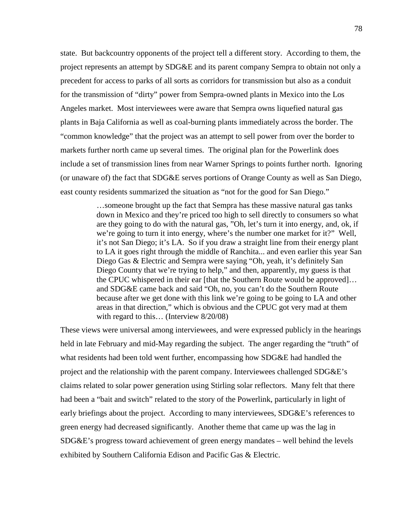state. But backcountry opponents of the project tell a different story. According to them, the project represents an attempt by SDG&E and its parent company Sempra to obtain not only a precedent for access to parks of all sorts as corridors for transmission but also as a conduit for the transmission of "dirty" power from Sempra-owned plants in Mexico into the Los Angeles market. Most interviewees were aware that Sempra owns liquefied natural gas plants in Baja California as well as coal-burning plants immediately across the border. The "common knowledge" that the project was an attempt to sell power from over the border to markets further north came up several times. The original plan for the Powerlink does include a set of transmission lines from near Warner Springs to points further north. Ignoring (or unaware of) the fact that SDG&E serves portions of Orange County as well as San Diego, east county residents summarized the situation as "not for the good for San Diego."

> …someone brought up the fact that Sempra has these massive natural gas tanks down in Mexico and they're priced too high to sell directly to consumers so what are they going to do with the natural gas, "Oh, let's turn it into energy, and, ok, if we're going to turn it into energy, where's the number one market for it?" Well, it's not San Diego; it's LA. So if you draw a straight line from their energy plant to LA it goes right through the middle of Ranchita... and even earlier this year San Diego Gas & Electric and Sempra were saying "Oh, yeah, it's definitely San Diego County that we're trying to help," and then, apparently, my guess is that the CPUC whispered in their ear [that the Southern Route would be approved]… and SDG&E came back and said "Oh, no, you can't do the Southern Route because after we get done with this link we're going to be going to LA and other areas in that direction," which is obvious and the CPUC got very mad at them with regard to this... (Interview  $8/20/08$ )

These views were universal among interviewees, and were expressed publicly in the hearings held in late February and mid-May regarding the subject. The anger regarding the "truth" of what residents had been told went further, encompassing how SDG&E had handled the project and the relationship with the parent company. Interviewees challenged SDG&E's claims related to solar power generation using Stirling solar reflectors. Many felt that there had been a "bait and switch" related to the story of the Powerlink, particularly in light of early briefings about the project. According to many interviewees, SDG&E's references to green energy had decreased significantly. Another theme that came up was the lag in SDG&E's progress toward achievement of green energy mandates – well behind the levels exhibited by Southern California Edison and Pacific Gas & Electric.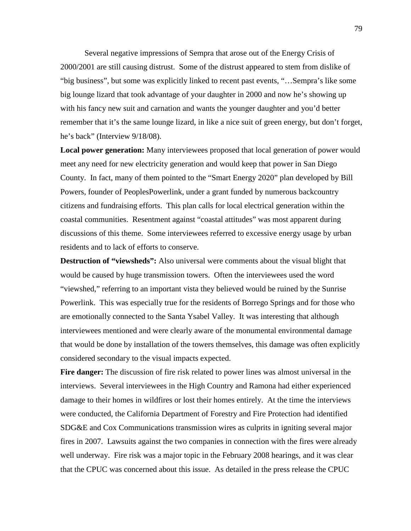Several negative impressions of Sempra that arose out of the Energy Crisis of 2000/2001 are still causing distrust. Some of the distrust appeared to stem from dislike of "big business", but some was explicitly linked to recent past events, "…Sempra's like some big lounge lizard that took advantage of your daughter in 2000 and now he's showing up with his fancy new suit and carnation and wants the younger daughter and you'd better remember that it's the same lounge lizard, in like a nice suit of green energy, but don't forget, he's back" (Interview 9/18/08).

**Local power generation:** Many interviewees proposed that local generation of power would meet any need for new electricity generation and would keep that power in San Diego County. In fact, many of them pointed to the "Smart Energy 2020" plan developed by Bill Powers, founder of PeoplesPowerlink, under a grant funded by numerous backcountry citizens and fundraising efforts. This plan calls for local electrical generation within the coastal communities. Resentment against "coastal attitudes" was most apparent during discussions of this theme. Some interviewees referred to excessive energy usage by urban residents and to lack of efforts to conserve.

**Destruction of "viewsheds":** Also universal were comments about the visual blight that would be caused by huge transmission towers. Often the interviewees used the word "viewshed," referring to an important vista they believed would be ruined by the Sunrise Powerlink. This was especially true for the residents of Borrego Springs and for those who are emotionally connected to the Santa Ysabel Valley. It was interesting that although interviewees mentioned and were clearly aware of the monumental environmental damage that would be done by installation of the towers themselves, this damage was often explicitly considered secondary to the visual impacts expected.

**Fire danger:** The discussion of fire risk related to power lines was almost universal in the interviews. Several interviewees in the High Country and Ramona had either experienced damage to their homes in wildfires or lost their homes entirely. At the time the interviews were conducted, the California Department of Forestry and Fire Protection had identified SDG&E and Cox Communications transmission wires as culprits in igniting several major fires in 2007. Lawsuits against the two companies in connection with the fires were already well underway. Fire risk was a major topic in the February 2008 hearings, and it was clear that the CPUC was concerned about this issue. As detailed in the press release the CPUC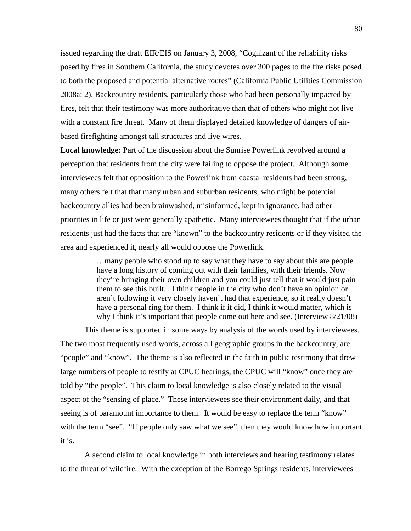issued regarding the draft EIR/EIS on January 3, 2008, "Cognizant of the reliability risks posed by fires in Southern California, the study devotes over 300 pages to the fire risks posed to both the proposed and potential alternative routes" (California Public Utilities Commission 2008a: 2). Backcountry residents, particularly those who had been personally impacted by fires, felt that their testimony was more authoritative than that of others who might not live with a constant fire threat. Many of them displayed detailed knowledge of dangers of airbased firefighting amongst tall structures and live wires.

**Local knowledge:** Part of the discussion about the Sunrise Powerlink revolved around a perception that residents from the city were failing to oppose the project. Although some interviewees felt that opposition to the Powerlink from coastal residents had been strong, many others felt that that many urban and suburban residents, who might be potential backcountry allies had been brainwashed, misinformed, kept in ignorance, had other priorities in life or just were generally apathetic. Many interviewees thought that if the urban residents just had the facts that are "known" to the backcountry residents or if they visited the area and experienced it, nearly all would oppose the Powerlink.

> …many people who stood up to say what they have to say about this are people have a long history of coming out with their families, with their friends. Now they're bringing their own children and you could just tell that it would just pain them to see this built. I think people in the city who don't have an opinion or aren't following it very closely haven't had that experience, so it really doesn't have a personal ring for them. I think if it did, I think it would matter, which is why I think it's important that people come out here and see. (Interview  $8/21/08$ )

This theme is supported in some ways by analysis of the words used by interviewees. The two most frequently used words, across all geographic groups in the backcountry, are "people" and "know". The theme is also reflected in the faith in public testimony that drew large numbers of people to testify at CPUC hearings; the CPUC will "know" once they are told by "the people". This claim to local knowledge is also closely related to the visual aspect of the "sensing of place." These interviewees see their environment daily, and that seeing is of paramount importance to them. It would be easy to replace the term "know" with the term "see". "If people only saw what we see", then they would know how important it is.

A second claim to local knowledge in both interviews and hearing testimony relates to the threat of wildfire. With the exception of the Borrego Springs residents, interviewees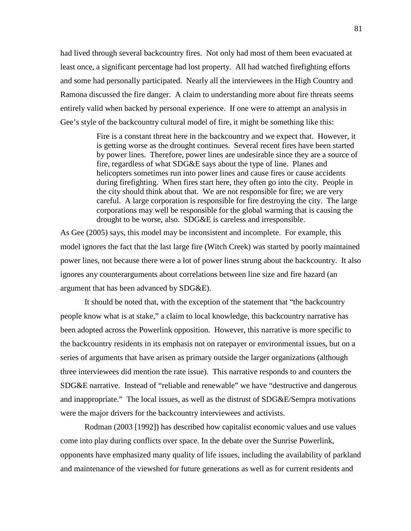had lived through several backcountry fires. Not only had most of them been evacuated at least once, a significant percentage had lost property. All had watched firefighting efforts and some had personally participated. Nearly all the interviewees in the High Country and Ramona discussed the fire danger. A claim to understanding more about fire threats seems entirely valid when backed by personal experience. If one were to attempt an analysis in Gee's style of the backcountry cultural model of fire, it might be something like this:

> Fire is a constant threat here in the backcountry and we expect that. However, it is getting worse as the drought continues. Several recent fires have been started by power lines. Therefore, power lines are undesirable since they are a source of fire, regardless of what SDG&E says about the type of line. Planes and helicopters sometimes run into power lines and cause fires or cause accidents during firefighting. When fires start here, they often go into the city. People in the city should think about that. We are not responsible for fire; we are very careful. A large corporation is responsible for fire destroying the city. The large corporations may well be responsible for the global warming that is causing the drought to be worse, also. SDG&E is careless and irresponsible.

As Gee (2005) says, this model may be inconsistent and incomplete. For example, this model ignores the fact that the last large fire (Witch Creek) was started by poorly maintained power lines, not because there were a lot of power lines strung about the backcountry. It also ignores any counterarguments about correlations between line size and fire hazard (an argument that has been advanced by SDG&E).

It should be noted that, with the exception of the statement that "the backcountry people know what is at stake," a claim to local knowledge, this backcountry narrative has been adopted across the Powerlink opposition. However, this narrative is more specific to the backcountry residents in its emphasis not on ratepayer or environmental issues, but on a series of arguments that have arisen as primary outside the larger organizations (although three interviewees did mention the rate issue). This narrative responds to and counters the SDG&E narrative. Instead of "reliable and renewable" we have "destructive and dangerous and inappropriate." The local issues, as well as the distrust of SDG&E/Sempra motivations were the major drivers for the backcountry interviewees and activists.

Rodman (2003 [1992]) has described how capitalist economic values and use values come into play during conflicts over space. In the debate over the Sunrise Powerlink, opponents have emphasized many quality of life issues, including the availability of parkland and maintenance of the viewshed for future generations as well as for current residents and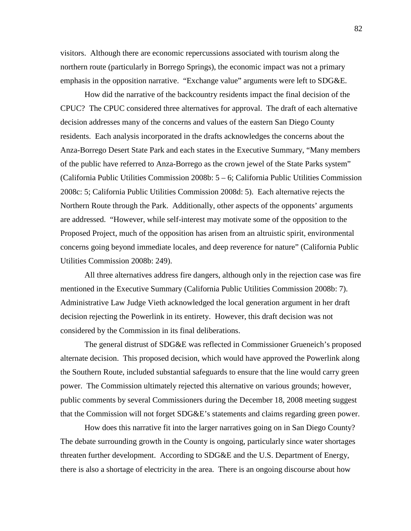visitors. Although there are economic repercussions associated with tourism along the northern route (particularly in Borrego Springs), the economic impact was not a primary emphasis in the opposition narrative. "Exchange value" arguments were left to SDG&E.

How did the narrative of the backcountry residents impact the final decision of the CPUC? The CPUC considered three alternatives for approval. The draft of each alternative decision addresses many of the concerns and values of the eastern San Diego County residents. Each analysis incorporated in the drafts acknowledges the concerns about the Anza-Borrego Desert State Park and each states in the Executive Summary, "Many members of the public have referred to Anza-Borrego as the crown jewel of the State Parks system" (California Public Utilities Commission 2008b: 5 – 6; California Public Utilities Commission 2008c: 5; California Public Utilities Commission 2008d: 5). Each alternative rejects the Northern Route through the Park. Additionally, other aspects of the opponents' arguments are addressed. "However, while self-interest may motivate some of the opposition to the Proposed Project, much of the opposition has arisen from an altruistic spirit, environmental concerns going beyond immediate locales, and deep reverence for nature" (California Public Utilities Commission 2008b: 249).

All three alternatives address fire dangers, although only in the rejection case was fire mentioned in the Executive Summary (California Public Utilities Commission 2008b: 7). Administrative Law Judge Vieth acknowledged the local generation argument in her draft decision rejecting the Powerlink in its entirety. However, this draft decision was not considered by the Commission in its final deliberations.

The general distrust of SDG&E was reflected in Commissioner Grueneich's proposed alternate decision. This proposed decision, which would have approved the Powerlink along the Southern Route, included substantial safeguards to ensure that the line would carry green power. The Commission ultimately rejected this alternative on various grounds; however, public comments by several Commissioners during the December 18, 2008 meeting suggest that the Commission will not forget SDG&E's statements and claims regarding green power.

How does this narrative fit into the larger narratives going on in San Diego County? The debate surrounding growth in the County is ongoing, particularly since water shortages threaten further development. According to SDG&E and the U.S. Department of Energy, there is also a shortage of electricity in the area. There is an ongoing discourse about how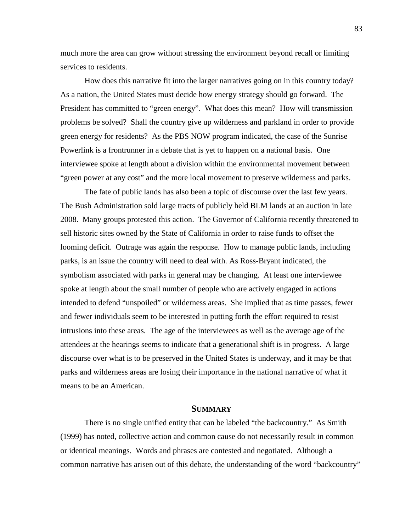much more the area can grow without stressing the environment beyond recall or limiting services to residents.

How does this narrative fit into the larger narratives going on in this country today? As a nation, the United States must decide how energy strategy should go forward. The President has committed to "green energy". What does this mean? How will transmission problems be solved? Shall the country give up wilderness and parkland in order to provide green energy for residents? As the PBS NOW program indicated, the case of the Sunrise Powerlink is a frontrunner in a debate that is yet to happen on a national basis. One interviewee spoke at length about a division within the environmental movement between "green power at any cost" and the more local movement to preserve wilderness and parks.

The fate of public lands has also been a topic of discourse over the last few years. The Bush Administration sold large tracts of publicly held BLM lands at an auction in late 2008. Many groups protested this action. The Governor of California recently threatened to sell historic sites owned by the State of California in order to raise funds to offset the looming deficit. Outrage was again the response. How to manage public lands, including parks, is an issue the country will need to deal with. As Ross-Bryant indicated, the symbolism associated with parks in general may be changing. At least one interviewee spoke at length about the small number of people who are actively engaged in actions intended to defend "unspoiled" or wilderness areas. She implied that as time passes, fewer and fewer individuals seem to be interested in putting forth the effort required to resist intrusions into these areas. The age of the interviewees as well as the average age of the attendees at the hearings seems to indicate that a generational shift is in progress. A large discourse over what is to be preserved in the United States is underway, and it may be that parks and wilderness areas are losing their importance in the national narrative of what it means to be an American.

# **SUMMARY**

There is no single unified entity that can be labeled "the backcountry." As Smith (1999) has noted, collective action and common cause do not necessarily result in common or identical meanings. Words and phrases are contested and negotiated. Although a common narrative has arisen out of this debate, the understanding of the word "backcountry"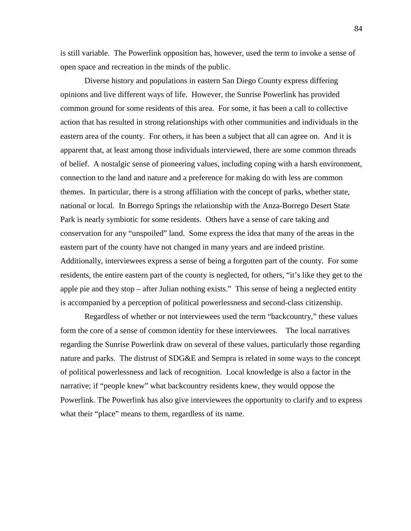is still variable. The Powerlink opposition has, however, used the term to invoke a sense of open space and recreation in the minds of the public.

Diverse history and populations in eastern San Diego County express differing opinions and live different ways of life. However, the Sunrise Powerlink has provided common ground for some residents of this area. For some, it has been a call to collective action that has resulted in strong relationships with other communities and individuals in the eastern area of the county. For others, it has been a subject that all can agree on. And it is apparent that, at least among those individuals interviewed, there are some common threads of belief. A nostalgic sense of pioneering values, including coping with a harsh environment, connection to the land and nature and a preference for making do with less are common themes. In particular, there is a strong affiliation with the concept of parks, whether state, national or local. In Borrego Springs the relationship with the Anza-Borrego Desert State Park is nearly symbiotic for some residents. Others have a sense of care taking and conservation for any "unspoiled" land. Some express the idea that many of the areas in the eastern part of the county have not changed in many years and are indeed pristine. Additionally, interviewees express a sense of being a forgotten part of the county. For some residents, the entire eastern part of the county is neglected, for others, "it's like they get to the apple pie and they stop – after Julian nothing exists." This sense of being a neglected entity is accompanied by a perception of political powerlessness and second-class citizenship.

Regardless of whether or not interviewees used the term "backcountry," these values form the core of a sense of common identity for these interviewees. The local narratives regarding the Sunrise Powerlink draw on several of these values, particularly those regarding nature and parks. The distrust of SDG&E and Sempra is related in some ways to the concept of political powerlessness and lack of recognition. Local knowledge is also a factor in the narrative; if "people knew" what backcountry residents knew, they would oppose the Powerlink. The Powerlink has also give interviewees the opportunity to clarify and to express what their "place" means to them, regardless of its name.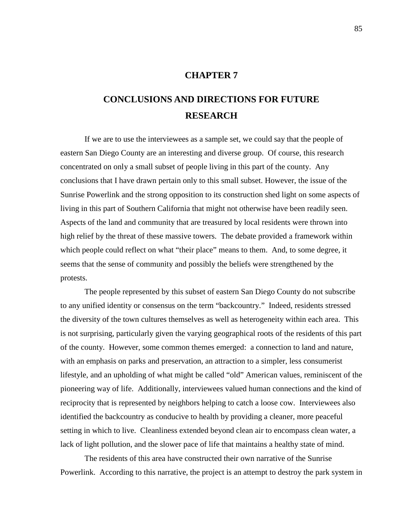# **CHAPTER 7**

# **CONCLUSIONS AND DIRECTIONS FOR FUTURE RESEARCH**

If we are to use the interviewees as a sample set, we could say that the people of eastern San Diego County are an interesting and diverse group. Of course, this research concentrated on only a small subset of people living in this part of the county. Any conclusions that I have drawn pertain only to this small subset. However, the issue of the Sunrise Powerlink and the strong opposition to its construction shed light on some aspects of living in this part of Southern California that might not otherwise have been readily seen. Aspects of the land and community that are treasured by local residents were thrown into high relief by the threat of these massive towers. The debate provided a framework within which people could reflect on what "their place" means to them. And, to some degree, it seems that the sense of community and possibly the beliefs were strengthened by the protests.

The people represented by this subset of eastern San Diego County do not subscribe to any unified identity or consensus on the term "backcountry." Indeed, residents stressed the diversity of the town cultures themselves as well as heterogeneity within each area. This is not surprising, particularly given the varying geographical roots of the residents of this part of the county. However, some common themes emerged: a connection to land and nature, with an emphasis on parks and preservation, an attraction to a simpler, less consumerist lifestyle, and an upholding of what might be called "old" American values, reminiscent of the pioneering way of life. Additionally, interviewees valued human connections and the kind of reciprocity that is represented by neighbors helping to catch a loose cow. Interviewees also identified the backcountry as conducive to health by providing a cleaner, more peaceful setting in which to live. Cleanliness extended beyond clean air to encompass clean water, a lack of light pollution, and the slower pace of life that maintains a healthy state of mind.

The residents of this area have constructed their own narrative of the Sunrise Powerlink. According to this narrative, the project is an attempt to destroy the park system in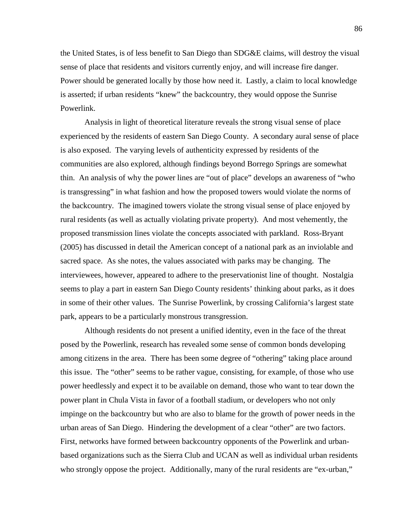the United States, is of less benefit to San Diego than SDG&E claims, will destroy the visual sense of place that residents and visitors currently enjoy, and will increase fire danger. Power should be generated locally by those how need it. Lastly, a claim to local knowledge is asserted; if urban residents "knew" the backcountry, they would oppose the Sunrise Powerlink.

Analysis in light of theoretical literature reveals the strong visual sense of place experienced by the residents of eastern San Diego County. A secondary aural sense of place is also exposed. The varying levels of authenticity expressed by residents of the communities are also explored, although findings beyond Borrego Springs are somewhat thin. An analysis of why the power lines are "out of place" develops an awareness of "who is transgressing" in what fashion and how the proposed towers would violate the norms of the backcountry. The imagined towers violate the strong visual sense of place enjoyed by rural residents (as well as actually violating private property). And most vehemently, the proposed transmission lines violate the concepts associated with parkland. Ross-Bryant (2005) has discussed in detail the American concept of a national park as an inviolable and sacred space. As she notes, the values associated with parks may be changing. The interviewees, however, appeared to adhere to the preservationist line of thought. Nostalgia seems to play a part in eastern San Diego County residents' thinking about parks, as it does in some of their other values. The Sunrise Powerlink, by crossing California's largest state park, appears to be a particularly monstrous transgression.

Although residents do not present a unified identity, even in the face of the threat posed by the Powerlink, research has revealed some sense of common bonds developing among citizens in the area. There has been some degree of "othering" taking place around this issue. The "other" seems to be rather vague, consisting, for example, of those who use power heedlessly and expect it to be available on demand, those who want to tear down the power plant in Chula Vista in favor of a football stadium, or developers who not only impinge on the backcountry but who are also to blame for the growth of power needs in the urban areas of San Diego. Hindering the development of a clear "other" are two factors. First, networks have formed between backcountry opponents of the Powerlink and urbanbased organizations such as the Sierra Club and UCAN as well as individual urban residents who strongly oppose the project. Additionally, many of the rural residents are "ex-urban,"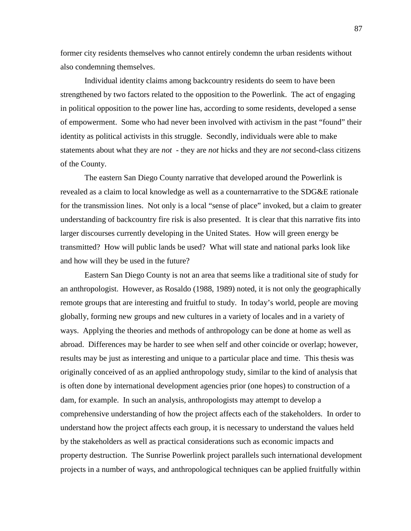former city residents themselves who cannot entirely condemn the urban residents without also condemning themselves.

Individual identity claims among backcountry residents do seem to have been strengthened by two factors related to the opposition to the Powerlink. The act of engaging in political opposition to the power line has, according to some residents, developed a sense of empowerment. Some who had never been involved with activism in the past "found" their identity as political activists in this struggle. Secondly, individuals were able to make statements about what they are *not* - they are *not* hicks and they are *not* second-class citizens of the County.

The eastern San Diego County narrative that developed around the Powerlink is revealed as a claim to local knowledge as well as a counternarrative to the SDG&E rationale for the transmission lines. Not only is a local "sense of place" invoked, but a claim to greater understanding of backcountry fire risk is also presented. It is clear that this narrative fits into larger discourses currently developing in the United States. How will green energy be transmitted? How will public lands be used? What will state and national parks look like and how will they be used in the future?

Eastern San Diego County is not an area that seems like a traditional site of study for an anthropologist. However, as Rosaldo (1988, 1989) noted, it is not only the geographically remote groups that are interesting and fruitful to study. In today's world, people are moving globally, forming new groups and new cultures in a variety of locales and in a variety of ways. Applying the theories and methods of anthropology can be done at home as well as abroad. Differences may be harder to see when self and other coincide or overlap; however, results may be just as interesting and unique to a particular place and time. This thesis was originally conceived of as an applied anthropology study, similar to the kind of analysis that is often done by international development agencies prior (one hopes) to construction of a dam, for example. In such an analysis, anthropologists may attempt to develop a comprehensive understanding of how the project affects each of the stakeholders. In order to understand how the project affects each group, it is necessary to understand the values held by the stakeholders as well as practical considerations such as economic impacts and property destruction. The Sunrise Powerlink project parallels such international development projects in a number of ways, and anthropological techniques can be applied fruitfully within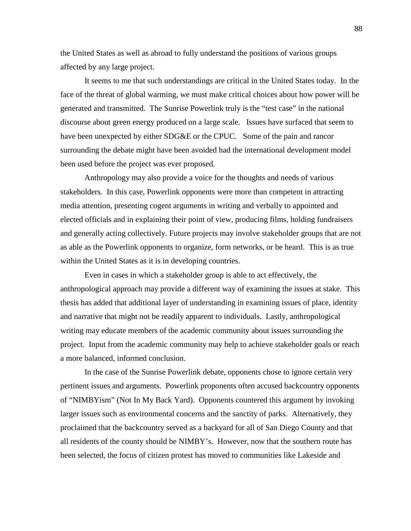the United States as well as abroad to fully understand the positions of various groups affected by any large project.

It seems to me that such understandings are critical in the United States today. In the face of the threat of global warming, we must make critical choices about how power will be generated and transmitted. The Sunrise Powerlink truly is the "test case" in the national discourse about green energy produced on a large scale. Issues have surfaced that seem to have been unexpected by either SDG&E or the CPUC. Some of the pain and rancor surrounding the debate might have been avoided had the international development model been used before the project was ever proposed.

Anthropology may also provide a voice for the thoughts and needs of various stakeholders. In this case, Powerlink opponents were more than competent in attracting media attention, presenting cogent arguments in writing and verbally to appointed and elected officials and in explaining their point of view, producing films, holding fundraisers and generally acting collectively. Future projects may involve stakeholder groups that are not as able as the Powerlink opponents to organize, form networks, or be heard. This is as true within the United States as it is in developing countries.

Even in cases in which a stakeholder group is able to act effectively, the anthropological approach may provide a different way of examining the issues at stake. This thesis has added that additional layer of understanding in examining issues of place, identity and narrative that might not be readily apparent to individuals. Lastly, anthropological writing may educate members of the academic community about issues surrounding the project. Input from the academic community may help to achieve stakeholder goals or reach a more balanced, informed conclusion.

In the case of the Sunrise Powerlink debate, opponents chose to ignore certain very pertinent issues and arguments. Powerlink proponents often accused backcountry opponents of "NIMBYism" (Not In My Back Yard). Opponents countered this argument by invoking larger issues such as environmental concerns and the sanctity of parks. Alternatively, they proclaimed that the backcountry served as a backyard for all of San Diego County and that all residents of the county should be NIMBY's. However, now that the southern route has been selected, the focus of citizen protest has moved to communities like Lakeside and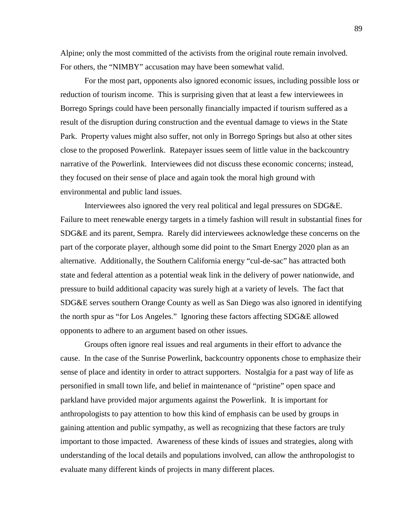Alpine; only the most committed of the activists from the original route remain involved. For others, the "NIMBY" accusation may have been somewhat valid.

For the most part, opponents also ignored economic issues, including possible loss or reduction of tourism income. This is surprising given that at least a few interviewees in Borrego Springs could have been personally financially impacted if tourism suffered as a result of the disruption during construction and the eventual damage to views in the State Park. Property values might also suffer, not only in Borrego Springs but also at other sites close to the proposed Powerlink. Ratepayer issues seem of little value in the backcountry narrative of the Powerlink. Interviewees did not discuss these economic concerns; instead, they focused on their sense of place and again took the moral high ground with environmental and public land issues.

Interviewees also ignored the very real political and legal pressures on SDG&E. Failure to meet renewable energy targets in a timely fashion will result in substantial fines for SDG&E and its parent, Sempra. Rarely did interviewees acknowledge these concerns on the part of the corporate player, although some did point to the Smart Energy 2020 plan as an alternative. Additionally, the Southern California energy "cul-de-sac" has attracted both state and federal attention as a potential weak link in the delivery of power nationwide, and pressure to build additional capacity was surely high at a variety of levels. The fact that SDG&E serves southern Orange County as well as San Diego was also ignored in identifying the north spur as "for Los Angeles." Ignoring these factors affecting SDG&E allowed opponents to adhere to an argument based on other issues.

Groups often ignore real issues and real arguments in their effort to advance the cause. In the case of the Sunrise Powerlink, backcountry opponents chose to emphasize their sense of place and identity in order to attract supporters. Nostalgia for a past way of life as personified in small town life, and belief in maintenance of "pristine" open space and parkland have provided major arguments against the Powerlink. It is important for anthropologists to pay attention to how this kind of emphasis can be used by groups in gaining attention and public sympathy, as well as recognizing that these factors are truly important to those impacted. Awareness of these kinds of issues and strategies, along with understanding of the local details and populations involved, can allow the anthropologist to evaluate many different kinds of projects in many different places.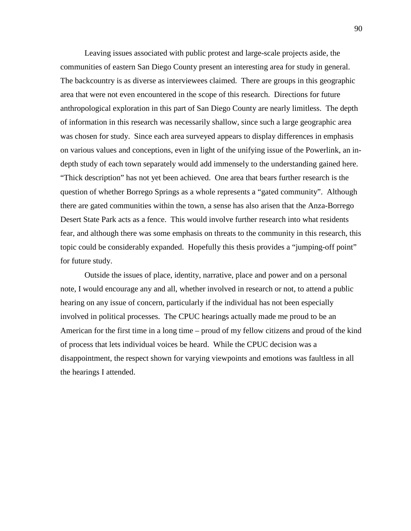Leaving issues associated with public protest and large-scale projects aside, the communities of eastern San Diego County present an interesting area for study in general. The backcountry is as diverse as interviewees claimed. There are groups in this geographic area that were not even encountered in the scope of this research. Directions for future anthropological exploration in this part of San Diego County are nearly limitless. The depth of information in this research was necessarily shallow, since such a large geographic area was chosen for study. Since each area surveyed appears to display differences in emphasis on various values and conceptions, even in light of the unifying issue of the Powerlink, an indepth study of each town separately would add immensely to the understanding gained here. "Thick description" has not yet been achieved. One area that bears further research is the question of whether Borrego Springs as a whole represents a "gated community". Although there are gated communities within the town, a sense has also arisen that the Anza-Borrego Desert State Park acts as a fence. This would involve further research into what residents fear, and although there was some emphasis on threats to the community in this research, this topic could be considerably expanded. Hopefully this thesis provides a "jumping-off point" for future study.

Outside the issues of place, identity, narrative, place and power and on a personal note, I would encourage any and all, whether involved in research or not, to attend a public hearing on any issue of concern, particularly if the individual has not been especially involved in political processes. The CPUC hearings actually made me proud to be an American for the first time in a long time – proud of my fellow citizens and proud of the kind of process that lets individual voices be heard. While the CPUC decision was a disappointment, the respect shown for varying viewpoints and emotions was faultless in all the hearings I attended.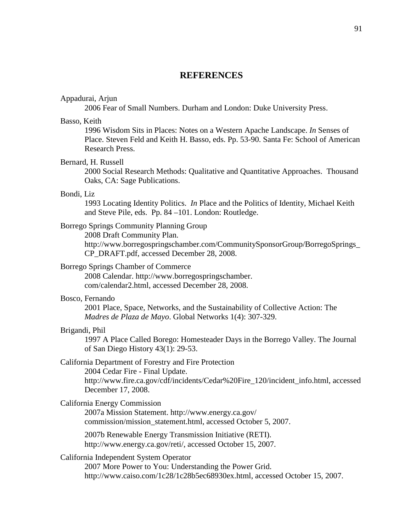# **REFERENCES**

#### Appadurai, Arjun

2006 Fear of Small Numbers. Durham and London: Duke University Press.

#### Basso, Keith

1996 Wisdom Sits in Places: Notes on a Western Apache Landscape. *In* Senses of Place. Steven Feld and Keith H. Basso, eds. Pp. 53-90. Santa Fe: School of American Research Press.

# Bernard, H. Russell

2000 Social Research Methods: Qualitative and Quantitative Approaches. Thousand Oaks, CA: Sage Publications.

#### Bondi, Liz

1993 Locating Identity Politics. *In* Place and the Politics of Identity, Michael Keith and Steve Pile, eds. Pp. 84 –101. London: Routledge.

# Borrego Springs Community Planning Group

2008 Draft Community Plan.

http://www.borregospringschamber.com/CommunitySponsorGroup/BorregoSprings\_ CP\_DRAFT.pdf, accessed December 28, 2008.

# Borrego Springs Chamber of Commerce

2008 Calendar. http://www.borregospringschamber. com/calendar2.html, accessed December 28, 2008.

#### Bosco, Fernando

2001 Place, Space, Networks, and the Sustainability of Collective Action: The *Madres de Plaza de Mayo*. Global Networks 1(4): 307-329.

## Brigandi, Phil

1997 A Place Called Borego: Homesteader Days in the Borrego Valley. The Journal of San Diego History 43(1): 29-53.

## California Department of Forestry and Fire Protection

2004 Cedar Fire - Final Update. http://www.fire.ca.gov/cdf/incidents/Cedar%20Fire\_120/incident\_info.html, accessed December 17, 2008.

## California Energy Commission

2007a Mission Statement. http://www.energy.ca.gov/ commission/mission\_statement.html, accessed October 5, 2007.

2007b Renewable Energy Transmission Initiative (RETI). http://www.energy.ca.gov/reti/, accessed October 15, 2007.

# California Independent System Operator

2007 More Power to You: Understanding the Power Grid. http://www.caiso.com/1c28/1c28b5ec68930ex.html, accessed October 15, 2007.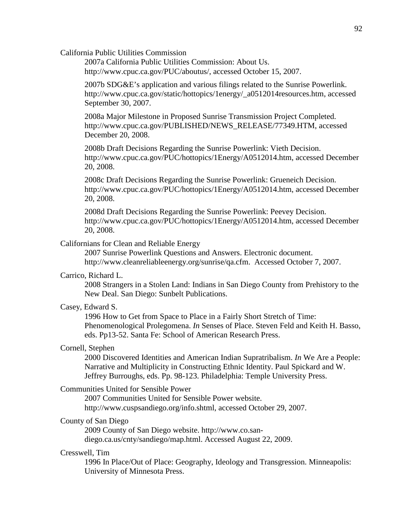California Public Utilities Commission

2007a California Public Utilities Commission: About Us. http://www.cpuc.ca.gov/PUC/aboutus/, accessed October 15, 2007.

2007b SDG&E's application and various filings related to the Sunrise Powerlink. http://www.cpuc.ca.gov/static/hottopics/1energy/\_a0512014resources.htm, accessed September 30, 2007.

2008a Major Milestone in Proposed Sunrise Transmission Project Completed. http://www.cpuc.ca.gov/PUBLISHED/NEWS\_RELEASE/77349.HTM, accessed December 20, 2008.

2008b Draft Decisions Regarding the Sunrise Powerlink: Vieth Decision. http://www.cpuc.ca.gov/PUC/hottopics/1Energy/A0512014.htm, accessed December 20, 2008.

2008c Draft Decisions Regarding the Sunrise Powerlink: Grueneich Decision. http://www.cpuc.ca.gov/PUC/hottopics/1Energy/A0512014.htm, accessed December 20, 2008.

2008d Draft Decisions Regarding the Sunrise Powerlink: Peevey Decision. http://www.cpuc.ca.gov/PUC/hottopics/1Energy/A0512014.htm, accessed December 20, 2008.

# Californians for Clean and Reliable Energy

2007 Sunrise Powerlink Questions and Answers. Electronic document. http://www.cleanreliableenergy.org/sunrise/qa.cfm. Accessed October 7, 2007.

# Carrico, Richard L.

2008 Strangers in a Stolen Land: Indians in San Diego County from Prehistory to the New Deal. San Diego: Sunbelt Publications.

#### Casey, Edward S.

1996 How to Get from Space to Place in a Fairly Short Stretch of Time: Phenomenological Prolegomena. *In* Senses of Place. Steven Feld and Keith H. Basso, eds. Pp13-52. Santa Fe: School of American Research Press.

# Cornell, Stephen

2000 Discovered Identities and American Indian Supratribalism. *In* We Are a People: Narrative and Multiplicity in Constructing Ethnic Identity. Paul Spickard and W. Jeffrey Burroughs, eds. Pp. 98-123. Philadelphia: Temple University Press.

# Communities United for Sensible Power

2007 Communities United for Sensible Power website. http://www.cuspsandiego.org/info.shtml, accessed October 29, 2007.

# County of San Diego

2009 County of San Diego website. http://www.co.sandiego.ca.us/cnty/sandiego/map.html. Accessed August 22, 2009.

## Cresswell, Tim

1996 In Place/Out of Place: Geography, Ideology and Transgression. Minneapolis: University of Minnesota Press.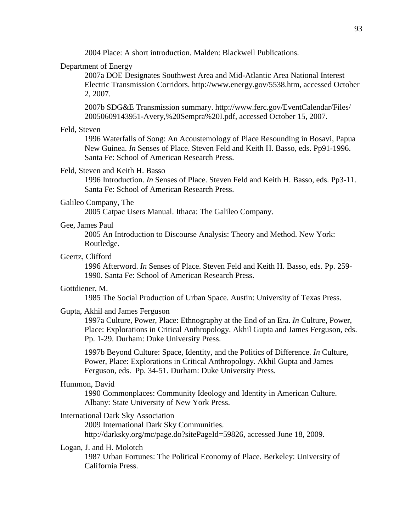2004 Place: A short introduction. Malden: Blackwell Publications.

# Department of Energy

2007a DOE Designates Southwest Area and Mid-Atlantic Area National Interest Electric Transmission Corridors. http://www.energy.gov/5538.htm, accessed October 2, 2007.

2007b SDG&E Transmission summary. http://www.ferc.gov/EventCalendar/Files/ 20050609143951-Avery,%20Sempra%20I.pdf, accessed October 15, 2007.

# Feld, Steven

1996 Waterfalls of Song: An Acoustemology of Place Resounding in Bosavi, Papua New Guinea. *In* Senses of Place. Steven Feld and Keith H. Basso, eds. Pp91-1996. Santa Fe: School of American Research Press.

## Feld, Steven and Keith H. Basso

1996 Introduction. *In* Senses of Place. Steven Feld and Keith H. Basso, eds. Pp3-11. Santa Fe: School of American Research Press.

# Galileo Company, The

2005 Catpac Users Manual. Ithaca: The Galileo Company.

#### Gee, James Paul

2005 An Introduction to Discourse Analysis: Theory and Method. New York: Routledge.

#### Geertz, Clifford

1996 Afterword. *In* Senses of Place. Steven Feld and Keith H. Basso, eds. Pp. 259- 1990. Santa Fe: School of American Research Press.

## Gottdiener, M.

1985 The Social Production of Urban Space. Austin: University of Texas Press.

#### Gupta, Akhil and James Ferguson

1997a Culture, Power, Place: Ethnography at the End of an Era. *In* Culture, Power, Place: Explorations in Critical Anthropology. Akhil Gupta and James Ferguson, eds. Pp. 1-29. Durham: Duke University Press.

1997b Beyond Culture: Space, Identity, and the Politics of Difference. *In* Culture, Power, Place: Explorations in Critical Anthropology. Akhil Gupta and James Ferguson, eds. Pp. 34-51. Durham: Duke University Press.

#### Hummon, David

1990 Commonplaces: Community Ideology and Identity in American Culture. Albany: State University of New York Press.

# International Dark Sky Association

2009 International Dark Sky Communities. http://darksky.org/mc/page.do?sitePageId=59826, accessed June 18, 2009.

# Logan, J. and H. Molotch

1987 Urban Fortunes: The Political Economy of Place. Berkeley: University of California Press.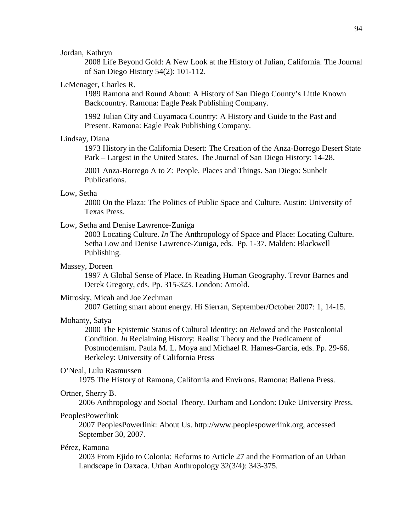## Jordan, Kathryn

2008 Life Beyond Gold: A New Look at the History of Julian, California. The Journal of San Diego History 54(2): 101-112.

#### LeMenager, Charles R.

1989 Ramona and Round About: A History of San Diego County's Little Known Backcountry. Ramona: Eagle Peak Publishing Company.

1992 Julian City and Cuyamaca Country: A History and Guide to the Past and Present. Ramona: Eagle Peak Publishing Company.

#### Lindsay, Diana

1973 History in the California Desert: The Creation of the Anza-Borrego Desert State Park – Largest in the United States. The Journal of San Diego History: 14-28.

2001 Anza-Borrego A to Z: People, Places and Things. San Diego: Sunbelt Publications.

#### Low, Setha

2000 On the Plaza: The Politics of Public Space and Culture. Austin: University of Texas Press.

# Low, Setha and Denise Lawrence-Zuniga

2003 Locating Culture. *In* The Anthropology of Space and Place: Locating Culture. Setha Low and Denise Lawrence-Zuniga, eds. Pp. 1-37. Malden: Blackwell Publishing.

#### Massey, Doreen

1997 A Global Sense of Place. In Reading Human Geography. Trevor Barnes and Derek Gregory, eds. Pp. 315-323. London: Arnold.

#### Mitrosky, Micah and Joe Zechman

2007 Getting smart about energy. Hi Sierran, September/October 2007: 1, 14-15.

#### Mohanty, Satya

2000 The Epistemic Status of Cultural Identity: on *Beloved* and the Postcolonial Condition. *In* Reclaiming History: Realist Theory and the Predicament of Postmodernism. Paula M. L. Moya and Michael R. Hames-Garcia, eds. Pp. 29-66. Berkeley: University of California Press

## O'Neal, Lulu Rasmussen

1975 The History of Ramona, California and Environs. Ramona: Ballena Press.

#### Ortner, Sherry B.

2006 Anthropology and Social Theory. Durham and London: Duke University Press.

#### PeoplesPowerlink

2007 PeoplesPowerlink: About Us. http://www.peoplespowerlink.org, accessed September 30, 2007.

# Pérez, Ramona

2003 From Ejido to Colonia: Reforms to Article 27 and the Formation of an Urban Landscape in Oaxaca. Urban Anthropology 32(3/4): 343-375.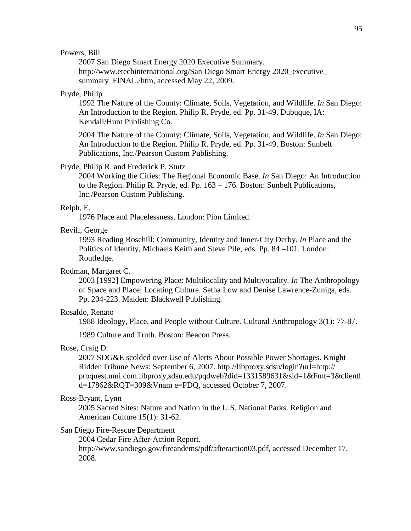# Powers, Bill

2007 San Diego Smart Energy 2020 Executive Summary. http://www.etechinternational.org/San Diego Smart Energy 2020 executive summary\_FINAL./htm, accessed May 22, 2009.

#### Pryde, Philip

1992 The Nature of the County: Climate, Soils, Vegetation, and Wildlife. *In* San Diego: An Introduction to the Region. Philip R. Pryde, ed. Pp. 31-49. Dubuque, IA: Kendall/Hunt Publishing Co.

2004 The Nature of the County: Climate, Soils, Vegetation, and Wildlife. *In* San Diego: An Introduction to the Region. Philip R. Pryde, ed. Pp. 31-49. Boston: Sunbelt Publications, Inc./Pearson Custom Publishing.

#### Pryde, Philip R. and Frederick P. Stutz

2004 Working the Cities: The Regional Economic Base. *In* San Diego: An Introduction to the Region. Philip R. Pryde, ed. Pp. 163 – 176. Boston: Sunbelt Publications, Inc./Pearson Custom Publishing.

#### Relph, E.

1976 Place and Placelessness. London: Pion Limited.

# Revill, George

1993 Reading Rosehill: Community, Identity and Inner-City Derby. *In* Place and the Politics of Identity, Michaels Keith and Steve Pile, eds. Pp. 84 –101. London: Routledge.

## Rodman, Margaret C.

2003 [1992] Empowering Place: Multilocality and Multivocality. *In* The Anthropology of Space and Place: Locating Culture. Setha Low and Denise Lawrence-Zuniga, eds. Pp. 204-223. Malden: Blackwell Publishing.

#### Rosaldo, Renato

1988 Ideology, Place, and People without Culture. Cultural Anthropology 3(1): 77-87.

1989 Culture and Truth. Boston: Beacon Press.

#### Rose, Craig D.

2007 SDG&E scolded over Use of Alerts About Possible Power Shortages. Knight Ridder Tribune News: September 6, 2007. http://libproxy.sdsu/login?url=http:// proquest.umi.com.libproxy,sdsu.edu/pqdweb?did=1331589631&sid=1&Fmt=3&clientl d=17862&RQT=309&Vnam e=PDQ, accessed October 7, 2007.

# Ross-Bryant, Lynn

2005 Sacred Sites: Nature and Nation in the U.S. National Parks. Religion and American Culture 15(1): 31-62.

#### San Diego Fire-Rescue Department

2004 Cedar Fire After-Action Report. http://www.sandiego.gov/fireandems/pdf/afteraction03.pdf, accessed December 17, 2008.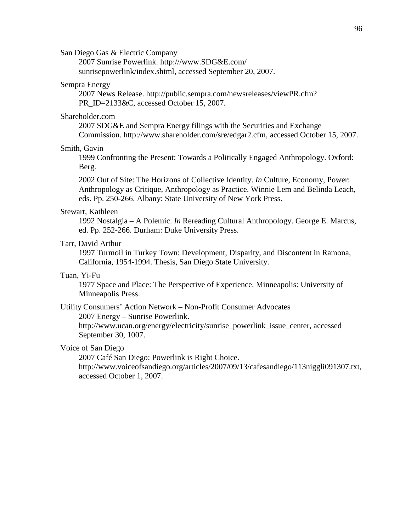San Diego Gas & Electric Company

2007 Sunrise Powerlink. http:///www.SDG&E.com/ sunrisepowerlink/index.shtml, accessed September 20, 2007.

# Sempra Energy

2007 News Release. http://public.sempra.com/newsreleases/viewPR.cfm? PR\_ID=2133&C, accessed October 15, 2007.

#### Shareholder.com

2007 SDG&E and Sempra Energy filings with the Securities and Exchange Commission. http://www.shareholder.com/sre/edgar2.cfm, accessed October 15, 2007.

# Smith, Gavin

1999 Confronting the Present: Towards a Politically Engaged Anthropology. Oxford: Berg.

2002 Out of Site: The Horizons of Collective Identity. *In* Culture, Economy, Power: Anthropology as Critique, Anthropology as Practice. Winnie Lem and Belinda Leach, eds. Pp. 250-266. Albany: State University of New York Press.

#### Stewart, Kathleen

1992 Nostalgia – A Polemic. *In* Rereading Cultural Anthropology. George E. Marcus, ed. Pp. 252-266. Durham: Duke University Press.

# Tarr, David Arthur

1997 Turmoil in Turkey Town: Development, Disparity, and Discontent in Ramona, California, 1954-1994. Thesis, San Diego State University.

#### Tuan, Yi-Fu

1977 Space and Place: The Perspective of Experience. Minneapolis: University of Minneapolis Press.

# Utility Consumers' Action Network – Non-Profit Consumer Advocates

2007 Energy – Sunrise Powerlink.

http://www.ucan.org/energy/electricity/sunrise\_powerlink\_issue\_center, accessed September 30, 1007.

# Voice of San Diego

2007 Café San Diego: Powerlink is Right Choice.

http://www.voiceofsandiego.org/articles/2007/09/13/cafesandiego/113niggli091307.txt, accessed October 1, 2007.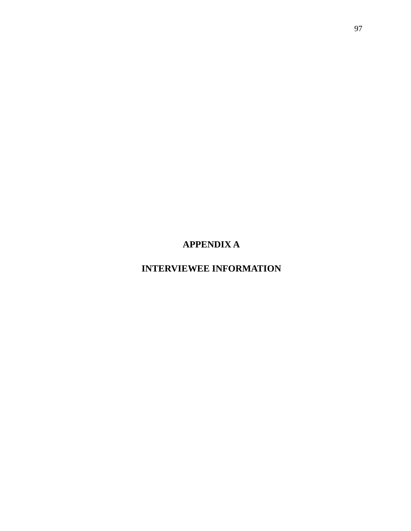**APPENDIX A**

**INTERVIEWEE INFORMATION**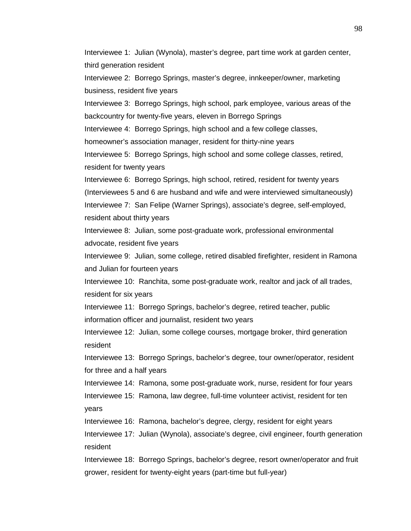Interviewee 1: Julian (Wynola), master's degree, part time work at garden center, third generation resident

Interviewee 2: Borrego Springs, master's degree, innkeeper/owner, marketing business, resident five years

Interviewee 3: Borrego Springs, high school, park employee, various areas of the backcountry for twenty-five years, eleven in Borrego Springs

Interviewee 4: Borrego Springs, high school and a few college classes,

homeowner's association manager, resident for thirty-nine years

Interviewee 5: Borrego Springs, high school and some college classes, retired, resident for twenty years

Interviewee 6: Borrego Springs, high school, retired, resident for twenty years (Interviewees 5 and 6 are husband and wife and were interviewed simultaneously) Interviewee 7: San Felipe (Warner Springs), associate's degree, self-employed, resident about thirty years

Interviewee 8: Julian, some post-graduate work, professional environmental advocate, resident five years

Interviewee 9: Julian, some college, retired disabled firefighter, resident in Ramona and Julian for fourteen years

Interviewee 10: Ranchita, some post-graduate work, realtor and jack of all trades, resident for six years

Interviewee 11: Borrego Springs, bachelor's degree, retired teacher, public information officer and journalist, resident two years

Interviewee 12: Julian, some college courses, mortgage broker, third generation resident

Interviewee 13: Borrego Springs, bachelor's degree, tour owner/operator, resident for three and a half years

Interviewee 14: Ramona, some post-graduate work, nurse, resident for four years Interviewee 15: Ramona, law degree, full-time volunteer activist, resident for ten years

Interviewee 16: Ramona, bachelor's degree, clergy, resident for eight years

Interviewee 17: Julian (Wynola), associate's degree, civil engineer, fourth generation resident

Interviewee 18: Borrego Springs, bachelor's degree, resort owner/operator and fruit grower, resident for twenty-eight years (part-time but full-year)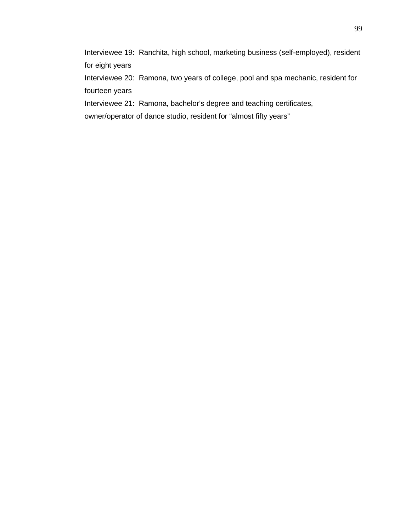Interviewee 19: Ranchita, high school, marketing business (self-employed), resident for eight years

Interviewee 20: Ramona, two years of college, pool and spa mechanic, resident for fourteen years

Interviewee 21: Ramona, bachelor's degree and teaching certificates,

owner/operator of dance studio, resident for "almost fifty years"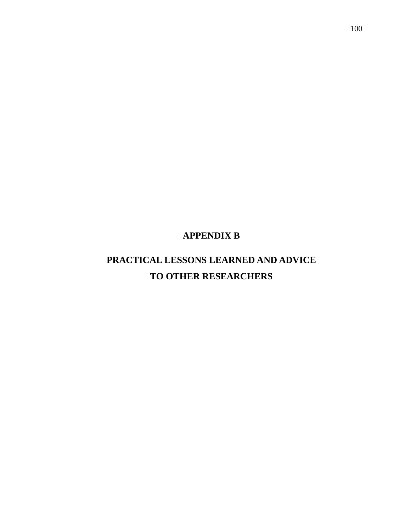# **APPENDIX B**

# **PRACTICAL LESSONS LEARNED AND ADVICE TO OTHER RESEARCHERS**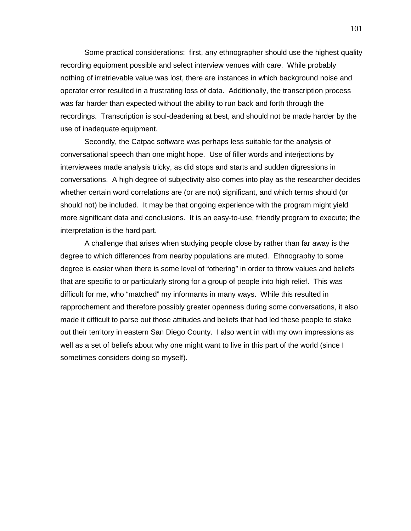Some practical considerations: first, any ethnographer should use the highest quality recording equipment possible and select interview venues with care. While probably nothing of irretrievable value was lost, there are instances in which background noise and operator error resulted in a frustrating loss of data. Additionally, the transcription process was far harder than expected without the ability to run back and forth through the recordings. Transcription is soul-deadening at best, and should not be made harder by the use of inadequate equipment.

Secondly, the Catpac software was perhaps less suitable for the analysis of conversational speech than one might hope. Use of filler words and interjections by interviewees made analysis tricky, as did stops and starts and sudden digressions in conversations. A high degree of subjectivity also comes into play as the researcher decides whether certain word correlations are (or are not) significant, and which terms should (or should not) be included. It may be that ongoing experience with the program might yield more significant data and conclusions. It is an easy-to-use, friendly program to execute; the interpretation is the hard part.

A challenge that arises when studying people close by rather than far away is the degree to which differences from nearby populations are muted. Ethnography to some degree is easier when there is some level of "othering" in order to throw values and beliefs that are specific to or particularly strong for a group of people into high relief. This was difficult for me, who "matched" my informants in many ways. While this resulted in rapprochement and therefore possibly greater openness during some conversations, it also made it difficult to parse out those attitudes and beliefs that had led these people to stake out their territory in eastern San Diego County. I also went in with my own impressions as well as a set of beliefs about why one might want to live in this part of the world (since I sometimes considers doing so myself).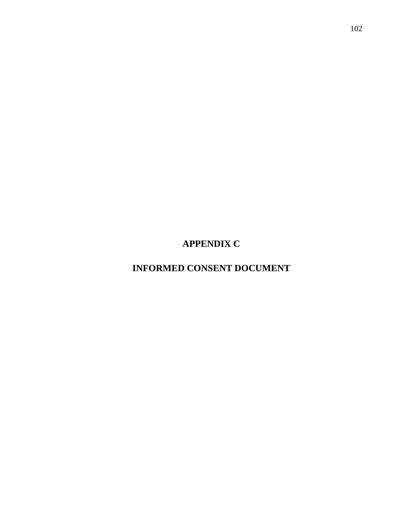**APPENDIX C**

**INFORMED CONSENT DOCUMENT**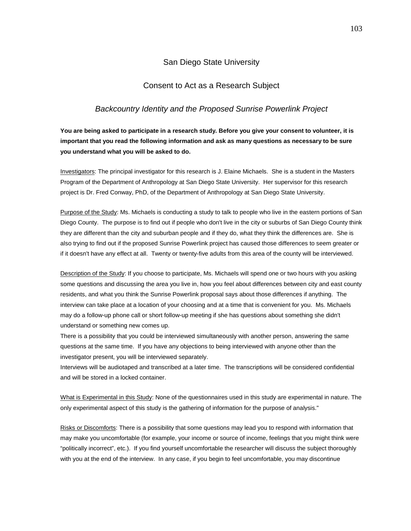## San Diego State University

### Consent to Act as a Research Subject

#### *Backcountry Identity and the Proposed Sunrise Powerlink Project*

**You are being asked to participate in a research study. Before you give your consent to volunteer, it is important that you read the following information and ask as many questions as necessary to be sure you understand what you will be asked to do.**

Investigators: The principal investigator for this research is J. Elaine Michaels. She is a student in the Masters Program of the Department of Anthropology at San Diego State University. Her supervisor for this research project is Dr. Fred Conway, PhD, of the Department of Anthropology at San Diego State University.

Purpose of the Study: Ms. Michaels is conducting a study to talk to people who live in the eastern portions of San Diego County. The purpose is to find out if people who don't live in the city or suburbs of San Diego County think they are different than the city and suburban people and if they do, what they think the differences are. She is also trying to find out if the proposed Sunrise Powerlink project has caused those differences to seem greater or if it doesn't have any effect at all. Twenty or twenty-five adults from this area of the county will be interviewed.

Description of the Study: If you choose to participate, Ms. Michaels will spend one or two hours with you asking some questions and discussing the area you live in, how you feel about differences between city and east county residents, and what you think the Sunrise Powerlink proposal says about those differences if anything. The interview can take place at a location of your choosing and at a time that is convenient for you. Ms. Michaels may do a follow-up phone call or short follow-up meeting if she has questions about something she didn't understand or something new comes up.

There is a possibility that you could be interviewed simultaneously with another person, answering the same questions at the same time. If you have any objections to being interviewed with anyone other than the investigator present, you will be interviewed separately.

Interviews will be audiotaped and transcribed at a later time. The transcriptions will be considered confidential and will be stored in a locked container.

What is Experimental in this Study: None of the questionnaires used in this study are experimental in nature. The only experimental aspect of this study is the gathering of information for the purpose of analysis."

Risks or Discomforts: There is a possibility that some questions may lead you to respond with information that may make you uncomfortable (for example, your income or source of income, feelings that you might think were "politically incorrect", etc.). If you find yourself uncomfortable the researcher will discuss the subject thoroughly with you at the end of the interview. In any case, if you begin to feel uncomfortable, you may discontinue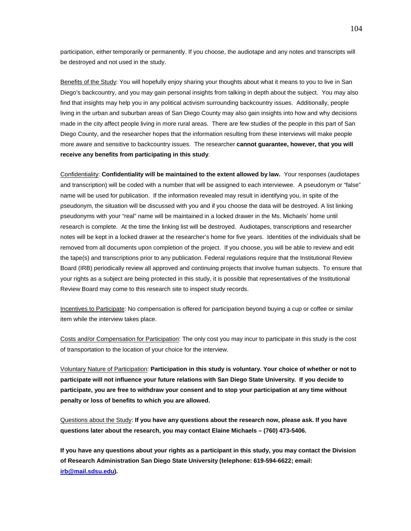participation, either temporarily or permanently. If you choose, the audiotape and any notes and transcripts will be destroyed and not used in the study.

Benefits of the Study: You will hopefully enjoy sharing your thoughts about what it means to you to live in San Diego's backcountry, and you may gain personal insights from talking in depth about the subject. You may also find that insights may help you in any political activism surrounding backcountry issues. Additionally, people living in the urban and suburban areas of San Diego County may also gain insights into how and why decisions made in the city affect people living in more rural areas. There are few studies of the people in this part of San Diego County, and the researcher hopes that the information resulting from these interviews will make people more aware and sensitive to backcountry issues. The researcher **cannot guarantee, however, that you will receive any benefits from participating in this study**.

Confidentiality: **Confidentiality will be maintained to the extent allowed by law.** Your responses (audiotapes and transcription) will be coded with a number that will be assigned to each interviewee. A pseudonym or "false" name will be used for publication. If the information revealed may result in identifying you, in spite of the pseudonym, the situation will be discussed with you and if you choose the data will be destroyed. A list linking pseudonyms with your "real" name will be maintained in a locked drawer in the Ms. Michaels' home until research is complete. At the time the linking list will be destroyed. Audiotapes, transcriptions and researcher notes will be kept in a locked drawer at the researcher's home for five years. Identities of the individuals shall be removed from all documents upon completion of the project. If you choose, you will be able to review and edit the tape(s) and transcriptions prior to any publication. Federal regulations require that the Institutional Review Board (IRB) periodically review all approved and continuing projects that involve human subjects. To ensure that your rights as a subject are being protected in this study, it is possible that representatives of the Institutional Review Board may come to this research site to inspect study records.

Incentives to Participate: No compensation is offered for participation beyond buying a cup or coffee or similar item while the interview takes place.

Costs and/or Compensation for Participation: The only cost you may incur to participate in this study is the cost of transportation to the location of your choice for the interview.

Voluntary Nature of Participation: **Participation in this study is voluntary. Your choice of whether or not to participate will not influence your future relations with San Diego State University. If you decide to participate, you are free to withdraw your consent and to stop your participation at any time without penalty or loss of benefits to which you are allowed.** 

Questions about the Study : **If you have any questions about the research now, please ask. If you have questions later about the research, you may contact Elaine Michaels – (760) 473-5406.**

**If you have any questions about your rights as a participant in this study, you may contact the Division of Research Administration San Diego State University (telephone: 619-594-6622; email: [irb@mail.sdsu.edu\)](mailto:irb@mail.sdsu.edu).**